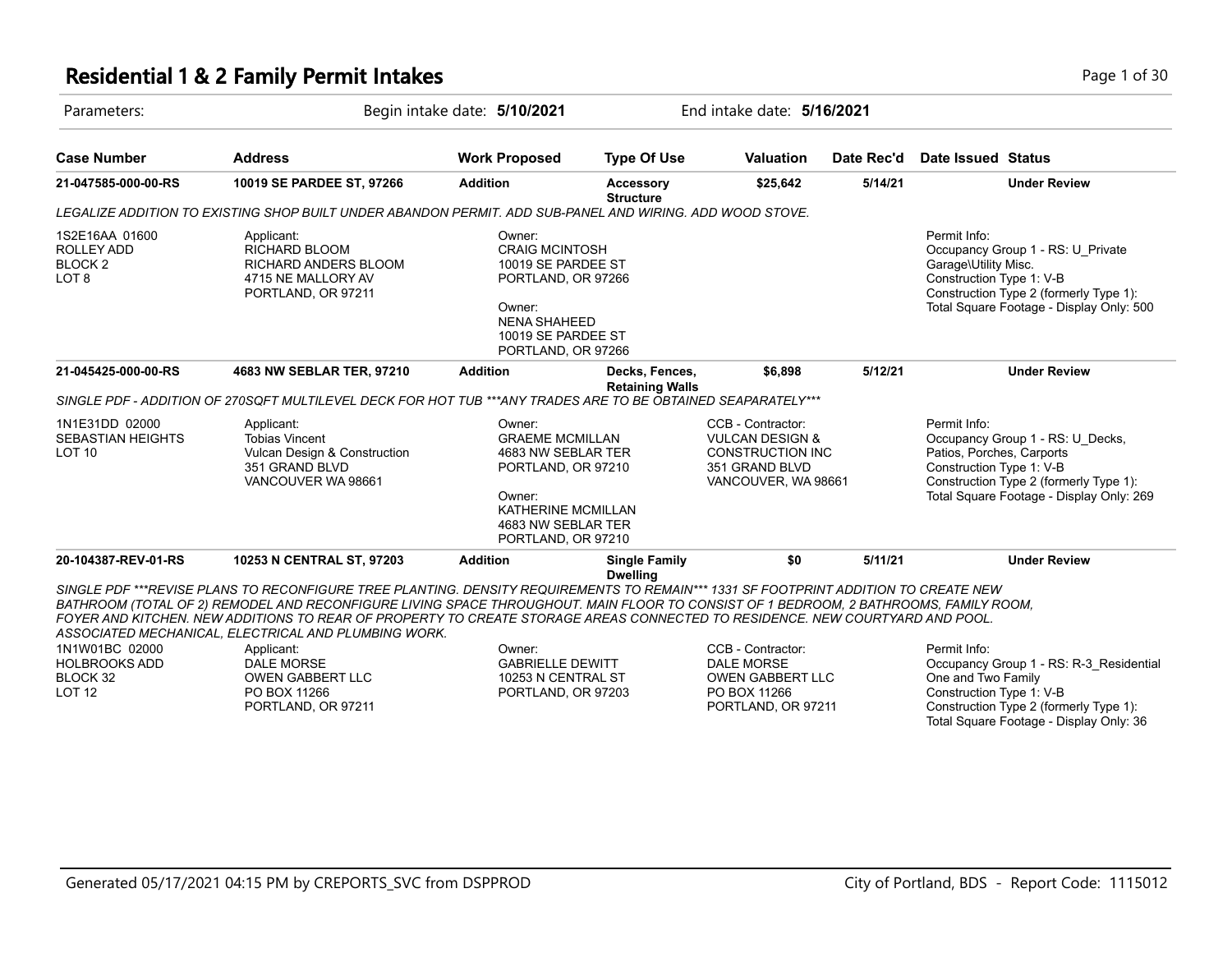# **Residential 1 & 2 Family Permit Intakes Page 1 of 30**

| Parameters:                                           |                                                                                                                                                                                                                                                                                                                                                                                                                                                                                                                                                                  | Begin intake date: 5/10/2021                                                                                                                             |                                          | End intake date: 5/16/2021                                                                                   |            |                                                                                                                                                                                                 |
|-------------------------------------------------------|------------------------------------------------------------------------------------------------------------------------------------------------------------------------------------------------------------------------------------------------------------------------------------------------------------------------------------------------------------------------------------------------------------------------------------------------------------------------------------------------------------------------------------------------------------------|----------------------------------------------------------------------------------------------------------------------------------------------------------|------------------------------------------|--------------------------------------------------------------------------------------------------------------|------------|-------------------------------------------------------------------------------------------------------------------------------------------------------------------------------------------------|
| <b>Case Number</b>                                    | <b>Address</b>                                                                                                                                                                                                                                                                                                                                                                                                                                                                                                                                                   | <b>Work Proposed</b>                                                                                                                                     | <b>Type Of Use</b>                       | <b>Valuation</b>                                                                                             | Date Rec'd | <b>Date Issued Status</b>                                                                                                                                                                       |
| 21-047585-000-00-RS                                   | 10019 SE PARDEE ST, 97266                                                                                                                                                                                                                                                                                                                                                                                                                                                                                                                                        | <b>Addition</b>                                                                                                                                          | <b>Accessory</b><br><b>Structure</b>     | \$25,642                                                                                                     | 5/14/21    | <b>Under Review</b>                                                                                                                                                                             |
|                                                       | LEGALIZE ADDITION TO EXISTING SHOP BUILT UNDER ABANDON PERMIT. ADD SUB-PANEL AND WIRING. ADD WOOD STOVE.                                                                                                                                                                                                                                                                                                                                                                                                                                                         |                                                                                                                                                          |                                          |                                                                                                              |            |                                                                                                                                                                                                 |
| 1S2E16AA 01600<br>ROLLEY ADD<br>BLOCK 2<br>LOT 8      | Applicant:<br><b>RICHARD BLOOM</b><br><b>RICHARD ANDERS BLOOM</b><br>4715 NE MALLORY AV<br>PORTLAND, OR 97211                                                                                                                                                                                                                                                                                                                                                                                                                                                    | Owner:<br><b>CRAIG MCINTOSH</b><br>10019 SE PARDEE ST<br>PORTLAND, OR 97266<br>Owner:<br><b>NENA SHAHEED</b><br>10019 SE PARDEE ST<br>PORTLAND, OR 97266 |                                          |                                                                                                              |            | Permit Info:<br>Occupancy Group 1 - RS: U Private<br>Garage\Utility Misc.<br>Construction Type 1: V-B<br>Construction Type 2 (formerly Type 1):<br>Total Square Footage - Display Only: 500     |
| 21-045425-000-00-RS                                   | 4683 NW SEBLAR TER, 97210                                                                                                                                                                                                                                                                                                                                                                                                                                                                                                                                        | <b>Addition</b>                                                                                                                                          | Decks, Fences,<br><b>Retaining Walls</b> | \$6,898                                                                                                      | 5/12/21    | <b>Under Review</b>                                                                                                                                                                             |
|                                                       | SINGLE PDF - ADDITION OF 270SQFT MULTILEVEL DECK FOR HOT TUB ***ANY TRADES ARE TO BE OBTAINED SEAPARATELY***                                                                                                                                                                                                                                                                                                                                                                                                                                                     |                                                                                                                                                          |                                          |                                                                                                              |            |                                                                                                                                                                                                 |
| 1N1E31DD 02000<br>SEBASTIAN HEIGHTS<br>LOT 10         | Applicant:<br><b>Tobias Vincent</b><br>Vulcan Design & Construction<br>351 GRAND BLVD<br>VANCOUVER WA 98661                                                                                                                                                                                                                                                                                                                                                                                                                                                      | Owner:<br><b>GRAEME MCMILLAN</b><br>4683 NW SEBLAR TER<br>PORTLAND, OR 97210<br>Owner:<br>KATHERINE MCMILLAN<br>4683 NW SEBLAR TER<br>PORTLAND, OR 97210 |                                          | CCB - Contractor:<br><b>VULCAN DESIGN &amp;</b><br>CONSTRUCTION INC<br>351 GRAND BLVD<br>VANCOUVER, WA 98661 |            | Permit Info:<br>Occupancy Group 1 - RS: U Decks,<br>Patios, Porches, Carports<br>Construction Type 1: V-B<br>Construction Type 2 (formerly Type 1):<br>Total Square Footage - Display Only: 269 |
| 20-104387-REV-01-RS                                   | 10253 N CENTRAL ST, 97203                                                                                                                                                                                                                                                                                                                                                                                                                                                                                                                                        | <b>Addition</b>                                                                                                                                          | <b>Single Family</b><br><b>Dwelling</b>  | \$0                                                                                                          | 5/11/21    | <b>Under Review</b>                                                                                                                                                                             |
| 1N1W01BC 02000<br>HOLBROOKS ADD<br>BLOCK 32<br>LOT 12 | SINGLE PDF ***REVISE PLANS TO RECONFIGURE TREE PLANTING. DENSITY REQUIREMENTS TO REMAIN*** 1331 SF FOOTPRINT ADDITION TO CREATE NEW<br>BATHROOM (TOTAL OF 2) REMODEL AND RECONFIGURE LIVING SPACE THROUGHOUT. MAIN FLOOR TO CONSIST OF 1 BEDROOM, 2 BATHROOMS, FAMILY ROOM,<br>FOYER AND KITCHEN. NEW ADDITIONS TO REAR OF PROPERTY TO CREATE STORAGE AREAS CONNECTED TO RESIDENCE. NEW COURTYARD AND POOL.<br>ASSOCIATED MECHANICAL, ELECTRICAL AND PLUMBING WORK.<br>Applicant:<br>DALE MORSE<br><b>OWEN GABBERT LLC</b><br>PO BOX 11266<br>PORTLAND, OR 97211 | Owner:<br><b>GABRIELLE DEWITT</b><br>10253 N CENTRAL ST<br>PORTLAND, OR 97203                                                                            |                                          | CCB - Contractor:<br><b>DALE MORSE</b><br><b>OWEN GABBERT LLC</b><br>PO BOX 11266<br>PORTLAND, OR 97211      |            | Permit Info:<br>Occupancy Group 1 - RS: R-3 Residential<br>One and Two Family<br>Construction Type 1: V-B<br>Construction Type 2 (formerly Type 1):<br>Total Square Footage - Display Only: 36  |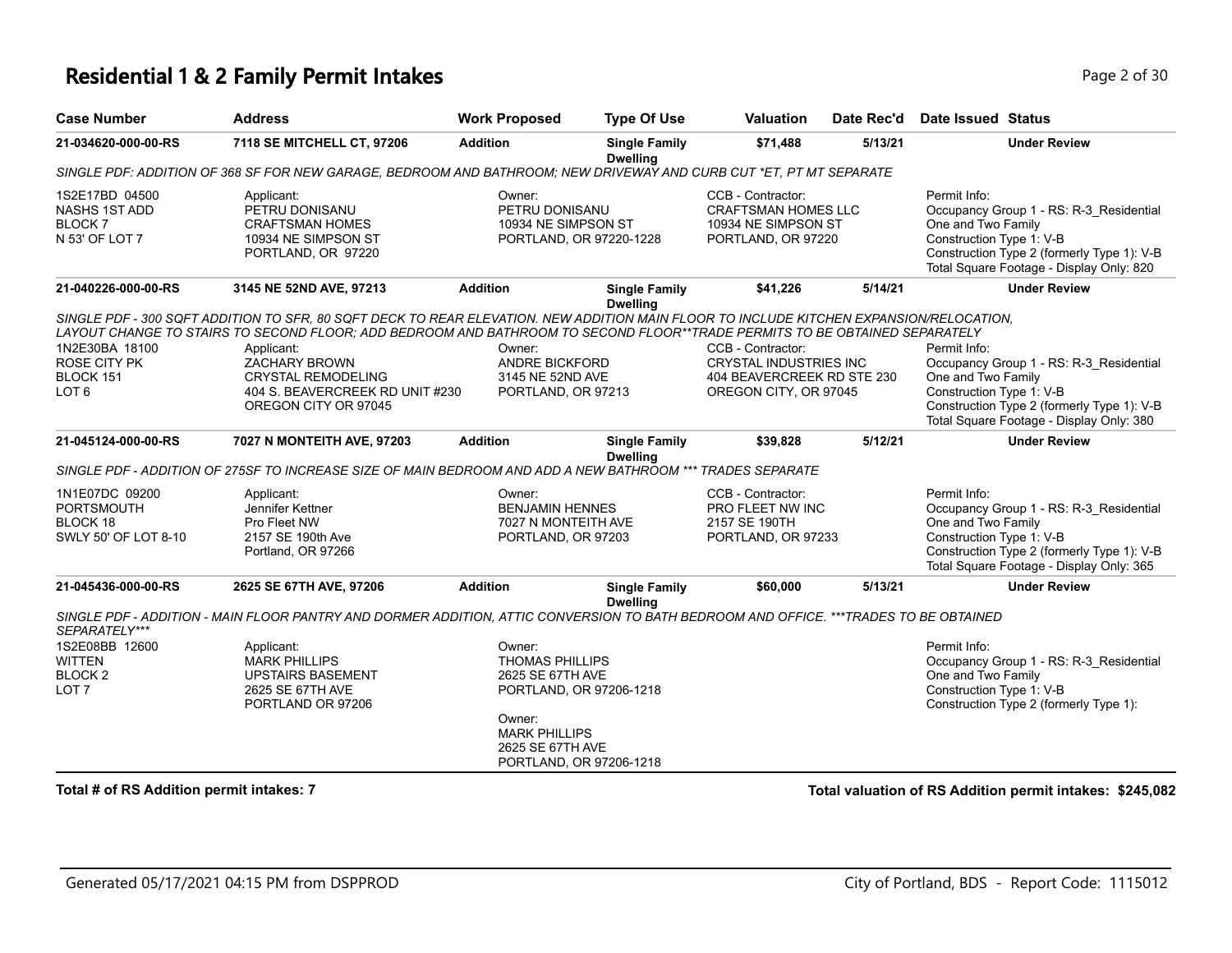# **Residential 1 & 2 Family Permit Intakes Page 1 0 AM** Page 2 of 30

| <b>Case Number</b>                                                        | <b>Address</b>                                                                                                                                                                                                                                                                                                                                                                                      | <b>Work Proposed</b>                                                                                                                                             | <b>Type Of Use</b>                      | Valuation                                                                                                 | Date Rec'd | Date Issued Status                                                                                                                                                                                  |
|---------------------------------------------------------------------------|-----------------------------------------------------------------------------------------------------------------------------------------------------------------------------------------------------------------------------------------------------------------------------------------------------------------------------------------------------------------------------------------------------|------------------------------------------------------------------------------------------------------------------------------------------------------------------|-----------------------------------------|-----------------------------------------------------------------------------------------------------------|------------|-----------------------------------------------------------------------------------------------------------------------------------------------------------------------------------------------------|
| 21-034620-000-00-RS                                                       | 7118 SE MITCHELL CT, 97206                                                                                                                                                                                                                                                                                                                                                                          | <b>Addition</b>                                                                                                                                                  | <b>Single Family</b><br><b>Dwelling</b> | \$71,488                                                                                                  | 5/13/21    | <b>Under Review</b>                                                                                                                                                                                 |
|                                                                           | SINGLE PDF: ADDITION OF 368 SF FOR NEW GARAGE, BEDROOM AND BATHROOM; NEW DRIVEWAY AND CURB CUT *ET, PT MT SEPARATE                                                                                                                                                                                                                                                                                  |                                                                                                                                                                  |                                         |                                                                                                           |            |                                                                                                                                                                                                     |
| 1S2E17BD 04500<br><b>NASHS 1ST ADD</b><br><b>BLOCK7</b><br>N 53' OF LOT 7 | Applicant:<br>PETRU DONISANU<br><b>CRAFTSMAN HOMES</b><br>10934 NE SIMPSON ST<br>PORTLAND, OR 97220                                                                                                                                                                                                                                                                                                 | Owner:<br>PETRU DONISANU<br>10934 NE SIMPSON ST<br>PORTLAND, OR 97220-1228                                                                                       |                                         | CCB - Contractor:<br><b>CRAFTSMAN HOMES LLC</b><br>10934 NE SIMPSON ST<br>PORTLAND, OR 97220              |            | Permit Info:<br>Occupancy Group 1 - RS: R-3 Residential<br>One and Two Family<br>Construction Type 1: V-B<br>Construction Type 2 (formerly Type 1): V-B<br>Total Square Footage - Display Only: 820 |
| 21-040226-000-00-RS                                                       | 3145 NE 52ND AVE, 97213                                                                                                                                                                                                                                                                                                                                                                             | <b>Addition</b>                                                                                                                                                  | <b>Single Family</b><br><b>Dwelling</b> | \$41,226                                                                                                  | 5/14/21    | <b>Under Review</b>                                                                                                                                                                                 |
| 1N2E30BA 18100<br>ROSE CITY PK<br>BLOCK 151<br>LOT <sub>6</sub>           | SINGLE PDF - 300 SQFT ADDITION TO SFR, 80 SQFT DECK TO REAR ELEVATION. NEW ADDITION MAIN FLOOR TO INCLUDE KITCHEN EXPANSION/RELOCATION,<br>LAYOUT CHANGE TO STAIRS TO SECOND FLOOR; ADD BEDROOM AND BATHROOM TO SECOND FLOOR**TRADE PERMITS TO BE OBTAINED SEPARATELY<br>Applicant:<br><b>ZACHARY BROWN</b><br><b>CRYSTAL REMODELING</b><br>404 S. BEAVERCREEK RD UNIT #230<br>OREGON CITY OR 97045 | Owner:<br><b>ANDRE BICKFORD</b><br>3145 NE 52ND AVE<br>PORTLAND, OR 97213                                                                                        |                                         | CCB - Contractor:<br><b>CRYSTAL INDUSTRIES INC</b><br>404 BEAVERCREEK RD STE 230<br>OREGON CITY, OR 97045 |            | Permit Info:<br>Occupancy Group 1 - RS: R-3_Residential<br>One and Two Family<br>Construction Type 1: V-B<br>Construction Type 2 (formerly Type 1): V-B<br>Total Square Footage - Display Only: 380 |
| 21-045124-000-00-RS                                                       | 7027 N MONTEITH AVE, 97203                                                                                                                                                                                                                                                                                                                                                                          | <b>Addition</b>                                                                                                                                                  | <b>Single Family</b>                    | \$39,828                                                                                                  | 5/12/21    | <b>Under Review</b>                                                                                                                                                                                 |
|                                                                           | SINGLE PDF - ADDITION OF 275SF TO INCREASE SIZE OF MAIN BEDROOM AND ADD A NEW BATHROOM *** TRADES SEPARATE                                                                                                                                                                                                                                                                                          |                                                                                                                                                                  | <b>Dwelling</b>                         |                                                                                                           |            |                                                                                                                                                                                                     |
| 1N1E07DC 09200<br>PORTSMOUTH<br>BLOCK 18<br>SWLY 50' OF LOT 8-10          | Applicant:<br>Jennifer Kettner<br>Pro Fleet NW<br>2157 SE 190th Ave<br>Portland, OR 97266                                                                                                                                                                                                                                                                                                           | Owner:<br><b>BENJAMIN HENNES</b><br>7027 N MONTEITH AVE<br>PORTLAND, OR 97203                                                                                    |                                         | CCB - Contractor:<br>PRO FLEET NW INC<br>2157 SE 190TH<br>PORTLAND, OR 97233                              |            | Permit Info:<br>Occupancy Group 1 - RS: R-3_Residential<br>One and Two Family<br>Construction Type 1: V-B<br>Construction Type 2 (formerly Type 1): V-B<br>Total Square Footage - Display Only: 365 |
| 21-045436-000-00-RS                                                       | 2625 SE 67TH AVE, 97206                                                                                                                                                                                                                                                                                                                                                                             | <b>Addition</b>                                                                                                                                                  | <b>Single Family</b>                    | \$60,000                                                                                                  | 5/13/21    | <b>Under Review</b>                                                                                                                                                                                 |
| SEPARATELY***                                                             | SINGLE PDF - ADDITION - MAIN FLOOR PANTRY AND DORMER ADDITION, ATTIC CONVERSION TO BATH BEDROOM AND OFFICE. ***TRADES TO BE OBTAINED                                                                                                                                                                                                                                                                |                                                                                                                                                                  | <b>Dwelling</b>                         |                                                                                                           |            |                                                                                                                                                                                                     |
| 1S2E08BB 12600<br><b>WITTEN</b><br>BLOCK <sub>2</sub><br>LOT <sub>7</sub> | Applicant:<br><b>MARK PHILLIPS</b><br><b>UPSTAIRS BASEMENT</b><br>2625 SE 67TH AVE<br>PORTLAND OR 97206                                                                                                                                                                                                                                                                                             | Owner:<br><b>THOMAS PHILLIPS</b><br>2625 SE 67TH AVE<br>PORTLAND, OR 97206-1218<br>Owner:<br><b>MARK PHILLIPS</b><br>2625 SE 67TH AVE<br>PORTLAND, OR 97206-1218 |                                         |                                                                                                           |            | Permit Info:<br>Occupancy Group 1 - RS: R-3 Residential<br>One and Two Family<br>Construction Type 1: V-B<br>Construction Type 2 (formerly Type 1):                                                 |
| Total # of RS Addition permit intakes: 7                                  |                                                                                                                                                                                                                                                                                                                                                                                                     |                                                                                                                                                                  |                                         |                                                                                                           |            | Total valuation of RS Addition permit intakes: \$245,082                                                                                                                                            |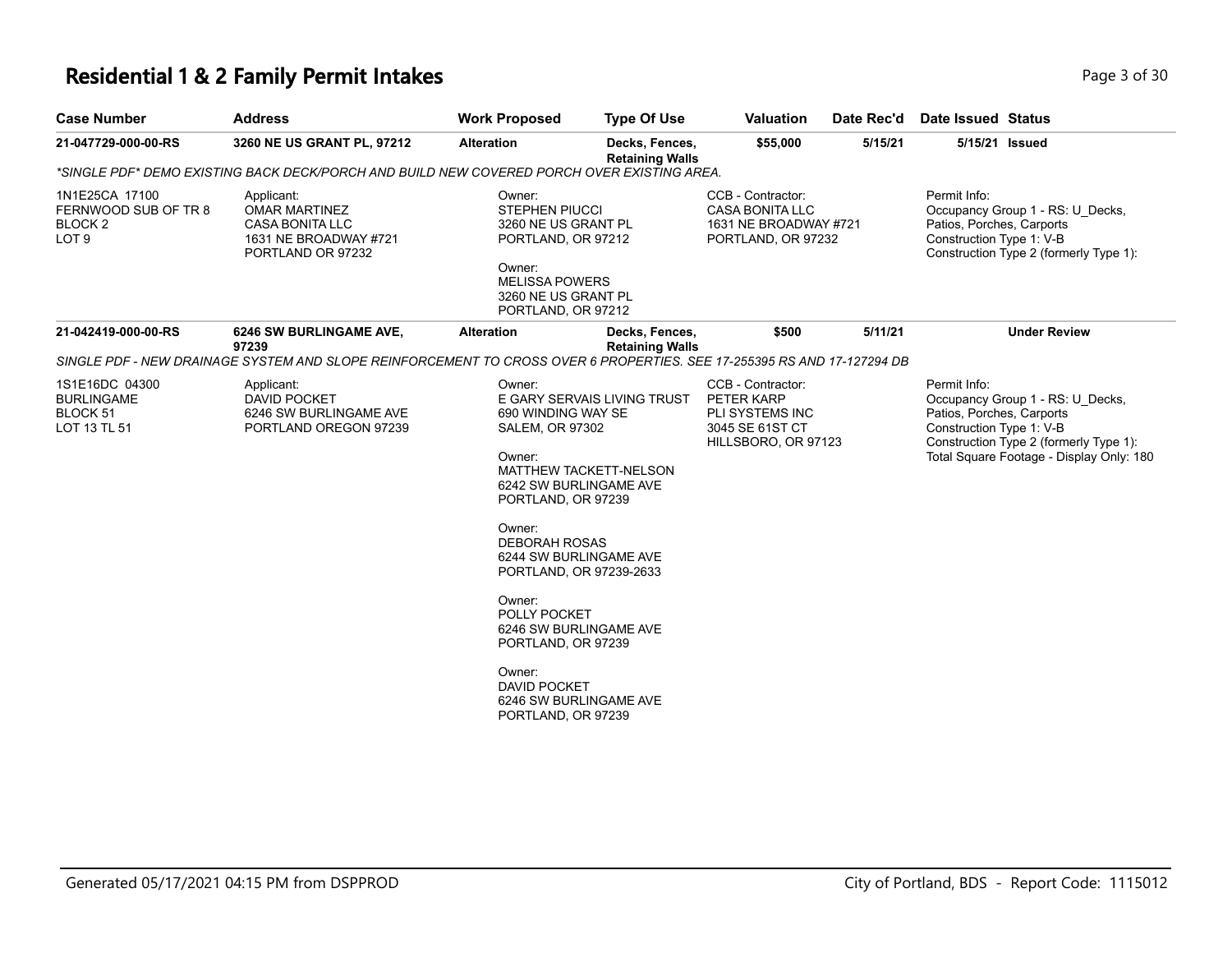# **Residential 1 & 2 Family Permit Intakes Page 1 0 AM** Page 3 of 30

| <b>Case Number</b>                                                               | <b>Address</b>                                                                                                         | <b>Work Proposed</b>                                                                                                                                                                                                                                                                                                                                                                                                               | <b>Type Of Use</b>                       | <b>Valuation</b>                                                                             | Date Rec'd | <b>Date Issued Status</b>                                                                                                                                                                       |
|----------------------------------------------------------------------------------|------------------------------------------------------------------------------------------------------------------------|------------------------------------------------------------------------------------------------------------------------------------------------------------------------------------------------------------------------------------------------------------------------------------------------------------------------------------------------------------------------------------------------------------------------------------|------------------------------------------|----------------------------------------------------------------------------------------------|------------|-------------------------------------------------------------------------------------------------------------------------------------------------------------------------------------------------|
| 21-047729-000-00-RS                                                              | 3260 NE US GRANT PL, 97212                                                                                             | <b>Alteration</b>                                                                                                                                                                                                                                                                                                                                                                                                                  | Decks, Fences,<br><b>Retaining Walls</b> | \$55,000                                                                                     | 5/15/21    | 5/15/21 Issued                                                                                                                                                                                  |
|                                                                                  | *SINGLE PDF* DEMO EXISTING BACK DECK/PORCH AND BUILD NEW COVERED PORCH OVER EXISTING AREA.                             |                                                                                                                                                                                                                                                                                                                                                                                                                                    |                                          |                                                                                              |            |                                                                                                                                                                                                 |
| 1N1E25CA 17100<br>FERNWOOD SUB OF TR 8<br>BLOCK <sub>2</sub><br>LOT <sub>9</sub> | Applicant:<br><b>OMAR MARTINEZ</b><br><b>CASA BONITA LLC</b><br>1631 NE BROADWAY #721<br>PORTLAND OR 97232             | Owner:<br><b>STEPHEN PIUCCI</b><br>3260 NE US GRANT PL<br>PORTLAND, OR 97212<br>Owner:<br><b>MELISSA POWERS</b><br>3260 NE US GRANT PL<br>PORTLAND, OR 97212                                                                                                                                                                                                                                                                       |                                          | CCB - Contractor:<br><b>CASA BONITA LLC</b><br>1631 NE BROADWAY #721<br>PORTLAND, OR 97232   |            | Permit Info:<br>Occupancy Group 1 - RS: U Decks,<br>Patios, Porches, Carports<br>Construction Type 1: V-B<br>Construction Type 2 (formerly Type 1):                                             |
| 21-042419-000-00-RS                                                              | 6246 SW BURLINGAME AVE,<br>97239                                                                                       | <b>Alteration</b>                                                                                                                                                                                                                                                                                                                                                                                                                  | Decks, Fences,<br><b>Retaining Walls</b> | \$500                                                                                        | 5/11/21    | <b>Under Review</b>                                                                                                                                                                             |
|                                                                                  | SINGLE PDF - NEW DRAINAGE SYSTEM AND SLOPE REINFORCEMENT TO CROSS OVER 6 PROPERTIES. SEE 17-255395 RS AND 17-127294 DB |                                                                                                                                                                                                                                                                                                                                                                                                                                    |                                          |                                                                                              |            |                                                                                                                                                                                                 |
| 1S1E16DC 04300<br><b>BURLINGAME</b><br>BLOCK 51<br>LOT 13 TL 51                  | Applicant:<br><b>DAVID POCKET</b><br>6246 SW BURLINGAME AVE<br>PORTLAND OREGON 97239                                   | Owner:<br>E GARY SERVAIS LIVING TRUST<br>690 WINDING WAY SE<br><b>SALEM, OR 97302</b><br>Owner:<br><b>MATTHEW TACKETT-NELSON</b><br>6242 SW BURLINGAME AVE<br>PORTLAND, OR 97239<br>Owner:<br><b>DEBORAH ROSAS</b><br>6244 SW BURLINGAME AVE<br>PORTLAND, OR 97239-2633<br>Owner:<br>POLLY POCKET<br>6246 SW BURLINGAME AVE<br>PORTLAND, OR 97239<br>Owner:<br><b>DAVID POCKET</b><br>6246 SW BURLINGAME AVE<br>PORTLAND, OR 97239 |                                          | CCB - Contractor:<br>PETER KARP<br>PLI SYSTEMS INC<br>3045 SE 61ST CT<br>HILLSBORO, OR 97123 |            | Permit Info:<br>Occupancy Group 1 - RS: U Decks,<br>Patios, Porches, Carports<br>Construction Type 1: V-B<br>Construction Type 2 (formerly Type 1):<br>Total Square Footage - Display Only: 180 |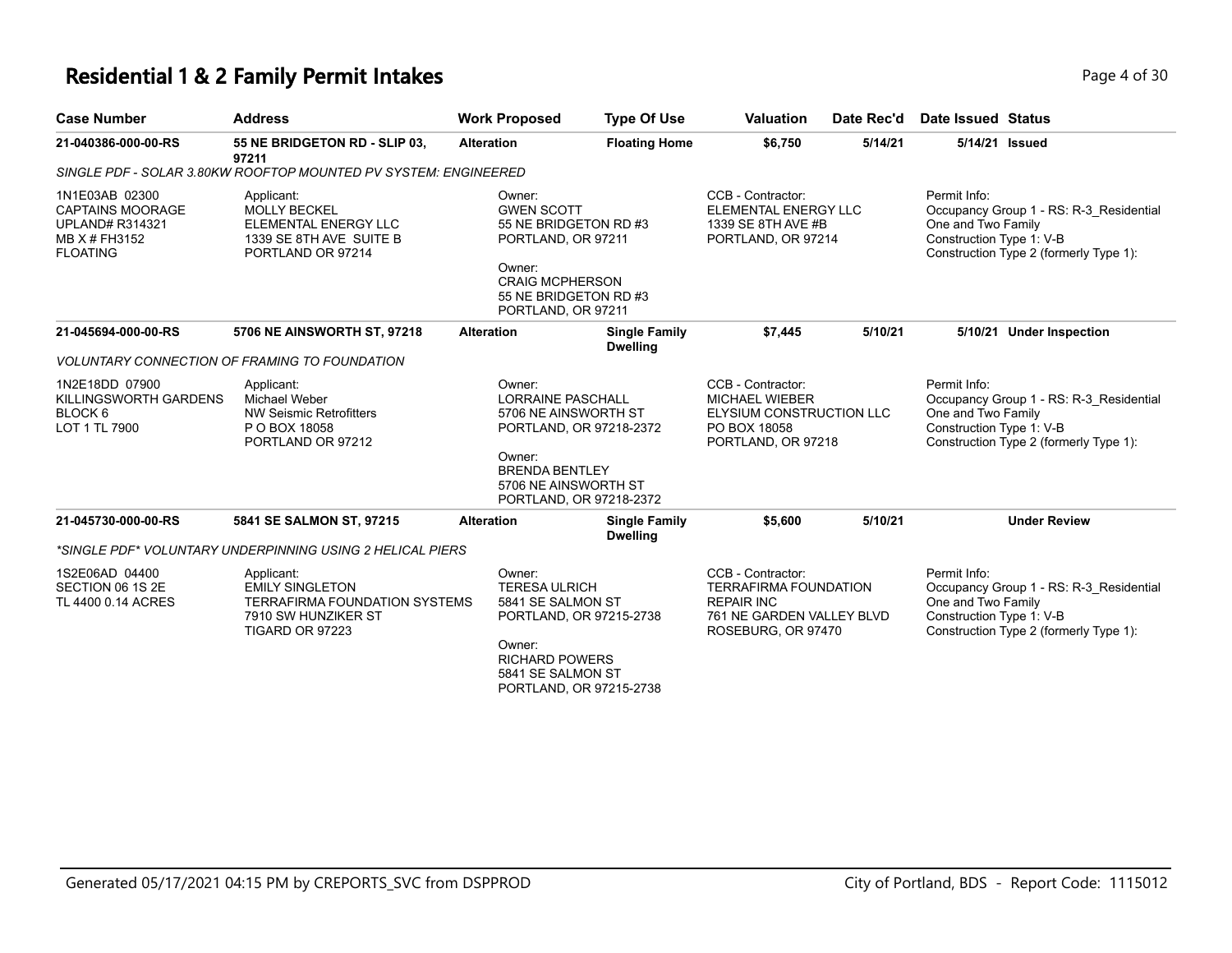#### **Residential 1 & 2 Family Permit Intakes Page 1 of 30** Page 4 of 30

| <b>Case Number</b>                                                                                      | <b>Address</b>                                                                                                         | <b>Work Proposed</b>                                                                                                                                          | <b>Type Of Use</b>                                 | <b>Valuation</b>                                                                                                          | Date Rec'd | Date Issued Status                                             |                                                                                   |
|---------------------------------------------------------------------------------------------------------|------------------------------------------------------------------------------------------------------------------------|---------------------------------------------------------------------------------------------------------------------------------------------------------------|----------------------------------------------------|---------------------------------------------------------------------------------------------------------------------------|------------|----------------------------------------------------------------|-----------------------------------------------------------------------------------|
| 21-040386-000-00-RS                                                                                     | 55 NE BRIDGETON RD - SLIP 03,<br>97211                                                                                 | <b>Alteration</b>                                                                                                                                             | <b>Floating Home</b>                               | \$6,750                                                                                                                   | 5/14/21    | 5/14/21 Issued                                                 |                                                                                   |
|                                                                                                         | SINGLE PDF - SOLAR 3.80KW ROOFTOP MOUNTED PV SYSTEM: ENGINEERED                                                        |                                                                                                                                                               |                                                    |                                                                                                                           |            |                                                                |                                                                                   |
| 1N1E03AB 02300<br><b>CAPTAINS MOORAGE</b><br><b>UPLAND# R314321</b><br>MB X # FH3152<br><b>FLOATING</b> | Applicant:<br><b>MOLLY BECKEL</b><br>ELEMENTAL ENERGY LLC<br>1339 SE 8TH AVE SUITE B<br>PORTLAND OR 97214              | Owner:<br><b>GWEN SCOTT</b><br>55 NE BRIDGETON RD #3<br>PORTLAND, OR 97211<br>Owner:<br><b>CRAIG MCPHERSON</b><br>55 NE BRIDGETON RD #3<br>PORTLAND, OR 97211 |                                                    | CCB - Contractor:<br>ELEMENTAL ENERGY LLC<br>1339 SE 8TH AVE #B<br>PORTLAND, OR 97214                                     |            | Permit Info:<br>One and Two Family<br>Construction Type 1: V-B | Occupancy Group 1 - RS: R-3 Residential<br>Construction Type 2 (formerly Type 1): |
| 21-045694-000-00-RS                                                                                     | 5706 NE AINSWORTH ST, 97218                                                                                            | <b>Alteration</b>                                                                                                                                             | <b>Single Family</b><br><b>Dwelling</b>            | \$7,445                                                                                                                   | 5/10/21    |                                                                | 5/10/21 Under Inspection                                                          |
|                                                                                                         | <b>VOLUNTARY CONNECTION OF FRAMING TO FOUNDATION</b>                                                                   |                                                                                                                                                               |                                                    |                                                                                                                           |            |                                                                |                                                                                   |
| 1N2E18DD 07900<br>KILLINGSWORTH GARDENS<br>BLOCK <sub>6</sub><br>LOT 1 TL 7900                          | Applicant:<br><b>Michael Weber</b><br><b>NW Seismic Retrofitters</b><br>P O BOX 18058<br>PORTLAND OR 97212             | Owner:<br><b>LORRAINE PASCHALL</b><br>5706 NE AINSWORTH ST<br>Owner:<br><b>BRENDA BENTLEY</b><br>5706 NE AINSWORTH ST                                         | PORTLAND, OR 97218-2372<br>PORTLAND, OR 97218-2372 | CCB - Contractor:<br><b>MICHAEL WIEBER</b><br>ELYSIUM CONSTRUCTION LLC<br>PO BOX 18058<br>PORTLAND, OR 97218              |            | Permit Info:<br>One and Two Family<br>Construction Type 1: V-B | Occupancy Group 1 - RS: R-3 Residential<br>Construction Type 2 (formerly Type 1): |
| 21-045730-000-00-RS                                                                                     | 5841 SE SALMON ST, 97215                                                                                               | <b>Alteration</b>                                                                                                                                             | <b>Single Family</b><br><b>Dwelling</b>            | \$5,600                                                                                                                   | 5/10/21    |                                                                | <b>Under Review</b>                                                               |
|                                                                                                         | *SINGLE PDF* VOLUNTARY UNDERPINNING USING 2 HELICAL PIERS                                                              |                                                                                                                                                               |                                                    |                                                                                                                           |            |                                                                |                                                                                   |
| 1S2E06AD 04400<br>SECTION 06 1S 2E<br>TL 4400 0.14 ACRES                                                | Applicant:<br><b>EMILY SINGLETON</b><br><b>TERRAFIRMA FOUNDATION SYSTEMS</b><br>7910 SW HUNZIKER ST<br>TIGARD OR 97223 | Owner:<br><b>TERESA ULRICH</b><br>5841 SE SALMON ST<br>Owner:<br><b>RICHARD POWERS</b><br>5841 SE SALMON ST                                                   | PORTLAND, OR 97215-2738<br>PORTLAND, OR 97215-2738 | CCB - Contractor:<br><b>TERRAFIRMA FOUNDATION</b><br><b>REPAIR INC</b><br>761 NE GARDEN VALLEY BLVD<br>ROSEBURG, OR 97470 |            | Permit Info:<br>One and Two Family<br>Construction Type 1: V-B | Occupancy Group 1 - RS: R-3 Residential<br>Construction Type 2 (formerly Type 1): |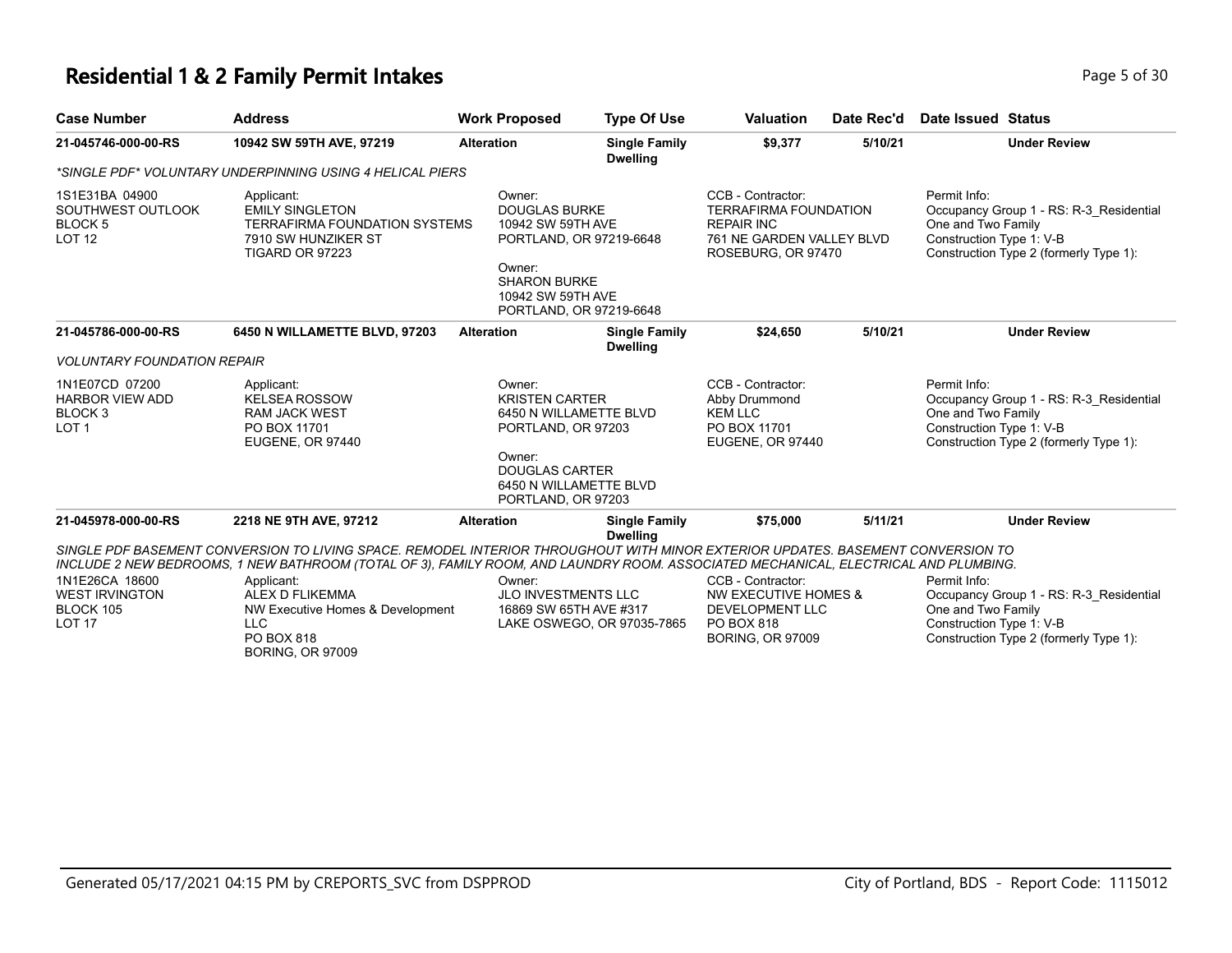### **Residential 1 & 2 Family Permit Intakes Page 1 and 2 and 2 and 2 and 2 and 2 and 2 and 2 and 2 and 2 and 2 and 2 and 2 and 2 and 2 and 2 and 2 and 2 and 2 and 2 and 2 and 2 and 2 and 2 and 2 and 2 and 2 and 2 and 2 and**

| <b>Case Number</b>                                                                 | <b>Address</b>                                                                                                                                                                                                                                                                                                                                                                                            | <b>Work Proposed</b>                                                                                           | <b>Type Of Use</b>                                   | <b>Valuation</b>                                                                                                               | Date Rec'd | Date Issued Status                                                                                                                                  |
|------------------------------------------------------------------------------------|-----------------------------------------------------------------------------------------------------------------------------------------------------------------------------------------------------------------------------------------------------------------------------------------------------------------------------------------------------------------------------------------------------------|----------------------------------------------------------------------------------------------------------------|------------------------------------------------------|--------------------------------------------------------------------------------------------------------------------------------|------------|-----------------------------------------------------------------------------------------------------------------------------------------------------|
| 21-045746-000-00-RS                                                                | 10942 SW 59TH AVE, 97219                                                                                                                                                                                                                                                                                                                                                                                  | <b>Alteration</b>                                                                                              | <b>Single Family</b><br><b>Dwelling</b>              | \$9,377                                                                                                                        | 5/10/21    | <b>Under Review</b>                                                                                                                                 |
|                                                                                    | *SINGLE PDF* VOLUNTARY UNDERPINNING USING 4 HELICAL PIERS                                                                                                                                                                                                                                                                                                                                                 |                                                                                                                |                                                      |                                                                                                                                |            |                                                                                                                                                     |
| 1S1E31BA 04900<br>SOUTHWEST OUTLOOK<br>BLOCK <sub>5</sub><br><b>LOT 12</b>         | Applicant:<br><b>EMILY SINGLETON</b><br><b>TERRAFIRMA FOUNDATION SYSTEMS</b><br>7910 SW HUNZIKER ST<br>TIGARD OR 97223                                                                                                                                                                                                                                                                                    | Owner:<br><b>DOUGLAS BURKE</b><br>10942 SW 59TH AVE<br>Owner:<br><b>SHARON BURKE</b><br>10942 SW 59TH AVE      | PORTLAND, OR 97219-6648<br>PORTLAND, OR 97219-6648   | CCB - Contractor:<br><b>TERRAFIRMA FOUNDATION</b><br><b>REPAIR INC</b><br>761 NE GARDEN VALLEY BLVD<br>ROSEBURG, OR 97470      |            | Permit Info:<br>Occupancy Group 1 - RS: R-3_Residential<br>One and Two Family<br>Construction Type 1: V-B<br>Construction Type 2 (formerly Type 1): |
| 21-045786-000-00-RS                                                                | 6450 N WILLAMETTE BLVD, 97203                                                                                                                                                                                                                                                                                                                                                                             | <b>Alteration</b>                                                                                              | <b>Single Family</b><br><b>Dwelling</b>              | \$24,650                                                                                                                       | 5/10/21    | <b>Under Review</b>                                                                                                                                 |
| <b>VOLUNTARY FOUNDATION REPAIR</b>                                                 |                                                                                                                                                                                                                                                                                                                                                                                                           |                                                                                                                |                                                      |                                                                                                                                |            |                                                                                                                                                     |
| 1N1E07CD 07200<br><b>HARBOR VIEW ADD</b><br>BLOCK <sub>3</sub><br>LOT <sub>1</sub> | Applicant:<br><b>KELSEA ROSSOW</b><br><b>RAM JACK WEST</b><br>PO BOX 11701<br>EUGENE, OR 97440                                                                                                                                                                                                                                                                                                            | Owner:<br><b>KRISTEN CARTER</b><br>PORTLAND, OR 97203<br>Owner:<br><b>DOUGLAS CARTER</b><br>PORTLAND, OR 97203 | 6450 N WILLAMETTE BLVD<br>6450 N WILLAMETTE BLVD     | CCB - Contractor:<br>Abby Drummond<br><b>KEM LLC</b><br>PO BOX 11701<br><b>EUGENE, OR 97440</b>                                |            | Permit Info:<br>Occupancy Group 1 - RS: R-3 Residential<br>One and Two Family<br>Construction Type 1: V-B<br>Construction Type 2 (formerly Type 1): |
| 21-045978-000-00-RS                                                                | 2218 NE 9TH AVE, 97212                                                                                                                                                                                                                                                                                                                                                                                    | <b>Alteration</b>                                                                                              | <b>Single Family</b><br><b>Dwelling</b>              | \$75,000                                                                                                                       | 5/11/21    | <b>Under Review</b>                                                                                                                                 |
| 1N1E26CA 18600<br><b>WEST IRVINGTON</b><br>BLOCK 105<br><b>LOT 17</b>              | SINGLE PDF BASEMENT CONVERSION TO LIVING SPACE. REMODEL INTERIOR THROUGHOUT WITH MINOR EXTERIOR UPDATES. BASEMENT CONVERSION TO<br>INCLUDE 2 NEW BEDROOMS, 1 NEW BATHROOM (TOTAL OF 3), FAMILY ROOM, AND LAUNDRY ROOM. ASSOCIATED MECHANICAL, ELECTRICAL AND PLUMBING.<br>Applicant:<br><b>ALEX D FLIKEMMA</b><br>NW Executive Homes & Development<br><b>LLC</b><br>PO BOX 818<br><b>BORING, OR 97009</b> | Owner:<br>JLO INVESTMENTS LLC                                                                                  | 16869 SW 65TH AVE #317<br>LAKE OSWEGO, OR 97035-7865 | CCB - Contractor:<br><b>NW EXECUTIVE HOMES &amp;</b><br><b>DEVELOPMENT LLC</b><br><b>PO BOX 818</b><br><b>BORING, OR 97009</b> |            | Permit Info:<br>Occupancy Group 1 - RS: R-3_Residential<br>One and Two Family<br>Construction Type 1: V-B<br>Construction Type 2 (formerly Type 1): |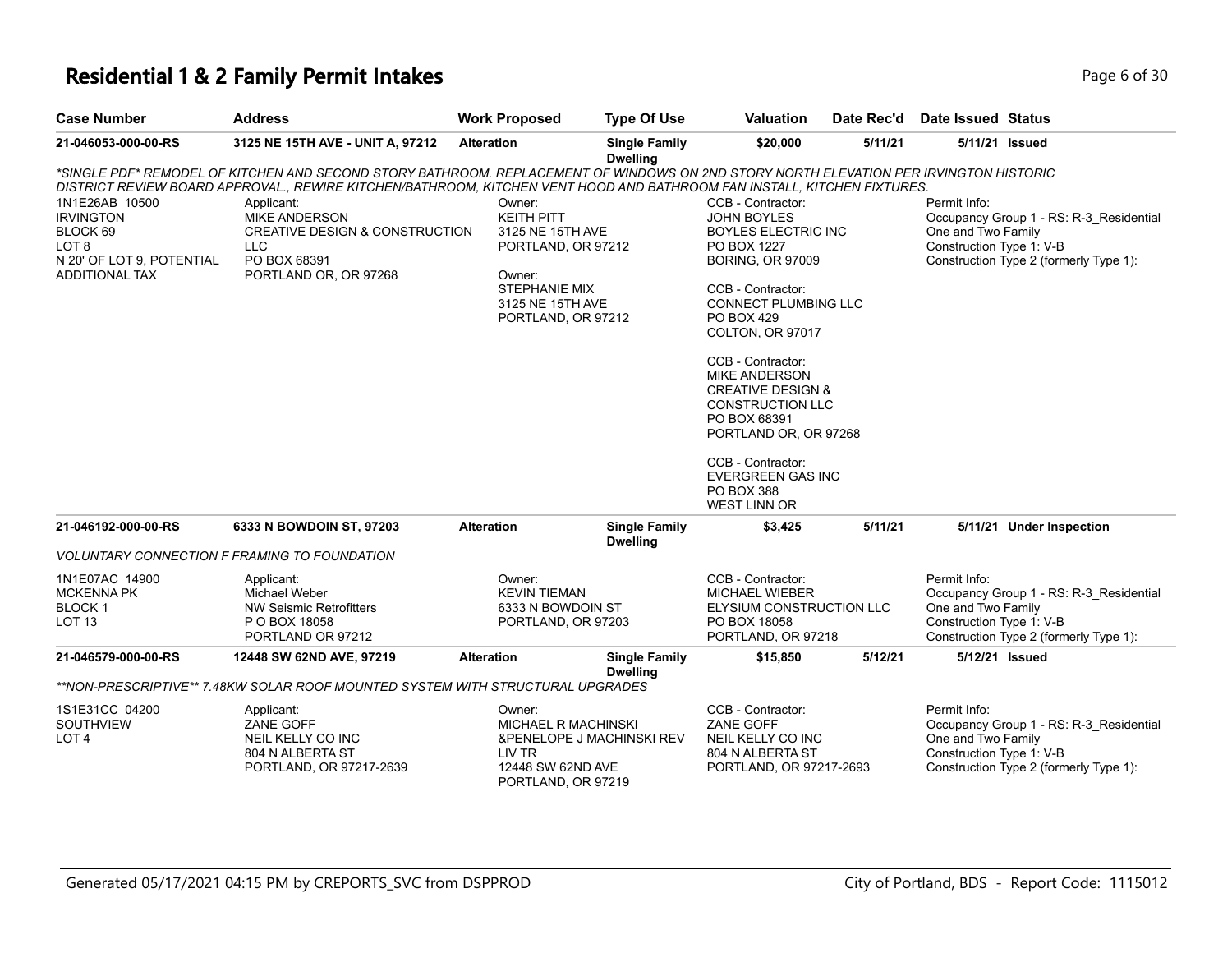### **Residential 1 & 2 Family Permit Intakes Page 1 and 2 and 2 and 2 and 2 and 2 and 2 and 2 and 2 and 2 and 2 and 2 and 2 and 2 and 2 and 2 and 2 and 2 and 2 and 2 and 2 and 2 and 2 and 2 and 2 and 2 and 2 and 2 and 2 and**

| <b>Case Number</b>                                                                                                       | <b>Address</b>                                                                                                                                                                                                                                                                                                                                                                                             | <b>Work Proposed</b>                                                                                                                       | <b>Type Of Use</b>                      | <b>Valuation</b>                                                                                                                                                                                                                                                                                                                                                                                                                      | Date Rec'd | <b>Date Issued Status</b>                                      |                                                                                   |
|--------------------------------------------------------------------------------------------------------------------------|------------------------------------------------------------------------------------------------------------------------------------------------------------------------------------------------------------------------------------------------------------------------------------------------------------------------------------------------------------------------------------------------------------|--------------------------------------------------------------------------------------------------------------------------------------------|-----------------------------------------|---------------------------------------------------------------------------------------------------------------------------------------------------------------------------------------------------------------------------------------------------------------------------------------------------------------------------------------------------------------------------------------------------------------------------------------|------------|----------------------------------------------------------------|-----------------------------------------------------------------------------------|
| 21-046053-000-00-RS                                                                                                      | 3125 NE 15TH AVE - UNIT A, 97212                                                                                                                                                                                                                                                                                                                                                                           | <b>Alteration</b>                                                                                                                          | <b>Single Family</b><br><b>Dwelling</b> | \$20,000                                                                                                                                                                                                                                                                                                                                                                                                                              | 5/11/21    | 5/11/21 Issued                                                 |                                                                                   |
| 1N1E26AB 10500<br><b>IRVINGTON</b><br>BLOCK 69<br>LOT <sub>8</sub><br>N 20' OF LOT 9, POTENTIAL<br><b>ADDITIONAL TAX</b> | *SINGLE PDF* REMODEL OF KITCHEN AND SECOND STORY BATHROOM. REPLACEMENT OF WINDOWS ON 2ND STORY NORTH ELEVATION PER IRVINGTON HISTORIC<br>DISTRICT REVIEW BOARD APPROVAL., REWIRE KITCHEN/BATHROOM, KITCHEN VENT HOOD AND BATHROOM FAN INSTALL, KITCHEN FIXTURES.<br>Applicant:<br><b>MIKE ANDERSON</b><br><b>CREATIVE DESIGN &amp; CONSTRUCTION</b><br><b>LLC</b><br>PO BOX 68391<br>PORTLAND OR, OR 97268 | Owner:<br><b>KEITH PITT</b><br>3125 NE 15TH AVE<br>PORTLAND, OR 97212<br>Owner:<br>STEPHANIE MIX<br>3125 NE 15TH AVE<br>PORTLAND, OR 97212 |                                         | CCB - Contractor:<br><b>JOHN BOYLES</b><br><b>BOYLES ELECTRIC INC</b><br>PO BOX 1227<br><b>BORING, OR 97009</b><br>CCB - Contractor:<br><b>CONNECT PLUMBING LLC</b><br>PO BOX 429<br>COLTON, OR 97017<br>CCB - Contractor:<br><b>MIKE ANDERSON</b><br><b>CREATIVE DESIGN &amp;</b><br><b>CONSTRUCTION LLC</b><br>PO BOX 68391<br>PORTLAND OR, OR 97268<br>CCB - Contractor:<br>EVERGREEN GAS INC<br>PO BOX 388<br><b>WEST LINN OR</b> |            | Permit Info:<br>One and Two Family<br>Construction Type 1: V-B | Occupancy Group 1 - RS: R-3 Residential<br>Construction Type 2 (formerly Type 1): |
| 21-046192-000-00-RS                                                                                                      | 6333 N BOWDOIN ST, 97203                                                                                                                                                                                                                                                                                                                                                                                   | <b>Alteration</b>                                                                                                                          | <b>Single Family</b><br><b>Dwelling</b> | \$3,425                                                                                                                                                                                                                                                                                                                                                                                                                               | 5/11/21    |                                                                | 5/11/21 Under Inspection                                                          |
|                                                                                                                          | <b>VOLUNTARY CONNECTION F FRAMING TO FOUNDATION</b>                                                                                                                                                                                                                                                                                                                                                        |                                                                                                                                            |                                         |                                                                                                                                                                                                                                                                                                                                                                                                                                       |            |                                                                |                                                                                   |
| 1N1E07AC 14900<br><b>MCKENNA PK</b><br>BLOCK <sub>1</sub><br><b>LOT 13</b>                                               | Applicant:<br>Michael Weber<br><b>NW Seismic Retrofitters</b><br>P O BOX 18058<br>PORTLAND OR 97212                                                                                                                                                                                                                                                                                                        | Owner:<br><b>KEVIN TIEMAN</b><br>6333 N BOWDOIN ST<br>PORTLAND, OR 97203                                                                   |                                         | CCB - Contractor:<br><b>MICHAEL WIEBER</b><br>ELYSIUM CONSTRUCTION LLC<br>PO BOX 18058<br>PORTLAND, OR 97218                                                                                                                                                                                                                                                                                                                          |            | Permit Info:<br>One and Two Family<br>Construction Type 1: V-B | Occupancy Group 1 - RS: R-3_Residential<br>Construction Type 2 (formerly Type 1): |
| 21-046579-000-00-RS                                                                                                      | 12448 SW 62ND AVE, 97219                                                                                                                                                                                                                                                                                                                                                                                   | <b>Alteration</b>                                                                                                                          | <b>Single Family</b>                    | \$15,850                                                                                                                                                                                                                                                                                                                                                                                                                              | 5/12/21    | 5/12/21 Issued                                                 |                                                                                   |
|                                                                                                                          | **NON-PRESCRIPTIVE** 7.48KW SOLAR ROOF MOUNTED SYSTEM WITH STRUCTURAL UPGRADES                                                                                                                                                                                                                                                                                                                             |                                                                                                                                            | <b>Dwelling</b>                         |                                                                                                                                                                                                                                                                                                                                                                                                                                       |            |                                                                |                                                                                   |
| 1S1E31CC 04200<br>SOUTHVIEW<br>LOT <sub>4</sub>                                                                          | Applicant:<br>ZANE GOFF<br>NEIL KELLY CO INC<br>804 N ALBERTA ST<br>PORTLAND, OR 97217-2639                                                                                                                                                                                                                                                                                                                | Owner:<br>MICHAEL R MACHINSKI<br>LIV TR<br>12448 SW 62ND AVE<br>PORTLAND, OR 97219                                                         | &PENELOPE J MACHINSKI REV               | CCB - Contractor:<br>ZANE GOFF<br>NEIL KELLY CO INC<br>804 N ALBERTA ST<br>PORTLAND, OR 97217-2693                                                                                                                                                                                                                                                                                                                                    |            | Permit Info:<br>One and Two Family<br>Construction Type 1: V-B | Occupancy Group 1 - RS: R-3_Residential<br>Construction Type 2 (formerly Type 1): |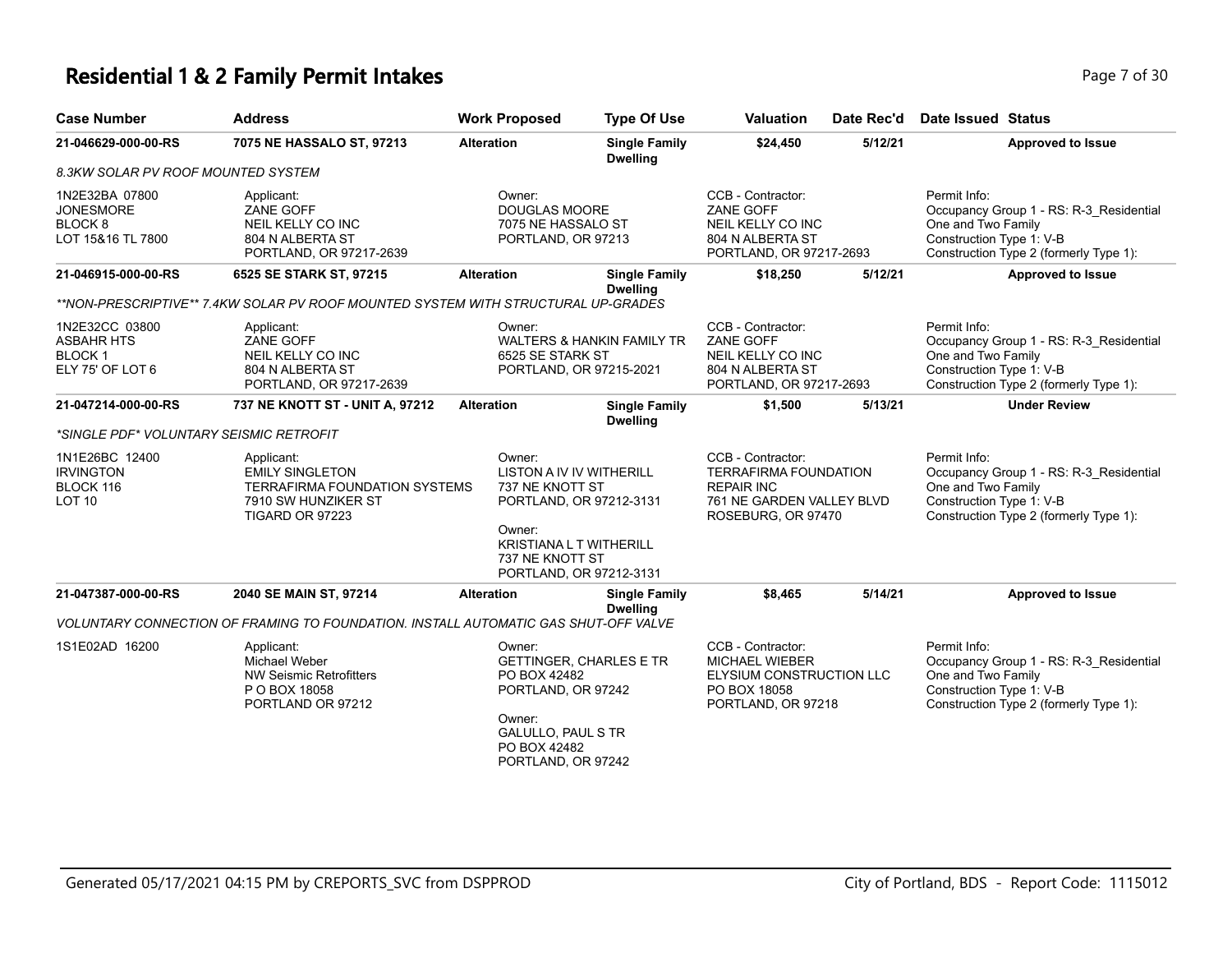# **Residential 1 & 2 Family Permit Intakes Page 7 of 30**

| <b>Case Number</b>                                                            | <b>Address</b>                                                                                                         | <b>Work Proposed</b>                                                                                               | <b>Type Of Use</b>                                                                                        | Valuation                                                                                                                 | Date Rec'd | <b>Date Issued Status</b>                                                                                                                           |
|-------------------------------------------------------------------------------|------------------------------------------------------------------------------------------------------------------------|--------------------------------------------------------------------------------------------------------------------|-----------------------------------------------------------------------------------------------------------|---------------------------------------------------------------------------------------------------------------------------|------------|-----------------------------------------------------------------------------------------------------------------------------------------------------|
| 21-046629-000-00-RS                                                           | 7075 NE HASSALO ST, 97213                                                                                              | <b>Alteration</b>                                                                                                  | <b>Single Family</b><br><b>Dwelling</b>                                                                   | \$24,450                                                                                                                  | 5/12/21    | <b>Approved to Issue</b>                                                                                                                            |
| 8.3KW SOLAR PV ROOF MOUNTED SYSTEM                                            |                                                                                                                        |                                                                                                                    |                                                                                                           |                                                                                                                           |            |                                                                                                                                                     |
| 1N2E32BA 07800<br><b>JONESMORE</b><br>BLOCK <sub>8</sub><br>LOT 15&16 TL 7800 | Applicant:<br>ZANE GOFF<br>NEIL KELLY CO INC<br>804 N ALBERTA ST<br>PORTLAND, OR 97217-2639                            | Owner:<br><b>DOUGLAS MOORE</b><br>7075 NE HASSALO ST<br>PORTLAND, OR 97213                                         |                                                                                                           | CCB - Contractor:<br><b>ZANE GOFF</b><br>NEIL KELLY CO INC<br>804 N ALBERTA ST<br>PORTLAND, OR 97217-2693                 |            | Permit Info:<br>Occupancy Group 1 - RS: R-3 Residential<br>One and Two Family<br>Construction Type 1: V-B<br>Construction Type 2 (formerly Type 1): |
| 21-046915-000-00-RS                                                           | 6525 SE STARK ST, 97215                                                                                                | <b>Alteration</b>                                                                                                  | <b>Single Family</b>                                                                                      | \$18,250                                                                                                                  | 5/12/21    | <b>Approved to Issue</b>                                                                                                                            |
|                                                                               | **NON-PRESCRIPTIVE** 7.4KW SOLAR PV ROOF MOUNTED SYSTEM WITH STRUCTURAL UP-GRADES                                      |                                                                                                                    | <b>Dwelling</b>                                                                                           |                                                                                                                           |            |                                                                                                                                                     |
| 1N2E32CC 03800<br><b>ASBAHR HTS</b><br><b>BLOCK1</b><br>ELY 75' OF LOT 6      | Applicant:<br>ZANE GOFF<br>NEIL KELLY CO INC<br>804 N ALBERTA ST<br>PORTLAND, OR 97217-2639                            | Owner:<br>6525 SE STARK ST                                                                                         | <b>WALTERS &amp; HANKIN FAMILY TR</b><br>PORTLAND, OR 97215-2021                                          | CCB - Contractor:<br><b>ZANE GOFF</b><br>NEIL KELLY CO INC<br>804 N ALBERTA ST<br>PORTLAND, OR 97217-2693                 |            | Permit Info:<br>Occupancy Group 1 - RS: R-3 Residential<br>One and Two Family<br>Construction Type 1: V-B<br>Construction Type 2 (formerly Type 1): |
| 21-047214-000-00-RS                                                           | 737 NE KNOTT ST - UNIT A, 97212                                                                                        | <b>Alteration</b>                                                                                                  | <b>Single Family</b>                                                                                      | \$1,500                                                                                                                   | 5/13/21    | <b>Under Review</b>                                                                                                                                 |
| *SINGLE PDF* VOLUNTARY SEISMIC RETROFIT                                       |                                                                                                                        |                                                                                                                    | <b>Dwelling</b>                                                                                           |                                                                                                                           |            |                                                                                                                                                     |
| 1N1E26BC 12400<br><b>IRVINGTON</b><br>BLOCK 116<br><b>LOT 10</b>              | Applicant:<br><b>EMILY SINGLETON</b><br><b>TERRAFIRMA FOUNDATION SYSTEMS</b><br>7910 SW HUNZIKER ST<br>TIGARD OR 97223 | Owner:<br>737 NE KNOTT ST<br>Owner:<br>737 NE KNOTT ST                                                             | LISTON A IV IV WITHERILL<br>PORTLAND, OR 97212-3131<br>KRISTIANA L T WITHERILL<br>PORTLAND, OR 97212-3131 | CCB - Contractor:<br><b>TERRAFIRMA FOUNDATION</b><br><b>REPAIR INC</b><br>761 NE GARDEN VALLEY BLVD<br>ROSEBURG, OR 97470 |            | Permit Info:<br>Occupancy Group 1 - RS: R-3_Residential<br>One and Two Family<br>Construction Type 1: V-B<br>Construction Type 2 (formerly Type 1): |
| 21-047387-000-00-RS                                                           | 2040 SE MAIN ST, 97214                                                                                                 | <b>Alteration</b>                                                                                                  | <b>Single Family</b><br><b>Dwelling</b>                                                                   | \$8,465                                                                                                                   | 5/14/21    | Approved to Issue                                                                                                                                   |
|                                                                               | VOLUNTARY CONNECTION OF FRAMING TO FOUNDATION. INSTALL AUTOMATIC GAS SHUT-OFF VALVE                                    |                                                                                                                    |                                                                                                           |                                                                                                                           |            |                                                                                                                                                     |
| 1S1E02AD 16200                                                                | Applicant:<br><b>Michael Weber</b><br><b>NW Seismic Retrofitters</b><br>P O BOX 18058<br>PORTLAND OR 97212             | Owner:<br>PO BOX 42482<br>PORTLAND, OR 97242<br>Owner:<br>GALULLO, PAUL S TR<br>PO BOX 42482<br>PORTLAND, OR 97242 | <b>GETTINGER, CHARLES E TR</b>                                                                            | CCB - Contractor:<br><b>MICHAEL WIEBER</b><br>ELYSIUM CONSTRUCTION LLC<br>PO BOX 18058<br>PORTLAND, OR 97218              |            | Permit Info:<br>Occupancy Group 1 - RS: R-3_Residential<br>One and Two Family<br>Construction Type 1: V-B<br>Construction Type 2 (formerly Type 1): |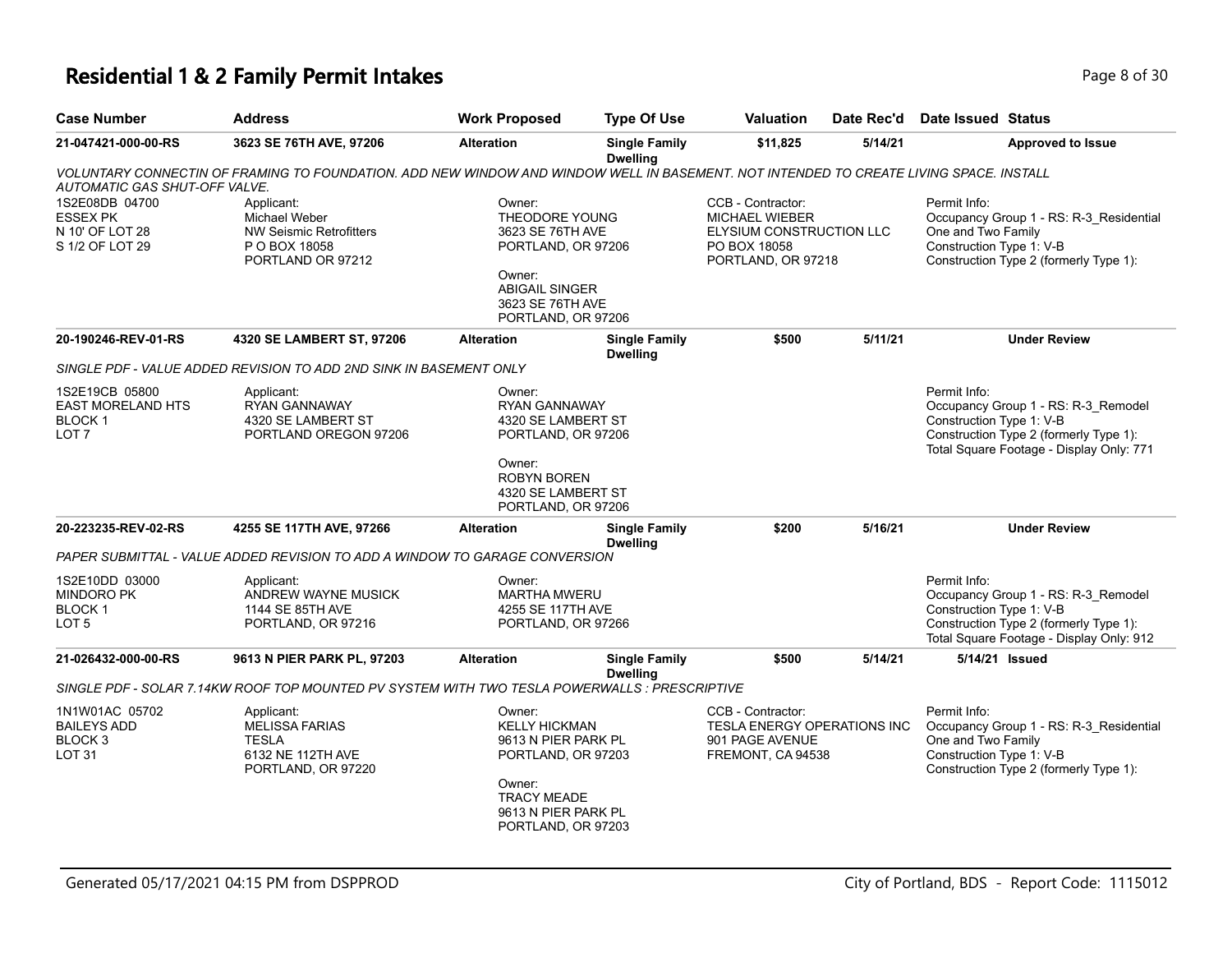## **Residential 1 & 2 Family Permit Intakes Page 1 and 2 and 2 and 2 and 2 and 2 and 2 and 2 and 2 and 2 and 2 and 2 and 2 and 2 and 2 and 2 and 2 and 2 and 2 and 2 and 2 and 2 and 2 and 2 and 2 and 2 and 2 and 2 and 2 and**

| Page 8 of |  |  |
|-----------|--|--|
|           |  |  |

| <b>Case Number</b>                                                              | <b>Address</b>                                                                                                                         | <b>Work Proposed</b>                                                                                                                                     | <b>Type Of Use</b>                      | <b>Valuation</b>                                                                                             | Date Rec'd | <b>Date Issued Status</b>                                                                                                                                             |  |
|---------------------------------------------------------------------------------|----------------------------------------------------------------------------------------------------------------------------------------|----------------------------------------------------------------------------------------------------------------------------------------------------------|-----------------------------------------|--------------------------------------------------------------------------------------------------------------|------------|-----------------------------------------------------------------------------------------------------------------------------------------------------------------------|--|
| 21-047421-000-00-RS                                                             | 3623 SE 76TH AVE, 97206                                                                                                                | <b>Alteration</b>                                                                                                                                        | <b>Single Family</b><br><b>Dwelling</b> | \$11,825                                                                                                     | 5/14/21    | <b>Approved to Issue</b>                                                                                                                                              |  |
| AUTOMATIC GAS SHUT-OFF VALVE.                                                   | VOLUNTARY CONNECTIN OF FRAMING TO FOUNDATION. ADD NEW WINDOW AND WINDOW WELL IN BASEMENT. NOT INTENDED TO CREATE LIVING SPACE. INSTALL |                                                                                                                                                          |                                         |                                                                                                              |            |                                                                                                                                                                       |  |
| 1S2E08DB 04700<br><b>ESSEX PK</b><br>N 10' OF LOT 28<br>S 1/2 OF LOT 29         | Applicant:<br>Michael Weber<br><b>NW Seismic Retrofitters</b><br>P O BOX 18058<br>PORTLAND OR 97212                                    | Owner:<br>THEODORE YOUNG<br>3623 SE 76TH AVE<br>PORTLAND, OR 97206<br>Owner:<br><b>ABIGAIL SINGER</b><br>3623 SE 76TH AVE<br>PORTLAND, OR 97206          |                                         | CCB - Contractor:<br><b>MICHAEL WIEBER</b><br>ELYSIUM CONSTRUCTION LLC<br>PO BOX 18058<br>PORTLAND, OR 97218 |            | Permit Info:<br>Occupancy Group 1 - RS: R-3_Residential<br>One and Two Family<br>Construction Type 1: V-B<br>Construction Type 2 (formerly Type 1):                   |  |
| 20-190246-REV-01-RS                                                             | 4320 SE LAMBERT ST, 97206                                                                                                              | <b>Alteration</b>                                                                                                                                        | <b>Single Family</b><br><b>Dwelling</b> | \$500                                                                                                        | 5/11/21    | <b>Under Review</b>                                                                                                                                                   |  |
|                                                                                 | SINGLE PDF - VALUE ADDED REVISION TO ADD 2ND SINK IN BASEMENT ONLY                                                                     |                                                                                                                                                          |                                         |                                                                                                              |            |                                                                                                                                                                       |  |
| 1S2E19CB 05800<br><b>EAST MORELAND HTS</b><br><b>BLOCK1</b><br>LOT <sub>7</sub> | Applicant:<br>RYAN GANNAWAY<br>4320 SE LAMBERT ST<br>PORTLAND OREGON 97206                                                             | Owner:<br><b>RYAN GANNAWAY</b><br>4320 SE LAMBERT ST<br>PORTLAND, OR 97206                                                                               |                                         |                                                                                                              |            | Permit Info:<br>Occupancy Group 1 - RS: R-3_Remodel<br>Construction Type 1: V-B<br>Construction Type 2 (formerly Type 1):<br>Total Square Footage - Display Only: 771 |  |
|                                                                                 |                                                                                                                                        | Owner:<br><b>ROBYN BOREN</b><br>4320 SE LAMBERT ST<br>PORTLAND, OR 97206                                                                                 |                                         |                                                                                                              |            |                                                                                                                                                                       |  |
| 20-223235-REV-02-RS                                                             | 4255 SE 117TH AVE, 97266                                                                                                               | <b>Alteration</b>                                                                                                                                        | <b>Single Family</b><br><b>Dwelling</b> | \$200                                                                                                        | 5/16/21    | <b>Under Review</b>                                                                                                                                                   |  |
|                                                                                 | PAPER SUBMITTAL - VALUE ADDED REVISION TO ADD A WINDOW TO GARAGE CONVERSION                                                            |                                                                                                                                                          |                                         |                                                                                                              |            |                                                                                                                                                                       |  |
| 1S2E10DD 03000<br><b>MINDORO PK</b><br><b>BLOCK1</b><br>LOT 5                   | Applicant:<br>ANDREW WAYNE MUSICK<br>1144 SE 85TH AVE<br>PORTLAND, OR 97216                                                            | Owner:<br><b>MARTHA MWERU</b><br>4255 SE 117TH AVE<br>PORTLAND, OR 97266                                                                                 |                                         |                                                                                                              |            | Permit Info:<br>Occupancy Group 1 - RS: R-3_Remodel<br>Construction Type 1: V-B<br>Construction Type 2 (formerly Type 1):<br>Total Square Footage - Display Only: 912 |  |
| 21-026432-000-00-RS                                                             | 9613 N PIER PARK PL, 97203                                                                                                             | <b>Alteration</b>                                                                                                                                        | <b>Single Family</b><br><b>Dwelling</b> | \$500                                                                                                        | 5/14/21    | 5/14/21 Issued                                                                                                                                                        |  |
|                                                                                 | SINGLE PDF - SOLAR 7.14KW ROOF TOP MOUNTED PV SYSTEM WITH TWO TESLA POWERWALLS : PRESCRIPTIVE                                          |                                                                                                                                                          |                                         |                                                                                                              |            |                                                                                                                                                                       |  |
| 1N1W01AC 05702<br><b>BAILEYS ADD</b><br>BLOCK <sub>3</sub><br><b>LOT 31</b>     | Applicant:<br><b>MELISSA FARIAS</b><br><b>TESLA</b><br>6132 NE 112TH AVE<br>PORTLAND, OR 97220                                         | Owner:<br><b>KELLY HICKMAN</b><br>9613 N PIER PARK PL<br>PORTLAND, OR 97203<br>Owner:<br><b>TRACY MEADE</b><br>9613 N PIER PARK PL<br>PORTLAND, OR 97203 |                                         | CCB - Contractor:<br>TESLA ENERGY OPERATIONS INC<br>901 PAGE AVENUE<br>FREMONT, CA 94538                     |            | Permit Info:<br>Occupancy Group 1 - RS: R-3_Residential<br>One and Two Family<br>Construction Type 1: V-B<br>Construction Type 2 (formerly Type 1):                   |  |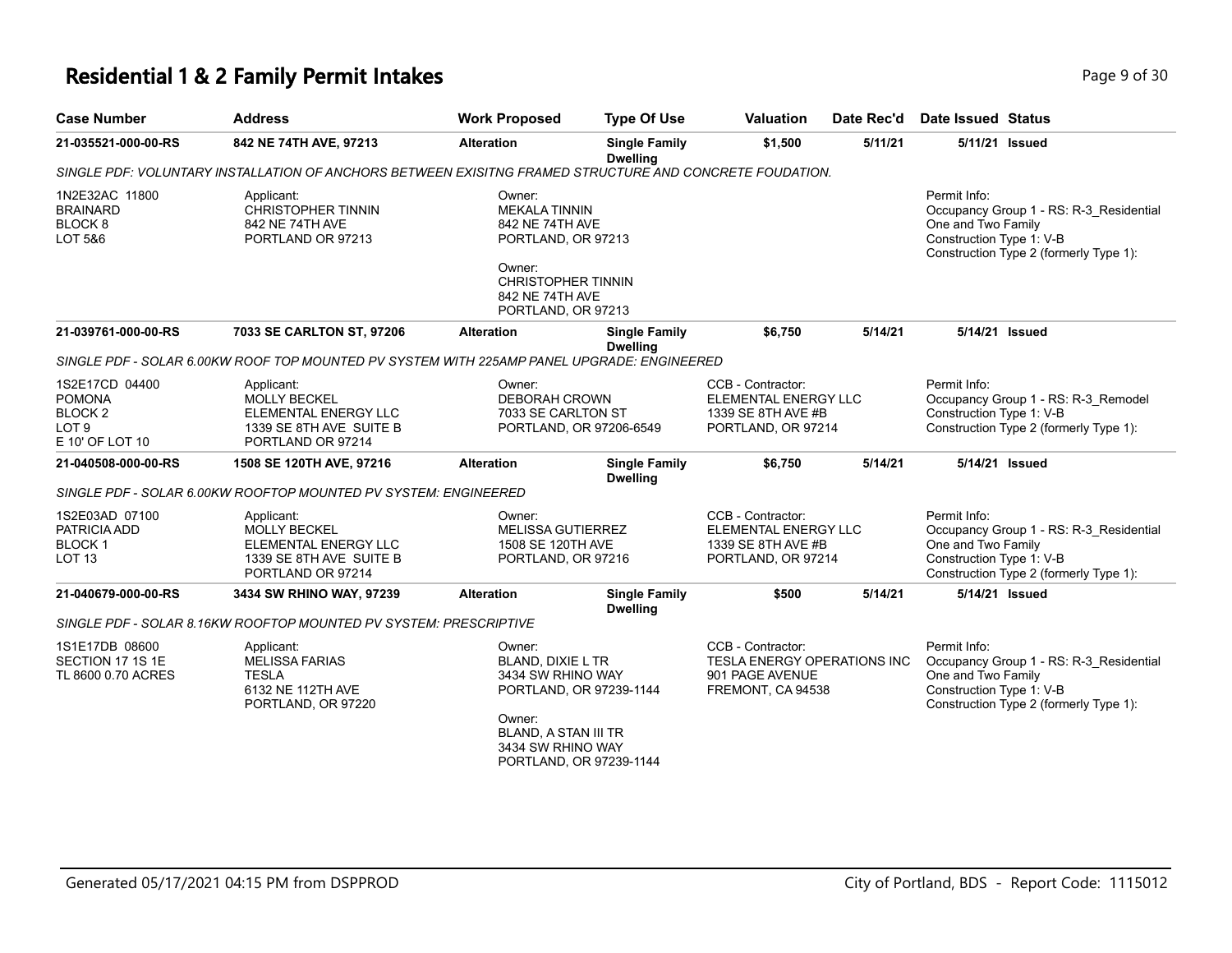# **Residential 1 & 2 Family Permit Intakes Page 1 and Security Page 9 of 30**

| <b>Case Number</b>                                                                           | <b>Address</b>                                                                                            | <b>Work Proposed</b>                                                                                                                                                        | <b>Type Of Use</b>                      | <b>Valuation</b>                                                                         | Date Rec'd | Date Issued Status                                                                                                                                  |
|----------------------------------------------------------------------------------------------|-----------------------------------------------------------------------------------------------------------|-----------------------------------------------------------------------------------------------------------------------------------------------------------------------------|-----------------------------------------|------------------------------------------------------------------------------------------|------------|-----------------------------------------------------------------------------------------------------------------------------------------------------|
| 21-035521-000-00-RS                                                                          | 842 NE 74TH AVE, 97213                                                                                    | <b>Alteration</b>                                                                                                                                                           | <b>Single Family</b><br><b>Dwelling</b> | \$1,500                                                                                  | 5/11/21    | 5/11/21 Issued                                                                                                                                      |
|                                                                                              | SINGLE PDF: VOLUNTARY INSTALLATION OF ANCHORS BETWEEN EXISITNG FRAMED STRUCTURE AND CONCRETE FOUDATION.   |                                                                                                                                                                             |                                         |                                                                                          |            |                                                                                                                                                     |
| 1N2E32AC 11800<br><b>BRAINARD</b><br>BLOCK <sub>8</sub><br>LOT 5&6                           | Applicant:<br><b>CHRISTOPHER TINNIN</b><br>842 NE 74TH AVE<br>PORTLAND OR 97213                           | Owner:<br><b>MEKALA TINNIN</b><br>842 NE 74TH AVE<br>PORTLAND, OR 97213<br>Owner:<br><b>CHRISTOPHER TINNIN</b><br>842 NE 74TH AVE<br>PORTLAND, OR 97213                     |                                         |                                                                                          |            | Permit Info:<br>Occupancy Group 1 - RS: R-3_Residential<br>One and Two Family<br>Construction Type 1: V-B<br>Construction Type 2 (formerly Type 1): |
| 21-039761-000-00-RS                                                                          | 7033 SE CARLTON ST, 97206                                                                                 | <b>Alteration</b>                                                                                                                                                           | <b>Single Family</b><br><b>Dwelling</b> | \$6,750                                                                                  | 5/14/21    | 5/14/21 Issued                                                                                                                                      |
|                                                                                              | SINGLE PDF - SOLAR 6.00KW ROOF TOP MOUNTED PV SYSTEM WITH 225AMP PANEL UPGRADE: ENGINEERED                |                                                                                                                                                                             |                                         |                                                                                          |            |                                                                                                                                                     |
| 1S2E17CD 04400<br><b>POMONA</b><br>BLOCK <sub>2</sub><br>LOT <sub>9</sub><br>E 10' OF LOT 10 | Applicant:<br><b>MOLLY BECKEL</b><br>ELEMENTAL ENERGY LLC<br>1339 SE 8TH AVE SUITE B<br>PORTLAND OR 97214 | Owner:<br><b>DEBORAH CROWN</b><br>7033 SE CARLTON ST<br>PORTLAND, OR 97206-6549                                                                                             |                                         | CCB - Contractor:<br>ELEMENTAL ENERGY LLC<br>1339 SE 8TH AVE #B<br>PORTLAND, OR 97214    |            | Permit Info:<br>Occupancy Group 1 - RS: R-3_Remodel<br>Construction Type 1: V-B<br>Construction Type 2 (formerly Type 1):                           |
| 21-040508-000-00-RS                                                                          | 1508 SE 120TH AVE, 97216                                                                                  | <b>Alteration</b>                                                                                                                                                           | <b>Single Family</b><br><b>Dwelling</b> | \$6,750                                                                                  | 5/14/21    | 5/14/21 Issued                                                                                                                                      |
|                                                                                              | SINGLE PDF - SOLAR 6.00KW ROOFTOP MOUNTED PV SYSTEM: ENGINEERED                                           |                                                                                                                                                                             |                                         |                                                                                          |            |                                                                                                                                                     |
| 1S2E03AD 07100<br>PATRICIA ADD<br><b>BLOCK1</b><br>LOT <sub>13</sub>                         | Applicant:<br><b>MOLLY BECKEL</b><br>ELEMENTAL ENERGY LLC<br>1339 SE 8TH AVE SUITE B<br>PORTLAND OR 97214 | Owner:<br>MELISSA GUTIERREZ<br>1508 SE 120TH AVE<br>PORTLAND, OR 97216                                                                                                      |                                         | CCB - Contractor:<br>ELEMENTAL ENERGY LLC<br>1339 SE 8TH AVE #B<br>PORTLAND, OR 97214    |            | Permit Info:<br>Occupancy Group 1 - RS: R-3_Residential<br>One and Two Family<br>Construction Type 1: V-B<br>Construction Type 2 (formerly Type 1): |
| 21-040679-000-00-RS                                                                          | 3434 SW RHINO WAY, 97239                                                                                  | <b>Alteration</b>                                                                                                                                                           | <b>Single Family</b>                    | \$500                                                                                    | 5/14/21    | 5/14/21 Issued                                                                                                                                      |
|                                                                                              | SINGLE PDF - SOLAR 8.16KW ROOFTOP MOUNTED PV SYSTEM: PRESCRIPTIVE                                         |                                                                                                                                                                             | <b>Dwelling</b>                         |                                                                                          |            |                                                                                                                                                     |
| 1S1E17DB 08600<br>SECTION 17 1S 1E<br>TL 8600 0.70 ACRES                                     | Applicant:<br><b>MELISSA FARIAS</b><br><b>TESLA</b><br>6132 NE 112TH AVE<br>PORTLAND, OR 97220            | Owner:<br><b>BLAND, DIXIE L TR</b><br>3434 SW RHINO WAY<br>PORTLAND, OR 97239-1144<br>Owner:<br><b>BLAND, A STAN III TR</b><br>3434 SW RHINO WAY<br>PORTLAND, OR 97239-1144 |                                         | CCB - Contractor:<br>TESLA ENERGY OPERATIONS INC<br>901 PAGE AVENUE<br>FREMONT, CA 94538 |            | Permit Info:<br>Occupancy Group 1 - RS: R-3_Residential<br>One and Two Family<br>Construction Type 1: V-B<br>Construction Type 2 (formerly Type 1): |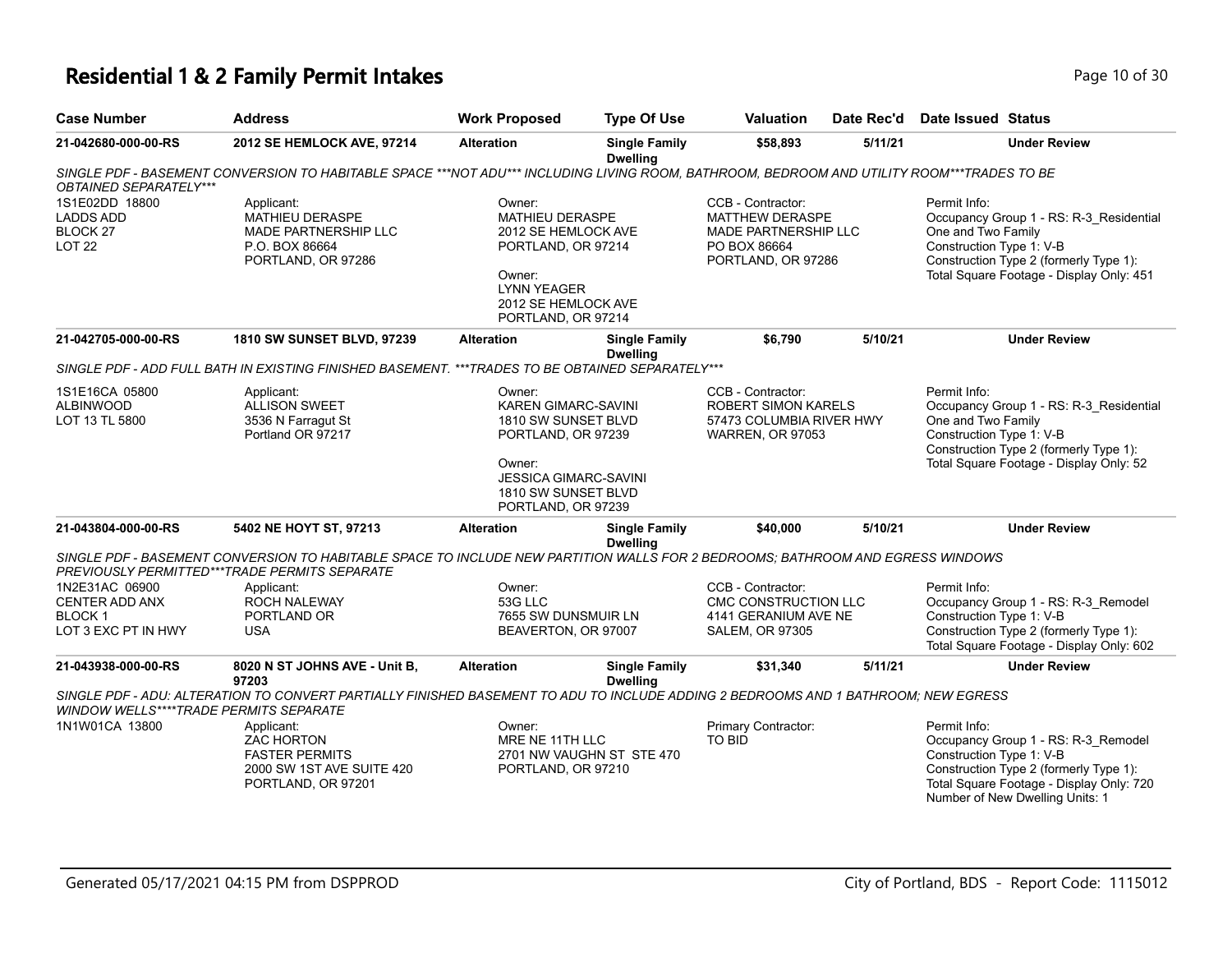# **Residential 1 & 2 Family Permit Intakes Page 10 of 30** Page 10 of 30

| <b>Case Number</b>                                                              | <b>Address</b>                                                                                                                                                                  | <b>Work Proposed</b>                                                                                                                                                     | <b>Type Of Use</b>                      | <b>Valuation</b>                                                                                          | Date Rec'd                                                                 | Date Issued Status                                                                                                    |                                                                                                                                                                                |
|---------------------------------------------------------------------------------|---------------------------------------------------------------------------------------------------------------------------------------------------------------------------------|--------------------------------------------------------------------------------------------------------------------------------------------------------------------------|-----------------------------------------|-----------------------------------------------------------------------------------------------------------|----------------------------------------------------------------------------|-----------------------------------------------------------------------------------------------------------------------|--------------------------------------------------------------------------------------------------------------------------------------------------------------------------------|
| 21-042680-000-00-RS                                                             | 2012 SE HEMLOCK AVE, 97214                                                                                                                                                      | <b>Alteration</b>                                                                                                                                                        | <b>Single Family</b><br><b>Dwelling</b> | \$58,893                                                                                                  | 5/11/21                                                                    |                                                                                                                       | <b>Under Review</b>                                                                                                                                                            |
| OBTAINED SEPARATELY***                                                          | SINGLE PDF - BASEMENT CONVERSION TO HABITABLE SPACE ***NOT ADU*** INCLUDING LIVING ROOM, BATHROOM, BEDROOM AND UTILITY ROOM***TRADES TO BE                                      |                                                                                                                                                                          |                                         |                                                                                                           |                                                                            |                                                                                                                       |                                                                                                                                                                                |
| 1S1E02DD 18800<br><b>LADDS ADD</b><br>BLOCK <sub>27</sub><br><b>LOT 22</b>      | Applicant:<br><b>MATHIEU DERASPE</b><br>MADE PARTNERSHIP LLC<br>P.O. BOX 86664<br>PORTLAND, OR 97286                                                                            | Owner:<br><b>MATHIEU DERASPE</b><br>2012 SE HEMLOCK AVE<br>PORTLAND, OR 97214<br>Owner:<br><b>LYNN YEAGER</b><br>2012 SE HEMLOCK AVE<br>PORTLAND, OR 97214               |                                         | CCB - Contractor:<br>MATTHEW DERASPE<br><b>MADE PARTNERSHIP LLC</b><br>PO BOX 86664<br>PORTLAND, OR 97286 |                                                                            | Permit Info:<br>One and Two Family<br>Construction Type 1: V-B<br>Construction Type 2 (formerly Type 1):              | Occupancy Group 1 - RS: R-3 Residential<br>Total Square Footage - Display Only: 451                                                                                            |
| 21-042705-000-00-RS                                                             | 1810 SW SUNSET BLVD, 97239                                                                                                                                                      | <b>Alteration</b>                                                                                                                                                        | <b>Single Family</b><br><b>Dwelling</b> | \$6,790                                                                                                   | 5/10/21                                                                    |                                                                                                                       | <b>Under Review</b>                                                                                                                                                            |
|                                                                                 | SINGLE PDF - ADD FULL BATH IN EXISTING FINISHED BASEMENT. ***TRADES TO BE OBTAINED SEPARATELY***                                                                                |                                                                                                                                                                          |                                         |                                                                                                           |                                                                            |                                                                                                                       |                                                                                                                                                                                |
| 1S1E16CA 05800<br><b>ALBINWOOD</b><br>LOT 13 TL 5800                            | Applicant:<br><b>ALLISON SWEET</b><br>3536 N Farragut St<br>Portland OR 97217                                                                                                   | Owner:<br><b>KAREN GIMARC-SAVINI</b><br>1810 SW SUNSET BLVD<br>PORTLAND, OR 97239<br>Owner:<br><b>JESSICA GIMARC-SAVINI</b><br>1810 SW SUNSET BLVD<br>PORTLAND, OR 97239 |                                         | CCB - Contractor:                                                                                         | <b>ROBERT SIMON KARELS</b><br>57473 COLUMBIA RIVER HWY<br>WARREN, OR 97053 |                                                                                                                       | Occupancy Group 1 - RS: R-3_Residential<br>One and Two Family<br>Construction Type 1: V-B<br>Construction Type 2 (formerly Type 1):<br>Total Square Footage - Display Only: 52 |
| 21-043804-000-00-RS                                                             | 5402 NE HOYT ST, 97213                                                                                                                                                          | <b>Alteration</b>                                                                                                                                                        | <b>Single Family</b><br><b>Dwelling</b> | \$40,000                                                                                                  | 5/10/21                                                                    |                                                                                                                       | <b>Under Review</b>                                                                                                                                                            |
|                                                                                 | SINGLE PDF - BASEMENT CONVERSION TO HABITABLE SPACE TO INCLUDE NEW PARTITION WALLS FOR 2 BEDROOMS; BATHROOM AND EGRESS WINDOWS<br>PREVIOUSLY PERMITTED***TRADE PERMITS SEPARATE |                                                                                                                                                                          |                                         |                                                                                                           |                                                                            |                                                                                                                       |                                                                                                                                                                                |
| 1N2E31AC 06900<br><b>CENTER ADD ANX</b><br><b>BLOCK1</b><br>LOT 3 EXC PT IN HWY | Applicant:<br>ROCH NALEWAY<br>PORTLAND OR<br><b>USA</b>                                                                                                                         | Owner:<br>53G LLC<br>7655 SW DUNSMUIR LN<br>BEAVERTON, OR 97007                                                                                                          |                                         | CCB - Contractor:<br>CMC CONSTRUCTION LLC<br>4141 GERANIUM AVE NE<br><b>SALEM, OR 97305</b>               |                                                                            | Permit Info:<br>Construction Type 1: V-B<br>Construction Type 2 (formerly Type 1):                                    | Occupancy Group 1 - RS: R-3_Remodel<br>Total Square Footage - Display Only: 602                                                                                                |
| 21-043938-000-00-RS                                                             | 8020 N ST JOHNS AVE - Unit B,<br>97203                                                                                                                                          | <b>Alteration</b>                                                                                                                                                        | <b>Single Family</b><br><b>Dwelling</b> | \$31,340                                                                                                  | 5/11/21                                                                    |                                                                                                                       | <b>Under Review</b>                                                                                                                                                            |
| WINDOW WELLS****TRADE PERMITS SEPARATE                                          | SINGLE PDF - ADU: ALTERATION TO CONVERT PARTIALLY FINISHED BASEMENT TO ADU TO INCLUDE ADDING 2 BEDROOMS AND 1 BATHROOM; NEW EGRESS                                              |                                                                                                                                                                          |                                         |                                                                                                           |                                                                            |                                                                                                                       |                                                                                                                                                                                |
| 1N1W01CA 13800                                                                  | Applicant:<br>ZAC HORTON<br><b>FASTER PERMITS</b><br>2000 SW 1ST AVE SUITE 420<br>PORTLAND, OR 97201                                                                            | Owner:<br>MRE NE 11TH LLC<br>2701 NW VAUGHN ST STE 470<br>PORTLAND, OR 97210                                                                                             |                                         | Primary Contractor:<br><b>TO BID</b>                                                                      |                                                                            | Permit Info:<br>Construction Type 1: V-B<br>Construction Type 2 (formerly Type 1):<br>Number of New Dwelling Units: 1 | Occupancy Group 1 - RS: R-3_Remodel<br>Total Square Footage - Display Only: 720                                                                                                |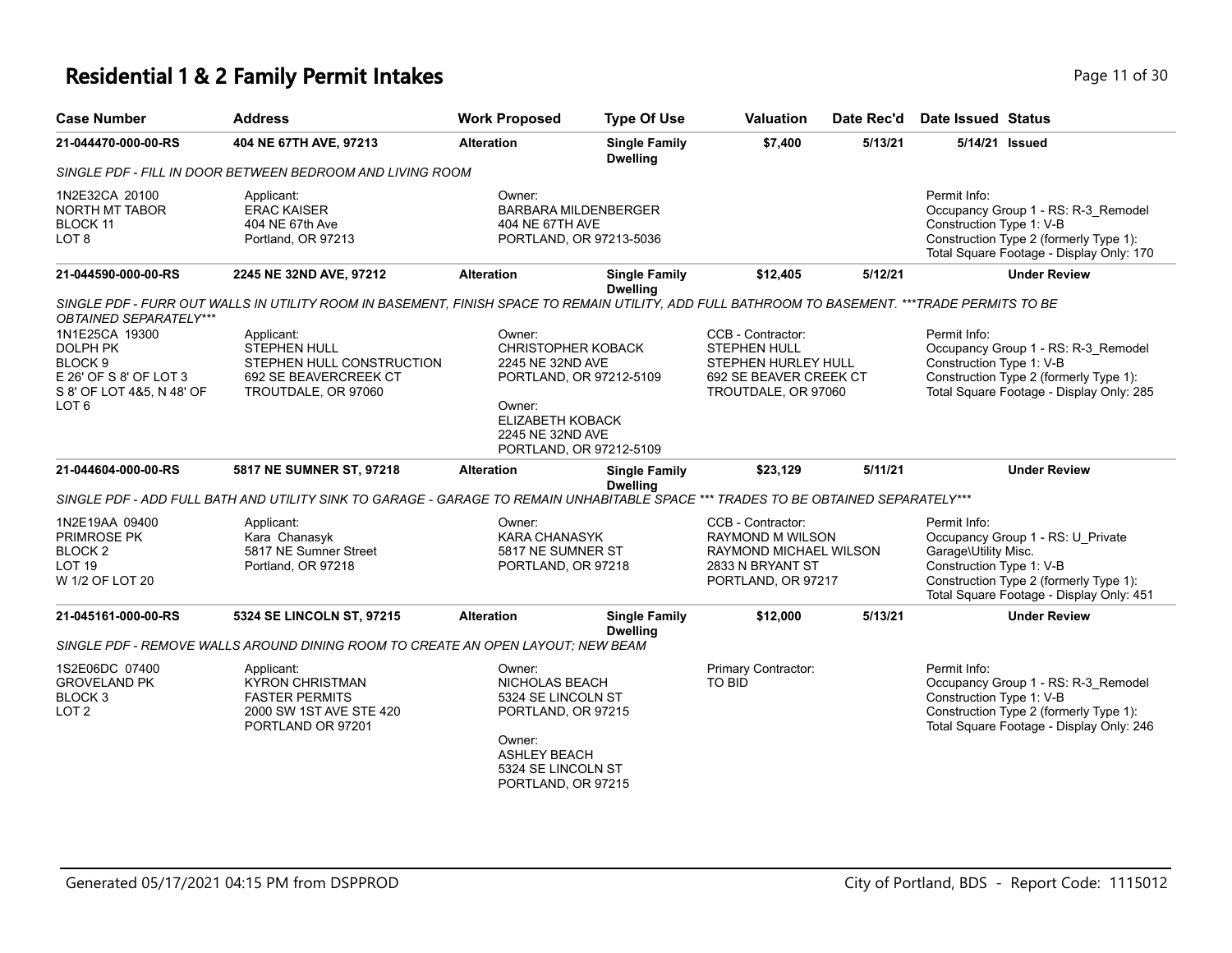## **Residential 1 & 2 Family Permit Intakes Page 11 of 30 Page 11 of 30**

| <b>Case Number</b>                                                                                             | <b>Address</b>                                                                                                                                 | <b>Work Proposed</b>                                                                                                                              | <b>Type Of Use</b>                      | <b>Valuation</b>                                                                                                 | Date Rec'd | <b>Date Issued Status</b>                                                                                                                                                                   |  |
|----------------------------------------------------------------------------------------------------------------|------------------------------------------------------------------------------------------------------------------------------------------------|---------------------------------------------------------------------------------------------------------------------------------------------------|-----------------------------------------|------------------------------------------------------------------------------------------------------------------|------------|---------------------------------------------------------------------------------------------------------------------------------------------------------------------------------------------|--|
| 21-044470-000-00-RS                                                                                            | 404 NE 67TH AVE, 97213                                                                                                                         | <b>Alteration</b>                                                                                                                                 | <b>Single Family</b><br><b>Dwelling</b> | \$7,400                                                                                                          | 5/13/21    | 5/14/21 Issued                                                                                                                                                                              |  |
|                                                                                                                | SINGLE PDF - FILL IN DOOR BETWEEN BEDROOM AND LIVING ROOM                                                                                      |                                                                                                                                                   |                                         |                                                                                                                  |            |                                                                                                                                                                                             |  |
| 1N2E32CA 20100<br><b>NORTH MT TABOR</b><br><b>BLOCK 11</b><br>LOT <sub>8</sub>                                 | Applicant:<br><b>ERAC KAISER</b><br>404 NE 67th Ave<br>Portland, OR 97213                                                                      | Owner:<br><b>BARBARA MILDENBERGER</b><br>404 NE 67TH AVE<br>PORTLAND, OR 97213-5036                                                               |                                         |                                                                                                                  |            | Permit Info:<br>Occupancy Group 1 - RS: R-3_Remodel<br>Construction Type 1: V-B<br>Construction Type 2 (formerly Type 1):<br>Total Square Footage - Display Only: 170                       |  |
| 21-044590-000-00-RS                                                                                            | 2245 NE 32ND AVE, 97212                                                                                                                        | <b>Alteration</b>                                                                                                                                 | <b>Single Family</b><br><b>Dwelling</b> | \$12,405                                                                                                         | 5/12/21    | <b>Under Review</b>                                                                                                                                                                         |  |
| <b>OBTAINED SEPARATELY***</b>                                                                                  | SINGLE PDF - FURR OUT WALLS IN UTILITY ROOM IN BASEMENT. FINISH SPACE TO REMAIN UTILITY, ADD FULL BATHROOM TO BASEMENT. ***TRADE PERMITS TO BE |                                                                                                                                                   |                                         |                                                                                                                  |            |                                                                                                                                                                                             |  |
| 1N1E25CA 19300<br><b>DOLPH PK</b><br>BLOCK <sub>9</sub><br>E 26' OF S 8' OF LOT 3<br>S 8' OF LOT 4&5, N 48' OF | Applicant:<br><b>STEPHEN HULL</b><br>STEPHEN HULL CONSTRUCTION<br>692 SE BEAVERCREEK CT<br>TROUTDALE, OR 97060                                 | Owner:<br><b>CHRISTOPHER KOBACK</b><br>2245 NE 32ND AVE<br>PORTLAND, OR 97212-5109                                                                |                                         | CCB - Contractor:<br>STEPHEN HULL<br>STEPHEN HURLEY HULL<br>692 SE BEAVER CREEK CT<br>TROUTDALE, OR 97060        |            | Permit Info:<br>Occupancy Group 1 - RS: R-3_Remodel<br>Construction Type 1: V-B<br>Construction Type 2 (formerly Type 1):<br>Total Square Footage - Display Only: 285                       |  |
| LOT <sub>6</sub>                                                                                               |                                                                                                                                                | Owner:<br><b>ELIZABETH KOBACK</b><br>2245 NE 32ND AVE<br>PORTLAND, OR 97212-5109                                                                  |                                         |                                                                                                                  |            |                                                                                                                                                                                             |  |
| 21-044604-000-00-RS                                                                                            | 5817 NE SUMNER ST, 97218                                                                                                                       | <b>Alteration</b>                                                                                                                                 | <b>Single Family</b><br><b>Dwelling</b> | \$23,129                                                                                                         | 5/11/21    | <b>Under Review</b>                                                                                                                                                                         |  |
|                                                                                                                | SINGLE PDF - ADD FULL BATH AND UTILITY SINK TO GARAGE - GARAGE TO REMAIN UNHABITABLE SPACE *** TRADES TO BE OBTAINED SEPARATELY***             |                                                                                                                                                   |                                         |                                                                                                                  |            |                                                                                                                                                                                             |  |
| 1N2E19AA 09400<br>PRIMROSE PK<br>BLOCK <sub>2</sub><br><b>LOT 19</b><br>W 1/2 OF LOT 20                        | Applicant:<br>Kara Chanasyk<br>5817 NE Sumner Street<br>Portland, OR 97218                                                                     | Owner:<br><b>KARA CHANASYK</b><br>5817 NE SUMNER ST<br>PORTLAND, OR 97218                                                                         |                                         | CCB - Contractor:<br><b>RAYMOND M WILSON</b><br>RAYMOND MICHAEL WILSON<br>2833 N BRYANT ST<br>PORTLAND, OR 97217 |            | Permit Info:<br>Occupancy Group 1 - RS: U_Private<br>Garage\Utility Misc.<br>Construction Type 1: V-B<br>Construction Type 2 (formerly Type 1):<br>Total Square Footage - Display Only: 451 |  |
| 21-045161-000-00-RS                                                                                            | 5324 SE LINCOLN ST, 97215                                                                                                                      | <b>Alteration</b>                                                                                                                                 | <b>Single Family</b><br><b>Dwelling</b> | \$12,000                                                                                                         | 5/13/21    | <b>Under Review</b>                                                                                                                                                                         |  |
|                                                                                                                | SINGLE PDF - REMOVE WALLS AROUND DINING ROOM TO CREATE AN OPEN LAYOUT: NEW BEAM                                                                |                                                                                                                                                   |                                         |                                                                                                                  |            |                                                                                                                                                                                             |  |
| 1S2E06DC 07400<br><b>GROVELAND PK</b><br>BLOCK <sub>3</sub><br>LOT <sub>2</sub>                                | Applicant:<br><b>KYRON CHRISTMAN</b><br><b>FASTER PERMITS</b><br>2000 SW 1ST AVE STE 420<br>PORTLAND OR 97201                                  | Owner:<br>NICHOLAS BEACH<br>5324 SE LINCOLN ST<br>PORTLAND, OR 97215<br>Owner:<br><b>ASHLEY BEACH</b><br>5324 SE LINCOLN ST<br>PORTLAND, OR 97215 |                                         | Primary Contractor:<br>TO BID                                                                                    |            | Permit Info:<br>Occupancy Group 1 - RS: R-3_Remodel<br>Construction Type 1: V-B<br>Construction Type 2 (formerly Type 1):<br>Total Square Footage - Display Only: 246                       |  |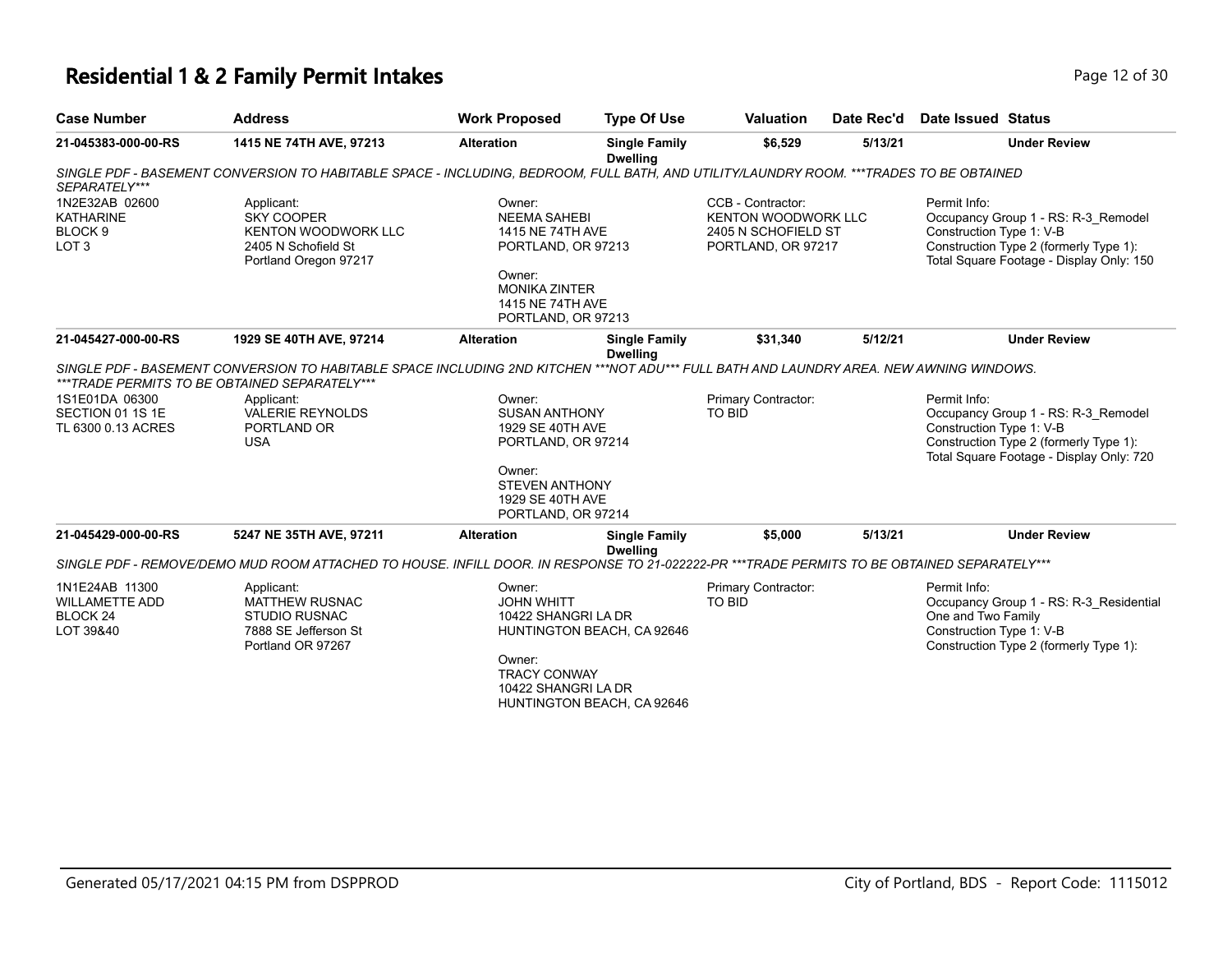### **Residential 1 & 2 Family Permit Intakes Page 12 of 30 Page 12 of 30**

| <b>Case Number</b>                                                           | <b>Address</b>                                                                                                                                                                           | <b>Work Proposed</b>                                                                                                                                | <b>Type Of Use</b>                                       | <b>Valuation</b>                                                                             | Date Rec'd | Date Issued Status                                             |                                                                                                                           |
|------------------------------------------------------------------------------|------------------------------------------------------------------------------------------------------------------------------------------------------------------------------------------|-----------------------------------------------------------------------------------------------------------------------------------------------------|----------------------------------------------------------|----------------------------------------------------------------------------------------------|------------|----------------------------------------------------------------|---------------------------------------------------------------------------------------------------------------------------|
| 21-045383-000-00-RS                                                          | 1415 NE 74TH AVE, 97213                                                                                                                                                                  | <b>Alteration</b>                                                                                                                                   | <b>Single Family</b><br><b>Dwelling</b>                  | \$6,529                                                                                      | 5/13/21    |                                                                | <b>Under Review</b>                                                                                                       |
| SEPARATELY***                                                                | SINGLE PDF - BASEMENT CONVERSION TO HABITABLE SPACE - INCLUDING, BEDROOM, FULL BATH, AND UTILITY/LAUNDRY ROOM. ***TRADES TO BE OBTAINED                                                  |                                                                                                                                                     |                                                          |                                                                                              |            |                                                                |                                                                                                                           |
| 1N2E32AB 02600<br><b>KATHARINE</b><br>BLOCK <sub>9</sub><br>LOT <sub>3</sub> | Applicant:<br><b>SKY COOPER</b><br><b>KENTON WOODWORK LLC</b><br>2405 N Schofield St<br>Portland Oregon 97217                                                                            | Owner:<br><b>NEEMA SAHEBI</b><br>1415 NE 74TH AVE<br>PORTLAND, OR 97213<br>Owner:<br><b>MONIKA ZINTER</b><br>1415 NE 74TH AVE<br>PORTLAND, OR 97213 |                                                          | CCB - Contractor:<br><b>KENTON WOODWORK LLC</b><br>2405 N SCHOFIELD ST<br>PORTLAND, OR 97217 |            | Permit Info:<br>Construction Type 1: V-B                       | Occupancy Group 1 - RS: R-3 Remodel<br>Construction Type 2 (formerly Type 1):<br>Total Square Footage - Display Only: 150 |
| 21-045427-000-00-RS                                                          | 1929 SE 40TH AVE, 97214                                                                                                                                                                  | <b>Alteration</b>                                                                                                                                   | <b>Single Family</b><br><b>Dwelling</b>                  | \$31,340                                                                                     | 5/12/21    |                                                                | <b>Under Review</b>                                                                                                       |
|                                                                              | SINGLE PDF - BASEMENT CONVERSION TO HABITABLE SPACE INCLUDING 2ND KITCHEN ***NOT ADU*** FULL BATH AND LAUNDRY AREA. NEW AWNING WINDOWS.<br>***TRADE PERMITS TO BE OBTAINED SEPARATELY*** |                                                                                                                                                     |                                                          |                                                                                              |            |                                                                |                                                                                                                           |
| 1S1E01DA 06300<br>SECTION 01 1S 1E<br>TL 6300 0.13 ACRES                     | Applicant:<br><b>VALERIE REYNOLDS</b><br>PORTLAND OR<br><b>USA</b>                                                                                                                       | Owner:<br><b>SUSAN ANTHONY</b><br>1929 SE 40TH AVE<br>PORTLAND, OR 97214                                                                            |                                                          | Primary Contractor:<br><b>TO BID</b>                                                         |            | Permit Info:<br>Construction Type 1: V-B                       | Occupancy Group 1 - RS: R-3_Remodel<br>Construction Type 2 (formerly Type 1):<br>Total Square Footage - Display Only: 720 |
|                                                                              |                                                                                                                                                                                          | Owner:<br><b>STEVEN ANTHONY</b><br>1929 SE 40TH AVE<br>PORTLAND, OR 97214                                                                           |                                                          |                                                                                              |            |                                                                |                                                                                                                           |
| 21-045429-000-00-RS                                                          | 5247 NE 35TH AVE, 97211                                                                                                                                                                  | <b>Alteration</b>                                                                                                                                   | <b>Single Family</b><br><b>Dwelling</b>                  | \$5,000                                                                                      | 5/13/21    |                                                                | <b>Under Review</b>                                                                                                       |
|                                                                              | SINGLE PDF - REMOVE/DEMO MUD ROOM ATTACHED TO HOUSE. INFILL DOOR. IN RESPONSE TO 21-022222-PR ***TRADE PERMITS TO BE OBTAINED SEPARATELY***                                              |                                                                                                                                                     |                                                          |                                                                                              |            |                                                                |                                                                                                                           |
| 1N1E24AB 11300<br><b>WILLAMETTE ADD</b><br>BLOCK <sub>24</sub><br>LOT 39&40  | Applicant:<br><b>MATTHEW RUSNAC</b><br><b>STUDIO RUSNAC</b><br>7888 SE Jefferson St<br>Portland OR 97267                                                                                 | Owner:<br><b>JOHN WHITT</b><br>10422 SHANGRI LA DR<br>Owner:<br><b>TRACY CONWAY</b><br>10422 SHANGRI LA DR                                          | HUNTINGTON BEACH, CA 92646<br>HUNTINGTON BEACH, CA 92646 | Primary Contractor:<br><b>TO BID</b>                                                         |            | Permit Info:<br>One and Two Family<br>Construction Type 1: V-B | Occupancy Group 1 - RS: R-3_Residential<br>Construction Type 2 (formerly Type 1):                                         |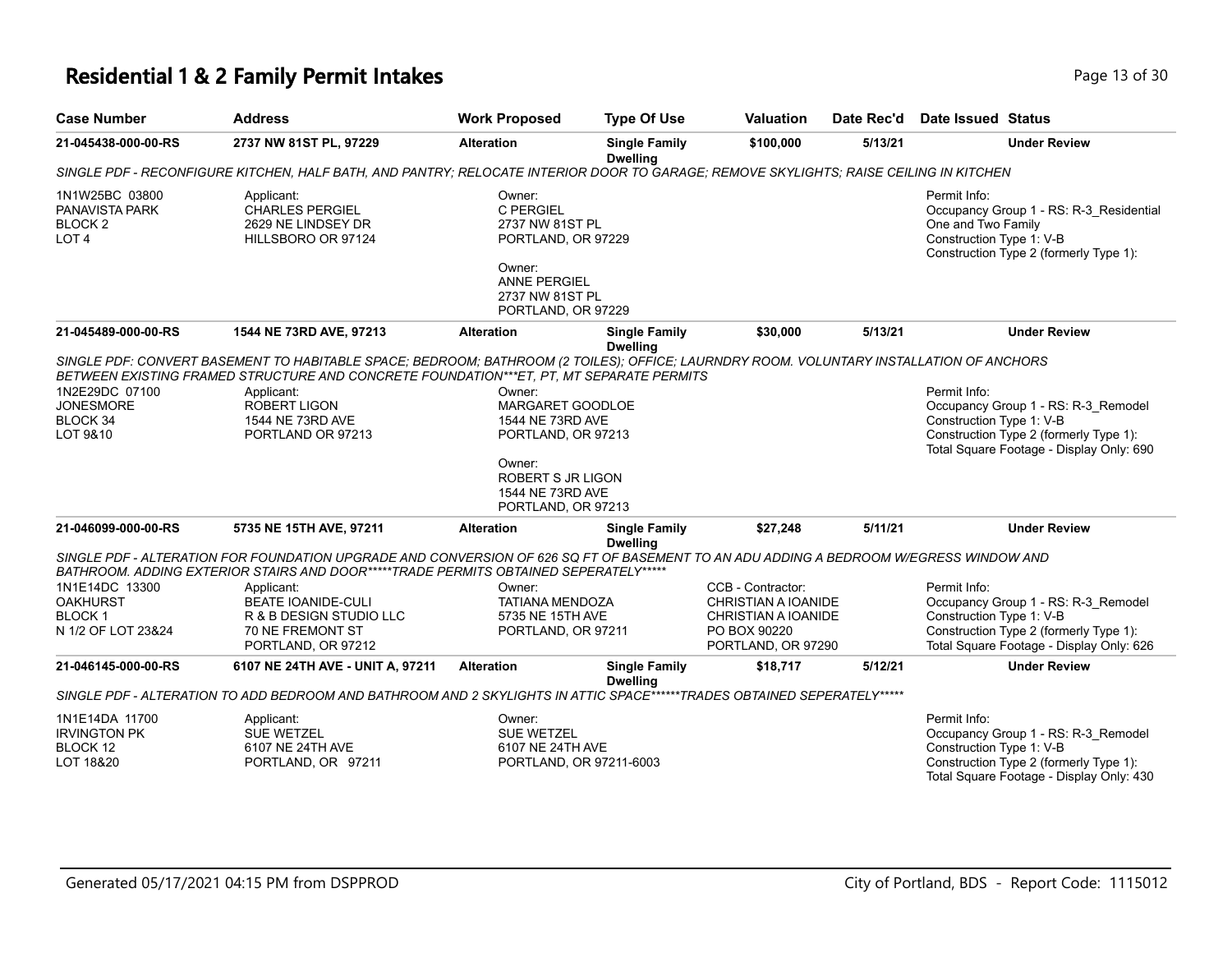## **Residential 1 & 2 Family Permit Intakes Page 13 of 30 Page 13 of 30**

| <b>Case Number</b>                                                         | <b>Address</b>                                                                                                                                                                                                                                                                                                   | <b>Work Proposed</b>                                                                                                                                 | <b>Type Of Use</b>                      | <b>Valuation</b>                                                                                             | Date Rec'd | <b>Date Issued Status</b>                                                                                                                                             |
|----------------------------------------------------------------------------|------------------------------------------------------------------------------------------------------------------------------------------------------------------------------------------------------------------------------------------------------------------------------------------------------------------|------------------------------------------------------------------------------------------------------------------------------------------------------|-----------------------------------------|--------------------------------------------------------------------------------------------------------------|------------|-----------------------------------------------------------------------------------------------------------------------------------------------------------------------|
| 21-045438-000-00-RS                                                        | 2737 NW 81ST PL, 97229                                                                                                                                                                                                                                                                                           | <b>Alteration</b>                                                                                                                                    | <b>Single Family</b><br><b>Dwelling</b> | \$100,000                                                                                                    | 5/13/21    | <b>Under Review</b>                                                                                                                                                   |
|                                                                            | SINGLE PDF - RECONFIGURE KITCHEN, HALF BATH, AND PANTRY; RELOCATE INTERIOR DOOR TO GARAGE; REMOVE SKYLIGHTS; RAISE CEILING IN KITCHEN                                                                                                                                                                            |                                                                                                                                                      |                                         |                                                                                                              |            |                                                                                                                                                                       |
| 1N1W25BC 03800<br>PANAVISTA PARK<br>BLOCK <sub>2</sub><br>LOT <sub>4</sub> | Applicant:<br><b>CHARLES PERGIEL</b><br>2629 NE LINDSEY DR<br>HILLSBORO OR 97124                                                                                                                                                                                                                                 | Owner:<br>C PERGIEL<br>2737 NW 81ST PL<br>PORTLAND, OR 97229<br>Owner:<br><b>ANNE PERGIEL</b><br>2737 NW 81ST PL<br>PORTLAND, OR 97229               |                                         |                                                                                                              |            | Permit Info:<br>Occupancy Group 1 - RS: R-3_Residential<br>One and Two Family<br>Construction Type 1: V-B<br>Construction Type 2 (formerly Type 1):                   |
| 21-045489-000-00-RS                                                        | 1544 NE 73RD AVE, 97213                                                                                                                                                                                                                                                                                          | <b>Alteration</b>                                                                                                                                    | <b>Single Family</b>                    | \$30,000                                                                                                     | 5/13/21    | <b>Under Review</b>                                                                                                                                                   |
| 1N2E29DC 07100<br><b>JONESMORE</b><br>BLOCK 34<br>LOT 9&10                 | SINGLE PDF: CONVERT BASEMENT TO HABITABLE SPACE; BEDROOM; BATHROOM (2 TOILES); OFFICE; LAURNDRY ROOM. VOLUNTARY INSTALLATION OF ANCHORS<br>BETWEEN EXISTING FRAMED STRUCTURE AND CONCRETE FOUNDATION***ET, PT, MT SEPARATE PERMITS<br>Applicant:<br><b>ROBERT LIGON</b><br>1544 NE 73RD AVE<br>PORTLAND OR 97213 | Owner:<br>MARGARET GOODLOE<br>1544 NE 73RD AVE<br>PORTLAND, OR 97213<br>Owner:<br><b>ROBERT S JR LIGON</b><br>1544 NE 73RD AVE<br>PORTLAND, OR 97213 | <b>Dwelling</b>                         |                                                                                                              |            | Permit Info:<br>Occupancy Group 1 - RS: R-3_Remodel<br>Construction Type 1: V-B<br>Construction Type 2 (formerly Type 1):<br>Total Square Footage - Display Only: 690 |
| 21-046099-000-00-RS                                                        | 5735 NE 15TH AVE, 97211                                                                                                                                                                                                                                                                                          | <b>Alteration</b>                                                                                                                                    | <b>Single Family</b><br><b>Dwelling</b> | \$27,248                                                                                                     | 5/11/21    | <b>Under Review</b>                                                                                                                                                   |
|                                                                            | SINGLE PDF - ALTERATION FOR FOUNDATION UPGRADE AND CONVERSION OF 626 SQ FT OF BASEMENT TO AN ADU ADDING A BEDROOM W/EGRESS WINDOW AND<br>BATHROOM. ADDING EXTERIOR STAIRS AND DOOR*****TRADE PERMITS OBTAINED SEPERATELY*****                                                                                    |                                                                                                                                                      |                                         |                                                                                                              |            |                                                                                                                                                                       |
| 1N1E14DC 13300<br><b>OAKHURST</b><br><b>BLOCK1</b><br>N 1/2 OF LOT 23&24   | Applicant:<br><b>BEATE IOANIDE-CULI</b><br>R & B DESIGN STUDIO LLC<br>70 NE FREMONT ST<br>PORTLAND, OR 97212                                                                                                                                                                                                     | Owner:<br><b>TATIANA MENDOZA</b><br>5735 NE 15TH AVE<br>PORTLAND, OR 97211                                                                           |                                         | CCB - Contractor:<br><b>CHRISTIAN A IOANIDE</b><br>CHRISTIAN A IOANIDE<br>PO BOX 90220<br>PORTLAND, OR 97290 |            | Permit Info:<br>Occupancy Group 1 - RS: R-3_Remodel<br>Construction Type 1: V-B<br>Construction Type 2 (formerly Type 1):<br>Total Square Footage - Display Only: 626 |
| 21-046145-000-00-RS                                                        | 6107 NE 24TH AVE - UNIT A, 97211                                                                                                                                                                                                                                                                                 | <b>Alteration</b>                                                                                                                                    | <b>Single Family</b><br><b>Dwelling</b> | \$18,717                                                                                                     | 5/12/21    | <b>Under Review</b>                                                                                                                                                   |
|                                                                            | SINGLE PDF - ALTERATION TO ADD BEDROOM AND BATHROOM AND 2 SKYLIGHTS IN ATTIC SPACE******TRADES OBTAINED SEPERATELY*****                                                                                                                                                                                          |                                                                                                                                                      |                                         |                                                                                                              |            |                                                                                                                                                                       |
| 1N1E14DA 11700<br><b>IRVINGTON PK</b><br>BLOCK 12<br>LOT 18&20             | Applicant:<br>SUE WETZEL<br>6107 NE 24TH AVE<br>PORTLAND, OR 97211                                                                                                                                                                                                                                               | Owner:<br><b>SUE WETZEL</b><br>6107 NE 24TH AVE<br>PORTLAND, OR 97211-6003                                                                           |                                         |                                                                                                              |            | Permit Info:<br>Occupancy Group 1 - RS: R-3_Remodel<br>Construction Type 1: V-B<br>Construction Type 2 (formerly Type 1):<br>Total Square Footage - Display Only: 430 |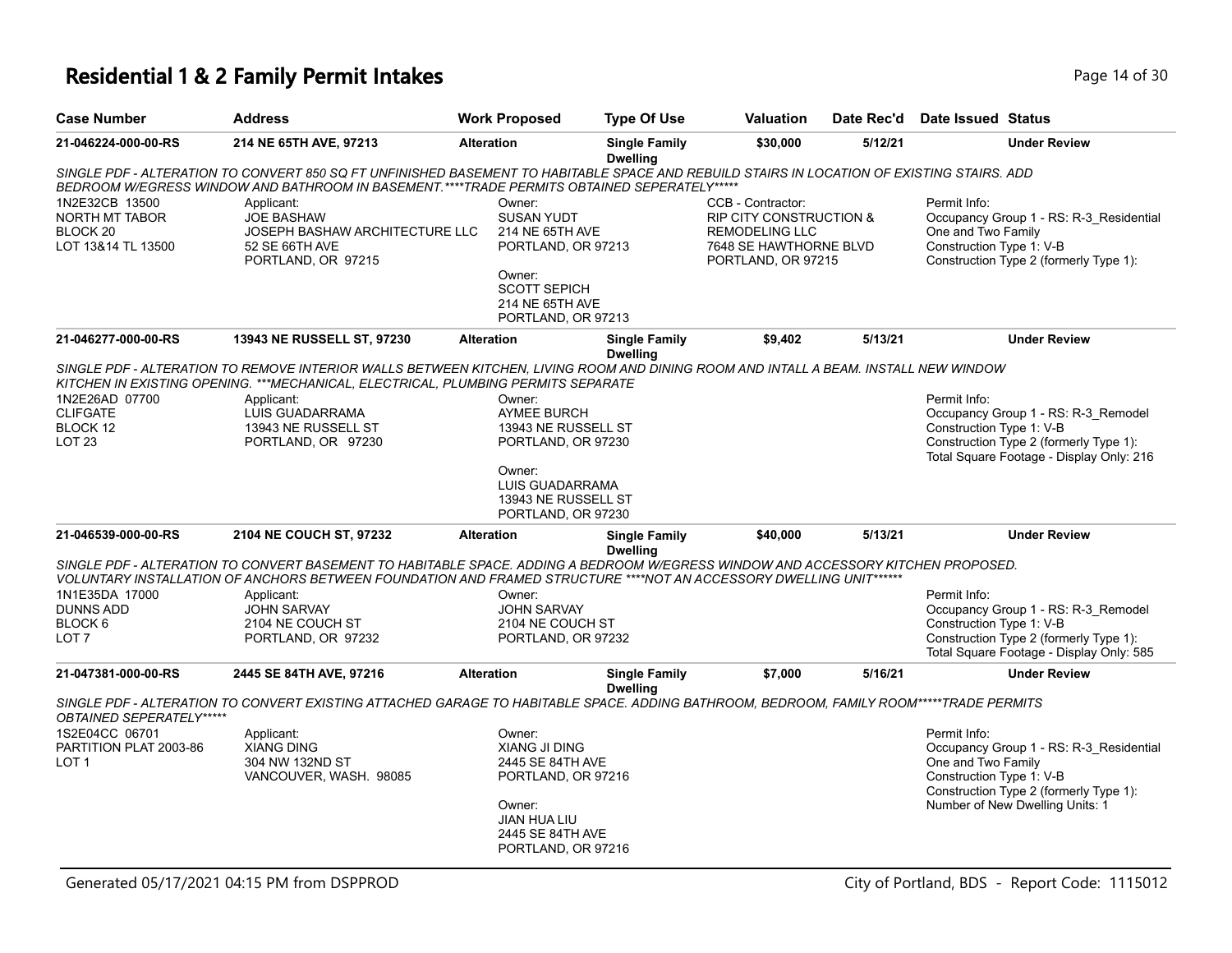### **Residential 1 & 2 Family Permit Intakes Page 14 of 30 Page 14 of 30**

| <b>Case Number</b>                                                            | <b>Address</b>                                                                                                                                                                                                                                         | <b>Work Proposed</b>                                                                                                                                | <b>Type Of Use</b>                      | <b>Valuation</b>                                                                                                          | Date Rec'd | Date Issued Status                                                                                                                                                                     |
|-------------------------------------------------------------------------------|--------------------------------------------------------------------------------------------------------------------------------------------------------------------------------------------------------------------------------------------------------|-----------------------------------------------------------------------------------------------------------------------------------------------------|-----------------------------------------|---------------------------------------------------------------------------------------------------------------------------|------------|----------------------------------------------------------------------------------------------------------------------------------------------------------------------------------------|
| 21-046224-000-00-RS                                                           | 214 NE 65TH AVE, 97213                                                                                                                                                                                                                                 | <b>Alteration</b>                                                                                                                                   | <b>Single Family</b><br><b>Dwelling</b> | \$30,000                                                                                                                  | 5/12/21    | <b>Under Review</b>                                                                                                                                                                    |
|                                                                               | SINGLE PDF - ALTERATION TO CONVERT 850 SQ FT UNFINISHED BASEMENT TO HABITABLE SPACE AND REBUILD STAIRS IN LOCATION OF EXISTING STAIRS. ADD<br>BEDROOM W/EGRESS WINDOW AND BATHROOM IN BASEMENT.****TRADE PERMITS OBTAINED SEPERATELY*****              |                                                                                                                                                     |                                         |                                                                                                                           |            |                                                                                                                                                                                        |
| 1N2E32CB 13500<br>NORTH MT TABOR<br>BLOCK <sub>20</sub><br>LOT 13&14 TL 13500 | Applicant:<br><b>JOE BASHAW</b><br>JOSEPH BASHAW ARCHITECTURE LLC<br>52 SE 66TH AVE<br>PORTLAND, OR 97215                                                                                                                                              | Owner:<br><b>SUSAN YUDT</b><br>214 NE 65TH AVE<br>PORTLAND, OR 97213                                                                                |                                         | CCB - Contractor:<br><b>RIP CITY CONSTRUCTION &amp;</b><br>REMODELING LLC<br>7648 SE HAWTHORNE BLVD<br>PORTLAND, OR 97215 |            | Permit Info:<br>Occupancy Group 1 - RS: R-3_Residential<br>One and Two Family<br>Construction Type 1: V-B<br>Construction Type 2 (formerly Type 1):                                    |
|                                                                               |                                                                                                                                                                                                                                                        | Owner:<br><b>SCOTT SEPICH</b><br>214 NE 65TH AVE<br>PORTLAND, OR 97213                                                                              |                                         |                                                                                                                           |            |                                                                                                                                                                                        |
| 21-046277-000-00-RS                                                           | 13943 NE RUSSELL ST, 97230                                                                                                                                                                                                                             | <b>Alteration</b>                                                                                                                                   | <b>Single Family</b><br><b>Dwelling</b> | \$9,402                                                                                                                   | 5/13/21    | <b>Under Review</b>                                                                                                                                                                    |
|                                                                               | SINGLE PDF - ALTERATION TO REMOVE INTERIOR WALLS BETWEEN KITCHEN, LIVING ROOM AND DINING ROOM AND INTALL A BEAM. INSTALL NEW WINDOW<br>KITCHEN IN EXISTING OPENING. *** MECHANICAL, ELECTRICAL, PLUMBING PERMITS SEPARATE                              |                                                                                                                                                     |                                         |                                                                                                                           |            |                                                                                                                                                                                        |
| 1N2E26AD 07700<br><b>CLIFGATE</b><br>BLOCK 12<br><b>LOT 23</b>                | Applicant:<br>LUIS GUADARRAMA<br>13943 NE RUSSELL ST<br>PORTLAND, OR 97230                                                                                                                                                                             | Owner:<br><b>AYMEE BURCH</b><br>13943 NE RUSSELL ST<br>PORTLAND, OR 97230                                                                           |                                         |                                                                                                                           |            | Permit Info:<br>Occupancy Group 1 - RS: R-3 Remodel<br>Construction Type 1: V-B<br>Construction Type 2 (formerly Type 1):<br>Total Square Footage - Display Only: 216                  |
|                                                                               |                                                                                                                                                                                                                                                        | Owner:<br>LUIS GUADARRAMA<br>13943 NE RUSSELL ST<br>PORTLAND, OR 97230                                                                              |                                         |                                                                                                                           |            |                                                                                                                                                                                        |
| 21-046539-000-00-RS                                                           | 2104 NE COUCH ST, 97232                                                                                                                                                                                                                                | <b>Alteration</b>                                                                                                                                   | <b>Single Family</b><br><b>Dwelling</b> | \$40,000                                                                                                                  | 5/13/21    | <b>Under Review</b>                                                                                                                                                                    |
|                                                                               | SINGLE PDF - ALTERATION TO CONVERT BASEMENT TO HABITABLE SPACE. ADDING A BEDROOM W/EGRESS WINDOW AND ACCESSORY KITCHEN PROPOSED.<br>VOLUNTARY INSTALLATION OF ANCHORS BETWEEN FOUNDATION AND FRAMED STRUCTURE ****NOT AN ACCESSORY DWELLING UNIT****** |                                                                                                                                                     |                                         |                                                                                                                           |            |                                                                                                                                                                                        |
| 1N1E35DA 17000<br><b>DUNNS ADD</b><br>BLOCK 6<br>LOT <sub>7</sub>             | Applicant:<br><b>JOHN SARVAY</b><br>2104 NE COUCH ST<br>PORTLAND, OR 97232                                                                                                                                                                             | Owner:<br><b>JOHN SARVAY</b><br>2104 NE COUCH ST<br>PORTLAND, OR 97232                                                                              |                                         |                                                                                                                           |            | Permit Info:<br>Occupancy Group 1 - RS: R-3_Remodel<br>Construction Type 1: V-B<br>Construction Type 2 (formerly Type 1):<br>Total Square Footage - Display Only: 585                  |
| 21-047381-000-00-RS                                                           | 2445 SE 84TH AVE, 97216                                                                                                                                                                                                                                | <b>Alteration</b>                                                                                                                                   | <b>Single Family</b><br><b>Dwelling</b> | \$7,000                                                                                                                   | 5/16/21    | <b>Under Review</b>                                                                                                                                                                    |
| OBTAINED SEPERATELY*****                                                      | SINGLE PDF - ALTERATION TO CONVERT EXISTING ATTACHED GARAGE TO HABITABLE SPACE. ADDING BATHROOM, BEDROOM, FAMILY ROOM*****TRADE PERMITS                                                                                                                |                                                                                                                                                     |                                         |                                                                                                                           |            |                                                                                                                                                                                        |
| 1S2E04CC 06701<br>PARTITION PLAT 2003-86<br>LOT <sub>1</sub>                  | Applicant:<br><b>XIANG DING</b><br>304 NW 132ND ST<br>VANCOUVER, WASH. 98085                                                                                                                                                                           | Owner:<br><b>XIANG JI DING</b><br>2445 SE 84TH AVE<br>PORTLAND, OR 97216<br>Owner:<br><b>JIAN HUA LIU</b><br>2445 SE 84TH AVE<br>PORTLAND, OR 97216 |                                         |                                                                                                                           |            | Permit Info:<br>Occupancy Group 1 - RS: R-3_Residential<br>One and Two Family<br>Construction Type 1: V-B<br>Construction Type 2 (formerly Type 1):<br>Number of New Dwelling Units: 1 |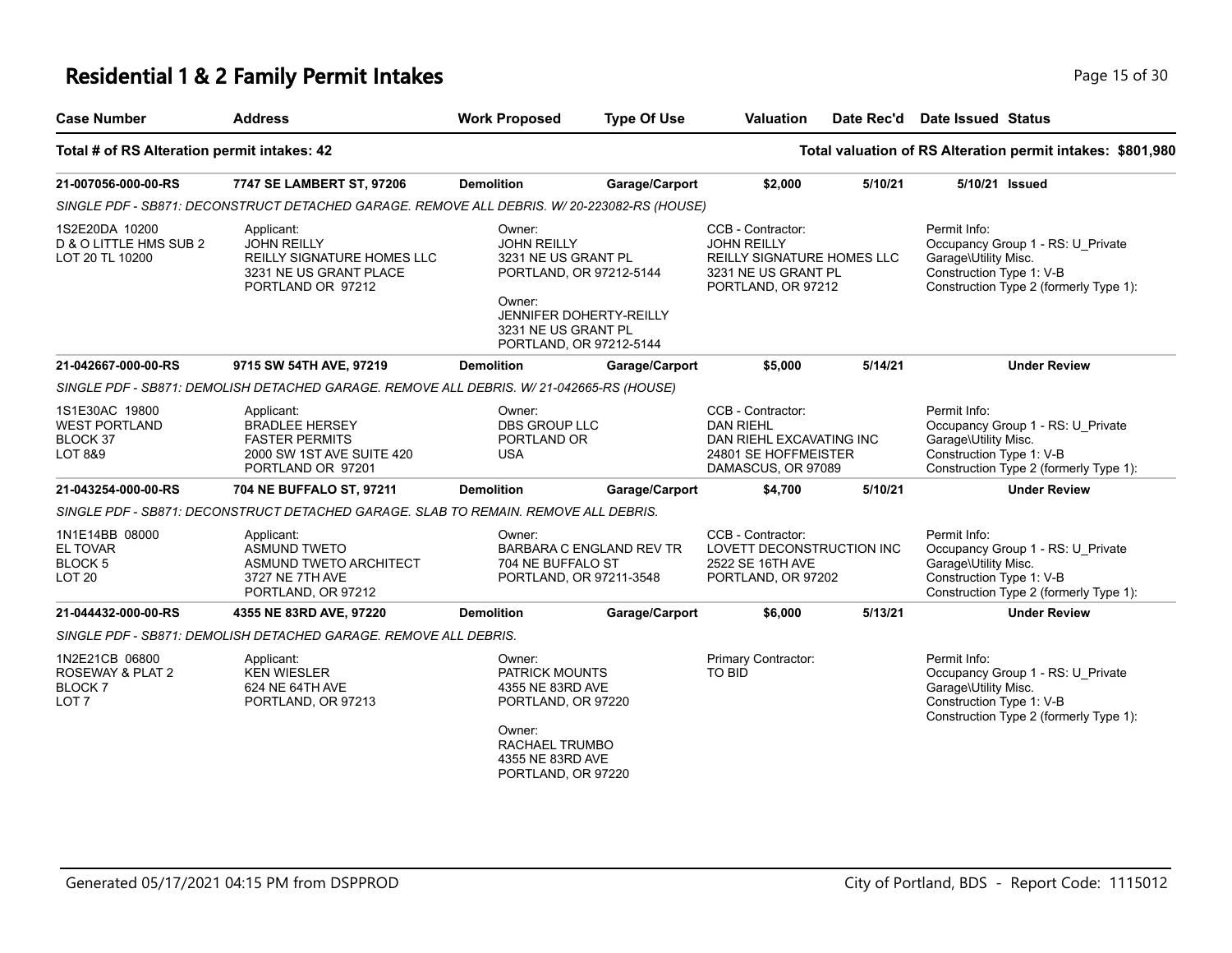# **Residential 1 & 2 Family Permit Intakes Page 15 of 30** Page 15 of 30

| <b>Case Number</b>                                                      | <b>Address</b>                                                                                                 | <b>Work Proposed</b>                                                                                                                       | <b>Type Of Use</b>       | <b>Valuation</b>                                                                                                   | Date Rec'd | Date Issued Status                                                                                                                              |  |
|-------------------------------------------------------------------------|----------------------------------------------------------------------------------------------------------------|--------------------------------------------------------------------------------------------------------------------------------------------|--------------------------|--------------------------------------------------------------------------------------------------------------------|------------|-------------------------------------------------------------------------------------------------------------------------------------------------|--|
| Total # of RS Alteration permit intakes: 42                             |                                                                                                                |                                                                                                                                            |                          |                                                                                                                    |            | Total valuation of RS Alteration permit intakes: \$801,980                                                                                      |  |
| 21-007056-000-00-RS                                                     | 7747 SE LAMBERT ST, 97206                                                                                      | <b>Demolition</b>                                                                                                                          | Garage/Carport           | \$2,000                                                                                                            | 5/10/21    | 5/10/21 Issued                                                                                                                                  |  |
|                                                                         | SINGLE PDF - SB871: DECONSTRUCT DETACHED GARAGE. REMOVE ALL DEBRIS. W/ 20-223082-RS (HOUSE)                    |                                                                                                                                            |                          |                                                                                                                    |            |                                                                                                                                                 |  |
| 1S2E20DA 10200<br>D & O LITTLE HMS SUB 2<br>LOT 20 TL 10200             | Applicant:<br><b>JOHN REILLY</b><br>REILLY SIGNATURE HOMES LLC<br>3231 NE US GRANT PLACE<br>PORTLAND OR 97212  | Owner:<br><b>JOHN REILLY</b><br>3231 NE US GRANT PL<br>PORTLAND, OR 97212-5144<br>Owner:<br>3231 NE US GRANT PL<br>PORTLAND, OR 97212-5144 | JENNIFER DOHERTY-REILLY  | CCB - Contractor:<br><b>JOHN REILLY</b><br>REILLY SIGNATURE HOMES LLC<br>3231 NE US GRANT PL<br>PORTLAND, OR 97212 |            | Permit Info:<br>Occupancy Group 1 - RS: U_Private<br>Garage\Utility Misc.<br>Construction Type 1: V-B<br>Construction Type 2 (formerly Type 1): |  |
| 21-042667-000-00-RS                                                     | 9715 SW 54TH AVE, 97219                                                                                        | <b>Demolition</b>                                                                                                                          | Garage/Carport           | \$5,000                                                                                                            | 5/14/21    | <b>Under Review</b>                                                                                                                             |  |
|                                                                         | SINGLE PDF - SB871: DEMOLISH DETACHED GARAGE. REMOVE ALL DEBRIS. W/ 21-042665-RS (HOUSE)                       |                                                                                                                                            |                          |                                                                                                                    |            |                                                                                                                                                 |  |
| 1S1E30AC 19800<br>WEST PORTLAND<br>BLOCK 37<br><b>LOT 8&amp;9</b>       | Applicant:<br><b>BRADLEE HERSEY</b><br><b>FASTER PERMITS</b><br>2000 SW 1ST AVE SUITE 420<br>PORTLAND OR 97201 | Owner:<br><b>DBS GROUP LLC</b><br>PORTLAND OR<br><b>USA</b>                                                                                |                          | CCB - Contractor:<br><b>DAN RIEHL</b><br>DAN RIEHL EXCAVATING INC<br>24801 SE HOFFMEISTER<br>DAMASCUS, OR 97089    |            | Permit Info:<br>Occupancy Group 1 - RS: U_Private<br>Garage\Utility Misc.<br>Construction Type 1: V-B<br>Construction Type 2 (formerly Type 1): |  |
| 21-043254-000-00-RS                                                     | 704 NE BUFFALO ST, 97211                                                                                       | <b>Demolition</b>                                                                                                                          | Garage/Carport           | \$4,700                                                                                                            | 5/10/21    | <b>Under Review</b>                                                                                                                             |  |
|                                                                         | SINGLE PDF - SB871: DECONSTRUCT DETACHED GARAGE. SLAB TO REMAIN. REMOVE ALL DEBRIS.                            |                                                                                                                                            |                          |                                                                                                                    |            |                                                                                                                                                 |  |
| 1N1E14BB 08000<br>EL TOVAR<br><b>BLOCK 5</b><br><b>LOT 20</b>           | Applicant:<br><b>ASMUND TWETO</b><br>ASMUND TWETO ARCHITECT<br>3727 NE 7TH AVE<br>PORTLAND, OR 97212           | Owner:<br>704 NE BUFFALO ST<br>PORTLAND, OR 97211-3548                                                                                     | BARBARA C ENGLAND REV TR | CCB - Contractor:<br>LOVETT DECONSTRUCTION INC<br>2522 SE 16TH AVE<br>PORTLAND, OR 97202                           |            | Permit Info:<br>Occupancy Group 1 - RS: U_Private<br>Garage\Utility Misc.<br>Construction Type 1: V-B<br>Construction Type 2 (formerly Type 1): |  |
| 21-044432-000-00-RS                                                     | 4355 NE 83RD AVE, 97220                                                                                        | <b>Demolition</b>                                                                                                                          | Garage/Carport           | \$6,000                                                                                                            | 5/13/21    | <b>Under Review</b>                                                                                                                             |  |
|                                                                         | SINGLE PDF - SB871: DEMOLISH DETACHED GARAGE. REMOVE ALL DEBRIS.                                               |                                                                                                                                            |                          |                                                                                                                    |            |                                                                                                                                                 |  |
| 1N2E21CB 06800<br>ROSEWAY & PLAT 2<br><b>BLOCK7</b><br>LOT <sub>7</sub> | Applicant:<br><b>KEN WIESLER</b><br>624 NE 64TH AVE<br>PORTLAND, OR 97213                                      | Owner:<br>PATRICK MOUNTS<br>4355 NE 83RD AVE<br>PORTLAND, OR 97220<br>Owner:<br>RACHAEL TRUMBO<br>4355 NE 83RD AVE<br>PORTLAND, OR 97220   |                          | Primary Contractor:<br>TO BID                                                                                      |            | Permit Info:<br>Occupancy Group 1 - RS: U_Private<br>Garage\Utility Misc.<br>Construction Type 1: V-B<br>Construction Type 2 (formerly Type 1): |  |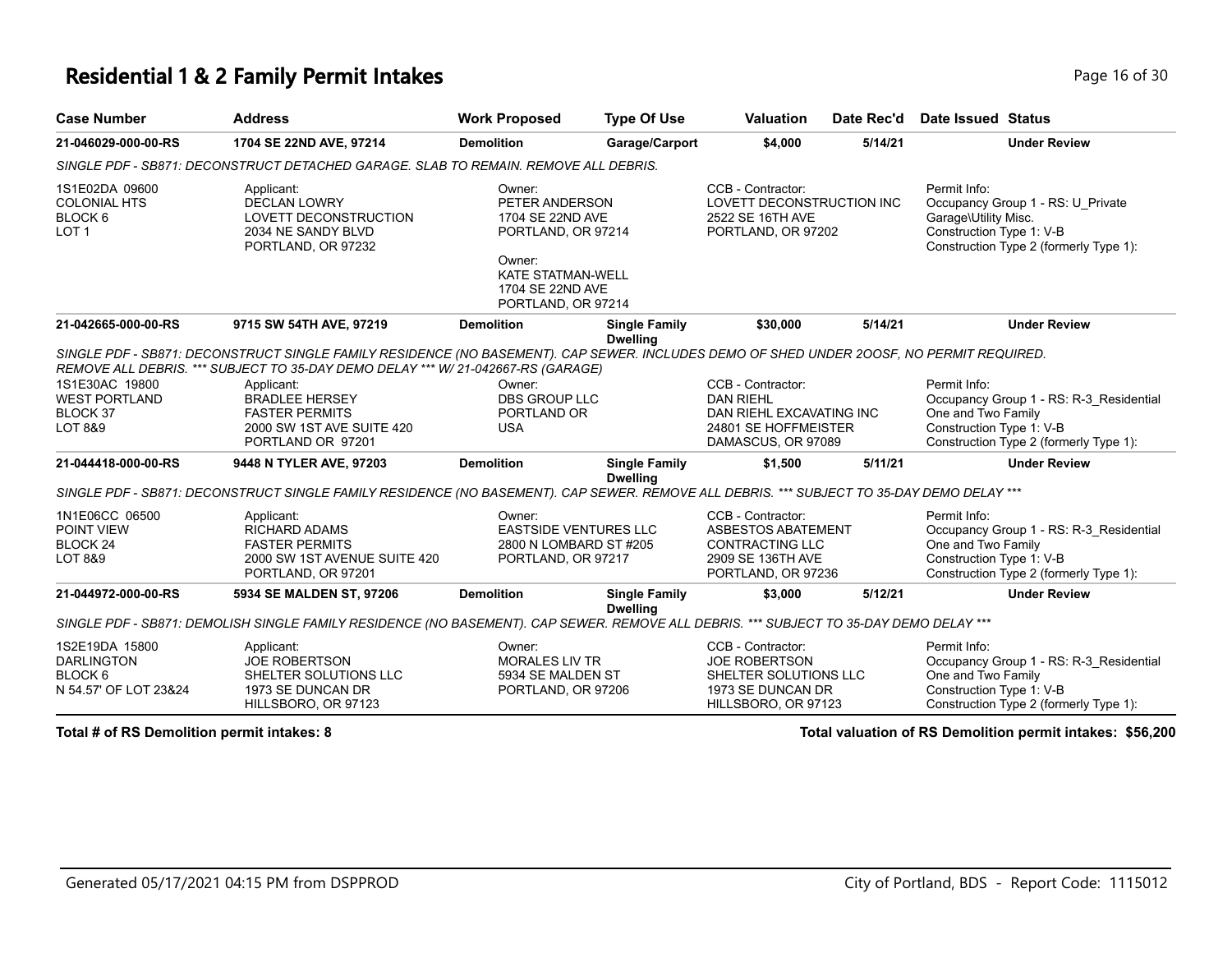#### **Residential 1 & 2 Family Permit Intakes Page 16 of 30 Page 16 of 30**

| <b>Case Number</b>                                                                 | <b>Address</b>                                                                                                                                                                                                               | <b>Work Proposed</b>                                                                                                                               | <b>Type Of Use</b>                      | <b>Valuation</b>                                                                                                    | Date Rec'd | Date Issued Status                                               |                                                                                   |
|------------------------------------------------------------------------------------|------------------------------------------------------------------------------------------------------------------------------------------------------------------------------------------------------------------------------|----------------------------------------------------------------------------------------------------------------------------------------------------|-----------------------------------------|---------------------------------------------------------------------------------------------------------------------|------------|------------------------------------------------------------------|-----------------------------------------------------------------------------------|
| 21-046029-000-00-RS                                                                | 1704 SE 22ND AVE, 97214                                                                                                                                                                                                      | <b>Demolition</b>                                                                                                                                  | Garage/Carport                          | \$4,000                                                                                                             | 5/14/21    |                                                                  | <b>Under Review</b>                                                               |
|                                                                                    | SINGLE PDF - SB871: DECONSTRUCT DETACHED GARAGE. SLAB TO REMAIN. REMOVE ALL DEBRIS.                                                                                                                                          |                                                                                                                                                    |                                         |                                                                                                                     |            |                                                                  |                                                                                   |
| 1S1E02DA 09600<br><b>COLONIAL HTS</b><br>BLOCK <sub>6</sub><br>LOT <sub>1</sub>    | Applicant:<br><b>DECLAN LOWRY</b><br>LOVETT DECONSTRUCTION<br>2034 NE SANDY BLVD<br>PORTLAND, OR 97232                                                                                                                       | Owner:<br>PETER ANDERSON<br>1704 SE 22ND AVE<br>PORTLAND, OR 97214<br>Owner:<br><b>KATE STATMAN-WELL</b><br>1704 SE 22ND AVE<br>PORTLAND, OR 97214 |                                         | CCB - Contractor:<br>LOVETT DECONSTRUCTION INC<br>2522 SE 16TH AVE<br>PORTLAND, OR 97202                            |            | Permit Info:<br>Garage\Utility Misc.<br>Construction Type 1: V-B | Occupancy Group 1 - RS: U Private<br>Construction Type 2 (formerly Type 1):       |
| 21-042665-000-00-RS                                                                | 9715 SW 54TH AVE, 97219                                                                                                                                                                                                      | <b>Demolition</b>                                                                                                                                  | <b>Single Family</b><br><b>Dwelling</b> | \$30,000                                                                                                            | 5/14/21    |                                                                  | <b>Under Review</b>                                                               |
|                                                                                    | SINGLE PDF - SB871: DECONSTRUCT SINGLE FAMILY RESIDENCE (NO BASEMENT). CAP SEWER. INCLUDES DEMO OF SHED UNDER 200SF, NO PERMIT REQUIRED.<br>REMOVE ALL DEBRIS. *** SUBJECT TO 35-DAY DEMO DELAY *** W/ 21-042667-RS (GARAGE) |                                                                                                                                                    |                                         |                                                                                                                     |            |                                                                  |                                                                                   |
| 1S1E30AC 19800<br><b>WEST PORTLAND</b><br>BLOCK 37<br>LOT 8&9                      | Applicant:<br><b>BRADLEE HERSEY</b><br><b>FASTER PERMITS</b><br>2000 SW 1ST AVE SUITE 420<br>PORTLAND OR 97201                                                                                                               | Owner:<br><b>DBS GROUP LLC</b><br>PORTLAND OR<br><b>USA</b>                                                                                        |                                         | CCB - Contractor:<br><b>DAN RIEHL</b><br>DAN RIEHL EXCAVATING INC<br>24801 SE HOFFMEISTER<br>DAMASCUS, OR 97089     |            | Permit Info:<br>One and Two Family<br>Construction Type 1: V-B   | Occupancy Group 1 - RS: R-3 Residential<br>Construction Type 2 (formerly Type 1): |
| 21-044418-000-00-RS                                                                | 9448 N TYLER AVE, 97203                                                                                                                                                                                                      | <b>Demolition</b>                                                                                                                                  | <b>Single Family</b><br><b>Dwelling</b> | \$1,500                                                                                                             | 5/11/21    |                                                                  | <b>Under Review</b>                                                               |
|                                                                                    | SINGLE PDF - SB871: DECONSTRUCT SINGLE FAMILY RESIDENCE (NO BASEMENT). CAP SEWER. REMOVE ALL DEBRIS. *** SUBJECT TO 35-DAY DEMO DELAY ***                                                                                    |                                                                                                                                                    |                                         |                                                                                                                     |            |                                                                  |                                                                                   |
| 1N1E06CC 06500<br>POINT VIEW<br>BLOCK 24<br>LOT 8&9                                | Applicant:<br><b>RICHARD ADAMS</b><br><b>FASTER PERMITS</b><br>2000 SW 1ST AVENUE SUITE 420<br>PORTLAND, OR 97201                                                                                                            | Owner:<br><b>EASTSIDE VENTURES LLC</b><br>2800 N LOMBARD ST #205<br>PORTLAND, OR 97217                                                             |                                         | CCB - Contractor:<br><b>ASBESTOS ABATEMENT</b><br><b>CONTRACTING LLC</b><br>2909 SE 136TH AVE<br>PORTLAND, OR 97236 |            | Permit Info:<br>One and Two Family<br>Construction Type 1: V-B   | Occupancy Group 1 - RS: R-3 Residential<br>Construction Type 2 (formerly Type 1): |
| 21-044972-000-00-RS                                                                | 5934 SE MALDEN ST, 97206                                                                                                                                                                                                     | <b>Demolition</b>                                                                                                                                  | <b>Single Family</b>                    | \$3,000                                                                                                             | 5/12/21    |                                                                  | <b>Under Review</b>                                                               |
|                                                                                    | SINGLE PDF - SB871: DEMOLISH SINGLE FAMILY RESIDENCE (NO BASEMENT). CAP SEWER. REMOVE ALL DEBRIS. *** SUBJECT TO 35-DAY DEMO DELAY ***                                                                                       |                                                                                                                                                    | <b>Dwelling</b>                         |                                                                                                                     |            |                                                                  |                                                                                   |
| 1S2E19DA 15800<br><b>DARLINGTON</b><br>BLOCK <sub>6</sub><br>N 54.57' OF LOT 23&24 | Applicant:<br><b>JOE ROBERTSON</b><br>SHELTER SOLUTIONS LLC<br>1973 SE DUNCAN DR<br>HILLSBORO, OR 97123                                                                                                                      | Owner:<br><b>MORALES LIV TR</b><br>5934 SE MALDEN ST<br>PORTLAND, OR 97206                                                                         |                                         | CCB - Contractor:<br><b>JOE ROBERTSON</b><br>SHELTER SOLUTIONS LLC<br>1973 SE DUNCAN DR<br>HILLSBORO, OR 97123      |            | Permit Info:<br>One and Two Family<br>Construction Type 1: V-B   | Occupancy Group 1 - RS: R-3 Residential<br>Construction Type 2 (formerly Type 1): |

**Total # of RS Demolition permit intakes: 8 Total valuation of RS Demolition permit intakes: \$56,200**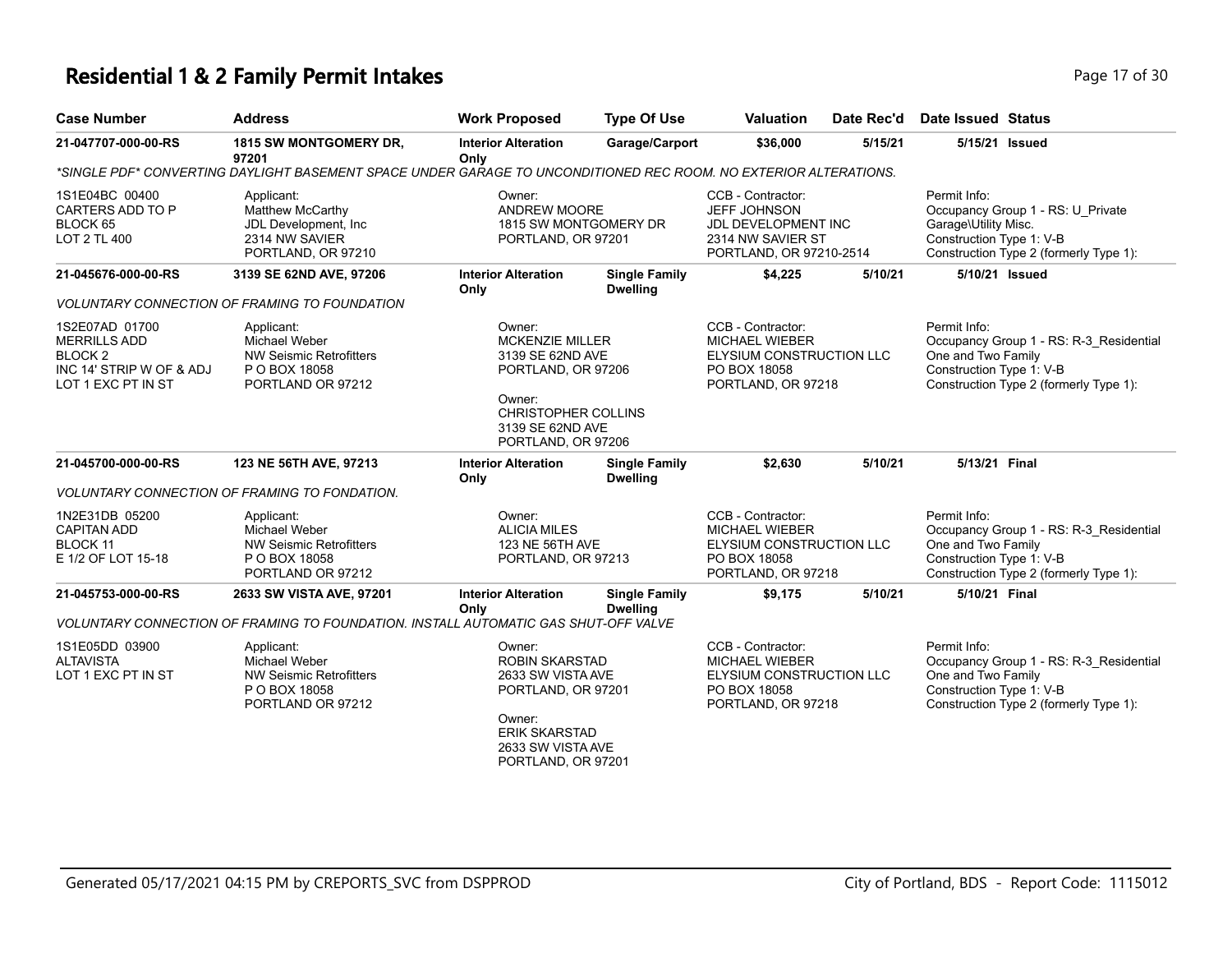### **Residential 1 & 2 Family Permit Intakes Page 17 of 30 Page 17 of 30**

| <b>Case Number</b>                                                                                 | <b>Address</b>                                                                                                   | <b>Work Proposed</b>                                                                                                                                    | <b>Type Of Use</b>                      | <b>Valuation</b>                                                                                                | Date Rec'd | <b>Date Issued Status</b>                                                                                                                           |
|----------------------------------------------------------------------------------------------------|------------------------------------------------------------------------------------------------------------------|---------------------------------------------------------------------------------------------------------------------------------------------------------|-----------------------------------------|-----------------------------------------------------------------------------------------------------------------|------------|-----------------------------------------------------------------------------------------------------------------------------------------------------|
| 21-047707-000-00-RS                                                                                | 1815 SW MONTGOMERY DR,<br>97201                                                                                  | <b>Interior Alteration</b><br>Only                                                                                                                      | Garage/Carport                          | \$36,000                                                                                                        | 5/15/21    | 5/15/21 Issued                                                                                                                                      |
|                                                                                                    | *SINGLE PDF* CONVERTING DAYLIGHT BASEMENT SPACE UNDER GARAGE TO UNCONDITIONED REC ROOM. NO EXTERIOR ALTERATIONS. |                                                                                                                                                         |                                         |                                                                                                                 |            |                                                                                                                                                     |
| 1S1E04BC 00400<br>CARTERS ADD TO P<br>BLOCK 65<br>LOT 2 TL 400                                     | Applicant:<br>Matthew McCarthy<br>JDL Development, Inc.<br>2314 NW SAVIER<br>PORTLAND, OR 97210                  | Owner:<br><b>ANDREW MOORE</b><br>1815 SW MONTGOMERY DR<br>PORTLAND, OR 97201                                                                            |                                         | CCB - Contractor:<br><b>JEFF JOHNSON</b><br>JDL DEVELOPMENT INC<br>2314 NW SAVIER ST<br>PORTLAND, OR 97210-2514 |            | Permit Info:<br>Occupancy Group 1 - RS: U_Private<br>Garage\Utility Misc.<br>Construction Type 1: V-B<br>Construction Type 2 (formerly Type 1):     |
| 21-045676-000-00-RS                                                                                | 3139 SE 62ND AVE, 97206                                                                                          | <b>Interior Alteration</b><br>Only                                                                                                                      | <b>Single Family</b><br><b>Dwelling</b> | \$4,225                                                                                                         | 5/10/21    | 5/10/21 Issued                                                                                                                                      |
|                                                                                                    | <b>VOLUNTARY CONNECTION OF FRAMING TO FOUNDATION</b>                                                             |                                                                                                                                                         |                                         |                                                                                                                 |            |                                                                                                                                                     |
| 1S2E07AD 01700<br><b>MERRILLS ADD</b><br>BLOCK 2<br>INC 14' STRIP W OF & ADJ<br>LOT 1 EXC PT IN ST | Applicant:<br>Michael Weber<br><b>NW Seismic Retrofitters</b><br>P O BOX 18058<br>PORTLAND OR 97212              | Owner:<br><b>MCKENZIE MILLER</b><br>3139 SE 62ND AVE<br>PORTLAND, OR 97206<br>Owner:                                                                    |                                         | CCB - Contractor:<br><b>MICHAEL WIEBER</b><br>ELYSIUM CONSTRUCTION LLC<br>PO BOX 18058<br>PORTLAND, OR 97218    |            | Permit Info:<br>Occupancy Group 1 - RS: R-3_Residential<br>One and Two Family<br>Construction Type 1: V-B<br>Construction Type 2 (formerly Type 1): |
|                                                                                                    |                                                                                                                  | CHRISTOPHER COLLINS<br>3139 SE 62ND AVE<br>PORTLAND, OR 97206                                                                                           |                                         |                                                                                                                 |            |                                                                                                                                                     |
| 21-045700-000-00-RS                                                                                | 123 NE 56TH AVE, 97213                                                                                           | <b>Interior Alteration</b><br>Only                                                                                                                      | <b>Single Family</b><br><b>Dwelling</b> | \$2,630                                                                                                         | 5/10/21    | 5/13/21 Final                                                                                                                                       |
|                                                                                                    | VOLUNTARY CONNECTION OF FRAMING TO FONDATION.                                                                    |                                                                                                                                                         |                                         |                                                                                                                 |            |                                                                                                                                                     |
| 1N2E31DB 05200<br><b>CAPITAN ADD</b><br><b>BLOCK 11</b><br>E 1/2 OF LOT 15-18                      | Applicant:<br>Michael Weber<br><b>NW Seismic Retrofitters</b><br>P O BOX 18058<br>PORTLAND OR 97212              | Owner:<br><b>ALICIA MILES</b><br>123 NE 56TH AVE<br>PORTLAND, OR 97213                                                                                  |                                         | CCB - Contractor:<br><b>MICHAEL WIEBER</b><br>ELYSIUM CONSTRUCTION LLC<br>PO BOX 18058<br>PORTLAND, OR 97218    |            | Permit Info:<br>Occupancy Group 1 - RS: R-3_Residential<br>One and Two Family<br>Construction Type 1: V-B<br>Construction Type 2 (formerly Type 1): |
| 21-045753-000-00-RS                                                                                | 2633 SW VISTA AVE, 97201                                                                                         | <b>Interior Alteration</b>                                                                                                                              | <b>Single Family</b>                    | \$9,175                                                                                                         | 5/10/21    | 5/10/21 Final                                                                                                                                       |
|                                                                                                    | VOLUNTARY CONNECTION OF FRAMING TO FOUNDATION. INSTALL AUTOMATIC GAS SHUT-OFF VALVE                              | Only                                                                                                                                                    | <b>Dwelling</b>                         |                                                                                                                 |            |                                                                                                                                                     |
| 1S1E05DD 03900<br><b>ALTAVISTA</b><br>LOT 1 EXC PT IN ST                                           | Applicant:<br>Michael Weber<br><b>NW Seismic Retrofitters</b><br>P O BOX 18058<br>PORTLAND OR 97212              | Owner:<br><b>ROBIN SKARSTAD</b><br>2633 SW VISTA AVE<br>PORTLAND, OR 97201<br>Owner:<br><b>ERIK SKARSTAD</b><br>2633 SW VISTA AVE<br>PORTLAND, OR 97201 |                                         | CCB - Contractor:<br><b>MICHAEL WIEBER</b><br>ELYSIUM CONSTRUCTION LLC<br>PO BOX 18058<br>PORTLAND, OR 97218    |            | Permit Info:<br>Occupancy Group 1 - RS: R-3_Residential<br>One and Two Family<br>Construction Type 1: V-B<br>Construction Type 2 (formerly Type 1): |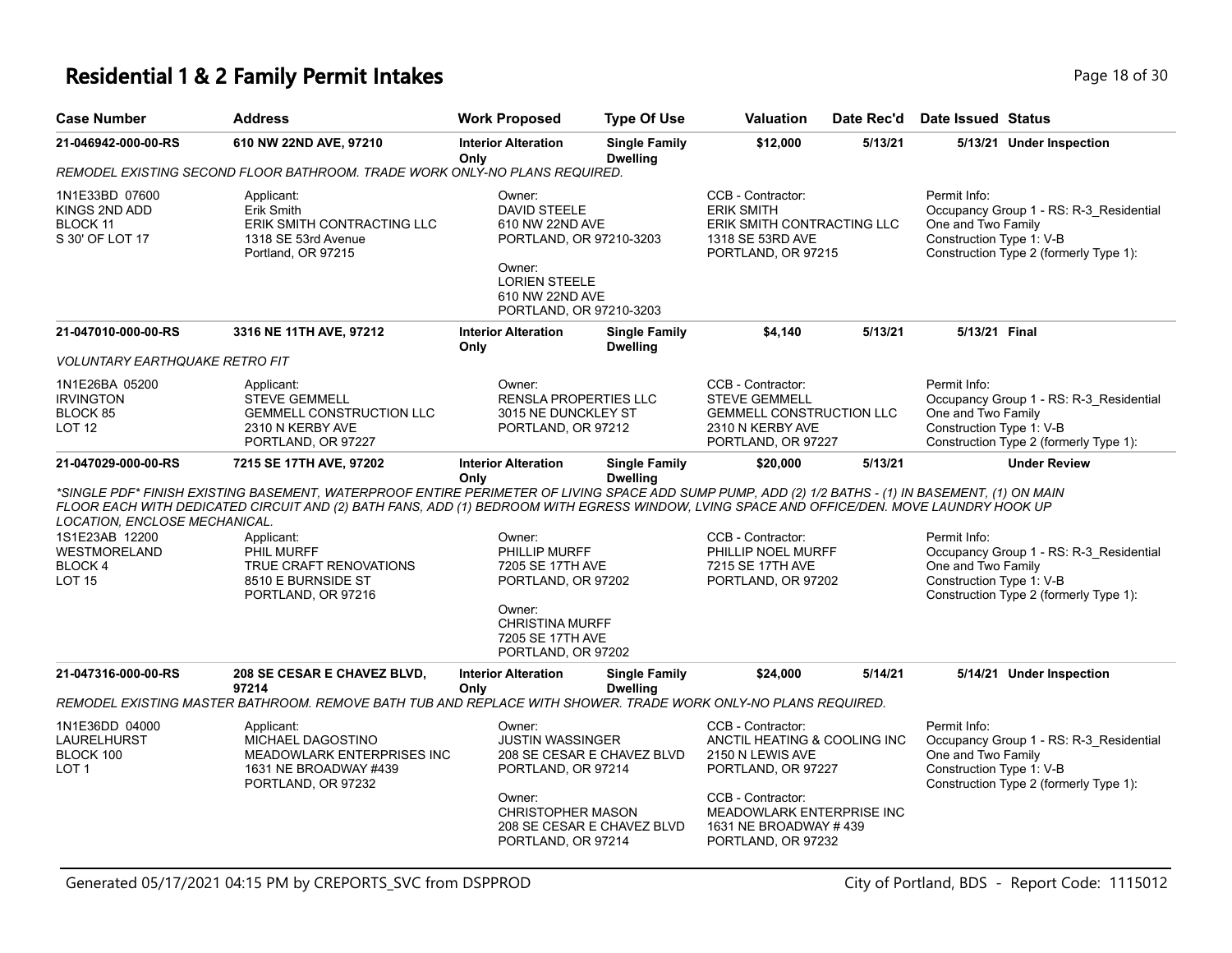# **Residential 1 & 2 Family Permit Intakes Page 18 of 30** Page 18 of 30

| <b>Case Number</b>                                               | <b>Address</b>                                                                                                                                                                                                                                                                                  | <b>Work Proposed</b>                                                                                                                                        | <b>Type Of Use</b>                                       | <b>Valuation</b>                                                                                                                                                                             | Date Rec'd | <b>Date Issued Status</b>                                                                                                                           |
|------------------------------------------------------------------|-------------------------------------------------------------------------------------------------------------------------------------------------------------------------------------------------------------------------------------------------------------------------------------------------|-------------------------------------------------------------------------------------------------------------------------------------------------------------|----------------------------------------------------------|----------------------------------------------------------------------------------------------------------------------------------------------------------------------------------------------|------------|-----------------------------------------------------------------------------------------------------------------------------------------------------|
| 21-046942-000-00-RS                                              | 610 NW 22ND AVE, 97210                                                                                                                                                                                                                                                                          | <b>Interior Alteration</b><br>Only                                                                                                                          | <b>Single Family</b><br><b>Dwelling</b>                  | \$12,000                                                                                                                                                                                     | 5/13/21    | 5/13/21 Under Inspection                                                                                                                            |
|                                                                  | REMODEL EXISTING SECOND FLOOR BATHROOM. TRADE WORK ONLY-NO PLANS REQUIRED.                                                                                                                                                                                                                      |                                                                                                                                                             |                                                          |                                                                                                                                                                                              |            |                                                                                                                                                     |
| 1N1E33BD 07600<br>KINGS 2ND ADD<br>BLOCK 11<br>S 30' OF LOT 17   | Applicant:<br>Erik Smith<br>ERIK SMITH CONTRACTING LLC<br>1318 SE 53rd Avenue<br>Portland, OR 97215                                                                                                                                                                                             | Owner:<br><b>DAVID STEELE</b><br>610 NW 22ND AVE<br>PORTLAND, OR 97210-3203<br>Owner:<br><b>LORIEN STEELE</b><br>610 NW 22ND AVE<br>PORTLAND, OR 97210-3203 |                                                          | CCB - Contractor:<br><b>ERIK SMITH</b><br>ERIK SMITH CONTRACTING LLC<br>1318 SE 53RD AVE<br>PORTLAND, OR 97215                                                                               |            | Permit Info:<br>Occupancy Group 1 - RS: R-3_Residential<br>One and Two Family<br>Construction Type 1: V-B<br>Construction Type 2 (formerly Type 1): |
| 21-047010-000-00-RS<br>VOLUNTARY EARTHQUAKE RETRO FIT            | 3316 NE 11TH AVE, 97212                                                                                                                                                                                                                                                                         | <b>Interior Alteration</b><br>Only                                                                                                                          | <b>Single Family</b><br><b>Dwelling</b>                  | \$4,140                                                                                                                                                                                      | 5/13/21    | 5/13/21 Final                                                                                                                                       |
| 1N1E26BA 05200<br>irvington<br>BLOCK 85<br>LOT 12                | Applicant:<br><b>STEVE GEMMELL</b><br><b>GEMMELL CONSTRUCTION LLC</b><br>2310 N KERBY AVE<br>PORTLAND, OR 97227                                                                                                                                                                                 | Owner:<br><b>RENSLA PROPERTIES LLC</b><br>3015 NE DUNCKLEY ST<br>PORTLAND, OR 97212                                                                         |                                                          | CCB - Contractor:<br><b>STEVE GEMMELL</b><br><b>GEMMELL CONSTRUCTION LLC</b><br>2310 N KERBY AVE<br>PORTLAND, OR 97227                                                                       |            | Permit Info:<br>Occupancy Group 1 - RS: R-3_Residential<br>One and Two Family<br>Construction Type 1: V-B<br>Construction Type 2 (formerly Type 1): |
| 21-047029-000-00-RS                                              | 7215 SE 17TH AVE, 97202                                                                                                                                                                                                                                                                         | <b>Interior Alteration</b>                                                                                                                                  | <b>Single Family</b>                                     | \$20,000                                                                                                                                                                                     | 5/13/21    | <b>Under Review</b>                                                                                                                                 |
| LOCATION, ENCLOSE MECHANICAL.                                    | *SINGLE PDF* FINISH EXISTING BASEMENT, WATERPROOF ENTIRE PERIMETER OF LIVING SPACE ADD SUMP PUMP, ADD (2) 1/2 BATHS - (1) IN BASEMENT, (1) ON MAIN<br>FLOOR EACH WITH DEDICATED CIRCUIT AND (2) BATH FANS, ADD (1) BEDROOM WITH EGRESS WINDOW, LVING SPACE AND OFFICE/DEN. MOVE LAUNDRY HOOK UP | Only                                                                                                                                                        | <b>Dwelling</b>                                          |                                                                                                                                                                                              |            |                                                                                                                                                     |
| 1S1E23AB 12200<br>WESTMORELAND<br><b>BLOCK4</b><br><b>LOT 15</b> | Applicant:<br>PHIL MURFF<br>TRUE CRAFT RENOVATIONS<br>8510 E BURNSIDE ST<br>PORTLAND, OR 97216                                                                                                                                                                                                  | Owner:<br>PHILLIP MURFF<br>7205 SE 17TH AVE<br>PORTLAND, OR 97202<br>Owner:<br><b>CHRISTINA MURFF</b><br>7205 SE 17TH AVE<br>PORTLAND, OR 97202             |                                                          | CCB - Contractor:<br>PHILLIP NOEL MURFF<br>7215 SE 17TH AVE<br>PORTLAND, OR 97202                                                                                                            |            | Permit Info:<br>Occupancy Group 1 - RS: R-3_Residential<br>One and Two Family<br>Construction Type 1: V-B<br>Construction Type 2 (formerly Type 1): |
| 21-047316-000-00-RS                                              | 208 SE CESAR E CHAVEZ BLVD,<br>97214                                                                                                                                                                                                                                                            | <b>Interior Alteration</b>                                                                                                                                  | <b>Single Family</b>                                     | \$24,000                                                                                                                                                                                     | 5/14/21    | 5/14/21 Under Inspection                                                                                                                            |
|                                                                  | REMODEL EXISTING MASTER BATHROOM. REMOVE BATH TUB AND REPLACE WITH SHOWER. TRADE WORK ONLY-NO PLANS REQUIRED.                                                                                                                                                                                   | Only                                                                                                                                                        | <b>Dwelling</b>                                          |                                                                                                                                                                                              |            |                                                                                                                                                     |
| 1N1E36DD 04000<br>LAURELHURST<br>BLOCK 100<br>LOT <sub>1</sub>   | Applicant:<br>MICHAEL DAGOSTINO<br>MEADOWLARK ENTERPRISES INC<br>1631 NE BROADWAY #439<br>PORTLAND, OR 97232                                                                                                                                                                                    | Owner:<br><b>JUSTIN WASSINGER</b><br>PORTLAND, OR 97214<br>Owner:<br><b>CHRISTOPHER MASON</b><br>PORTLAND, OR 97214                                         | 208 SE CESAR E CHAVEZ BLVD<br>208 SE CESAR E CHAVEZ BLVD | CCB - Contractor:<br>ANCTIL HEATING & COOLING INC<br>2150 N LEWIS AVE<br>PORTLAND, OR 97227<br>CCB - Contractor:<br>MEADOWLARK ENTERPRISE INC<br>1631 NE BROADWAY #439<br>PORTLAND, OR 97232 |            | Permit Info:<br>Occupancy Group 1 - RS: R-3_Residential<br>One and Two Family<br>Construction Type 1: V-B<br>Construction Type 2 (formerly Type 1): |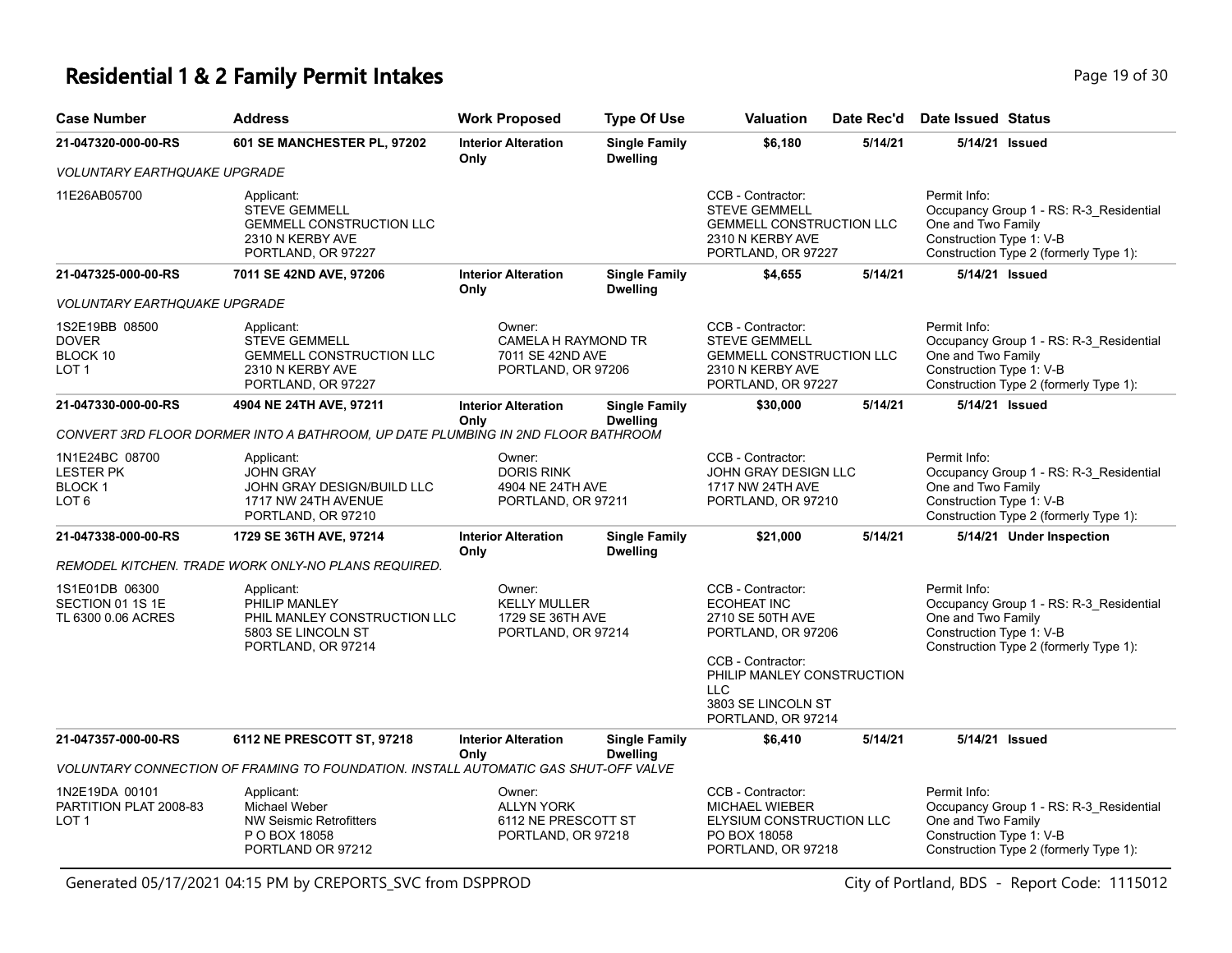#### **Residential 1 & 2 Family Permit Intakes Page 19 of 30** Page 19 of 30

| <b>Case Number</b>                                                      | <b>Address</b>                                                                                                  | <b>Work Proposed</b>                                                     | <b>Type Of Use</b>                      | <b>Valuation</b>                                                                                                       | Date Rec'd | Date Issued Status                                                                                                                                  |
|-------------------------------------------------------------------------|-----------------------------------------------------------------------------------------------------------------|--------------------------------------------------------------------------|-----------------------------------------|------------------------------------------------------------------------------------------------------------------------|------------|-----------------------------------------------------------------------------------------------------------------------------------------------------|
| 21-047320-000-00-RS                                                     | 601 SE MANCHESTER PL, 97202                                                                                     | <b>Interior Alteration</b><br>Only                                       | <b>Single Family</b><br><b>Dwelling</b> | \$6,180                                                                                                                | 5/14/21    | 5/14/21 Issued                                                                                                                                      |
| VOLUNTARY EARTHQUAKE UPGRADE                                            |                                                                                                                 |                                                                          |                                         |                                                                                                                        |            |                                                                                                                                                     |
| 11E26AB05700                                                            | Applicant:<br><b>STEVE GEMMELL</b><br><b>GEMMELL CONSTRUCTION LLC</b><br>2310 N KERBY AVE<br>PORTLAND, OR 97227 |                                                                          |                                         | CCB - Contractor:<br><b>STEVE GEMMELL</b><br><b>GEMMELL CONSTRUCTION LLC</b><br>2310 N KERBY AVE<br>PORTLAND, OR 97227 |            | Permit Info:<br>Occupancy Group 1 - RS: R-3 Residential<br>One and Two Family<br>Construction Type 1: V-B<br>Construction Type 2 (formerly Type 1): |
| 21-047325-000-00-RS                                                     | 7011 SE 42ND AVE, 97206                                                                                         | <b>Interior Alteration</b><br>Only                                       | <b>Single Family</b><br><b>Dwelling</b> | \$4,655                                                                                                                | 5/14/21    | 5/14/21 Issued                                                                                                                                      |
| <i>VOLUNTARY EARTHQUAKE UPGRADE</i>                                     |                                                                                                                 |                                                                          |                                         |                                                                                                                        |            |                                                                                                                                                     |
| 1S2E19BB 08500<br><b>DOVER</b><br>BLOCK 10<br>LOT 1                     | Applicant:<br><b>STEVE GEMMELL</b><br><b>GEMMELL CONSTRUCTION LLC</b><br>2310 N KERBY AVE<br>PORTLAND, OR 97227 | Owner:<br>CAMELA H RAYMOND TR<br>7011 SE 42ND AVE<br>PORTLAND, OR 97206  |                                         | CCB - Contractor:<br><b>STEVE GEMMELL</b><br><b>GEMMELL CONSTRUCTION LLC</b><br>2310 N KERBY AVE<br>PORTLAND, OR 97227 |            | Permit Info:<br>Occupancy Group 1 - RS: R-3_Residential<br>One and Two Family<br>Construction Type 1: V-B<br>Construction Type 2 (formerly Type 1): |
| 21-047330-000-00-RS                                                     | 4904 NE 24TH AVE, 97211                                                                                         | <b>Interior Alteration</b><br>Only                                       | <b>Single Family</b><br><b>Dwelling</b> | \$30,000                                                                                                               | 5/14/21    | 5/14/21 Issued                                                                                                                                      |
|                                                                         | CONVERT 3RD FLOOR DORMER INTO A BATHROOM, UP DATE PLUMBING IN 2ND FLOOR BATHROOM                                |                                                                          |                                         |                                                                                                                        |            |                                                                                                                                                     |
| 1N1E24BC 08700<br><b>LESTER PK</b><br><b>BLOCK1</b><br>LOT <sub>6</sub> | Applicant:<br><b>JOHN GRAY</b><br>JOHN GRAY DESIGN/BUILD LLC<br>1717 NW 24TH AVENUE<br>PORTLAND, OR 97210       | Owner:<br><b>DORIS RINK</b><br>4904 NE 24TH AVE<br>PORTLAND, OR 97211    |                                         | CCB - Contractor:<br>JOHN GRAY DESIGN LLC<br>1717 NW 24TH AVE<br>PORTLAND, OR 97210                                    |            | Permit Info:<br>Occupancy Group 1 - RS: R-3 Residential<br>One and Two Family<br>Construction Type 1: V-B<br>Construction Type 2 (formerly Type 1): |
| 21-047338-000-00-RS                                                     | 1729 SE 36TH AVE, 97214                                                                                         | <b>Interior Alteration</b><br>Only                                       | <b>Single Family</b><br><b>Dwelling</b> | \$21,000                                                                                                               | 5/14/21    | 5/14/21 Under Inspection                                                                                                                            |
|                                                                         | REMODEL KITCHEN. TRADE WORK ONLY-NO PLANS REQUIRED.                                                             |                                                                          |                                         |                                                                                                                        |            |                                                                                                                                                     |
| 1S1E01DB 06300<br>SECTION 01 1S 1E<br>TL 6300 0.06 ACRES                | Applicant:<br>PHILIP MANLEY<br>PHIL MANLEY CONSTRUCTION LLC<br>5803 SE LINCOLN ST<br>PORTLAND, OR 97214         | Owner:<br><b>KELLY MULLER</b><br>1729 SE 36TH AVE<br>PORTLAND, OR 97214  |                                         | CCB - Contractor:<br><b>ECOHEAT INC</b><br>2710 SE 50TH AVE<br>PORTLAND, OR 97206<br>CCB - Contractor:                 |            | Permit Info:<br>Occupancy Group 1 - RS: R-3_Residential<br>One and Two Family<br>Construction Type 1: V-B<br>Construction Type 2 (formerly Type 1): |
|                                                                         |                                                                                                                 |                                                                          |                                         | PHILIP MANLEY CONSTRUCTION<br><b>LLC</b><br>3803 SE LINCOLN ST<br>PORTLAND, OR 97214                                   |            |                                                                                                                                                     |
| 21-047357-000-00-RS                                                     | 6112 NE PRESCOTT ST, 97218                                                                                      | <b>Interior Alteration</b>                                               | <b>Single Family</b>                    | \$6,410                                                                                                                | 5/14/21    | 5/14/21 Issued                                                                                                                                      |
|                                                                         | VOLUNTARY CONNECTION OF FRAMING TO FOUNDATION. INSTALL AUTOMATIC GAS SHUT-OFF VALVE                             | Only                                                                     | <b>Dwelling</b>                         |                                                                                                                        |            |                                                                                                                                                     |
| 1N2E19DA 00101<br>PARTITION PLAT 2008-83<br>LOT <sub>1</sub>            | Applicant:<br>Michael Weber<br><b>NW Seismic Retrofitters</b><br>P O BOX 18058<br>PORTLAND OR 97212             | Owner:<br><b>ALLYN YORK</b><br>6112 NE PRESCOTT ST<br>PORTLAND, OR 97218 |                                         | CCB - Contractor:<br><b>MICHAEL WIEBER</b><br>ELYSIUM CONSTRUCTION LLC<br>PO BOX 18058<br>PORTLAND, OR 97218           |            | Permit Info:<br>Occupancy Group 1 - RS: R-3 Residential<br>One and Two Family<br>Construction Type 1: V-B<br>Construction Type 2 (formerly Type 1): |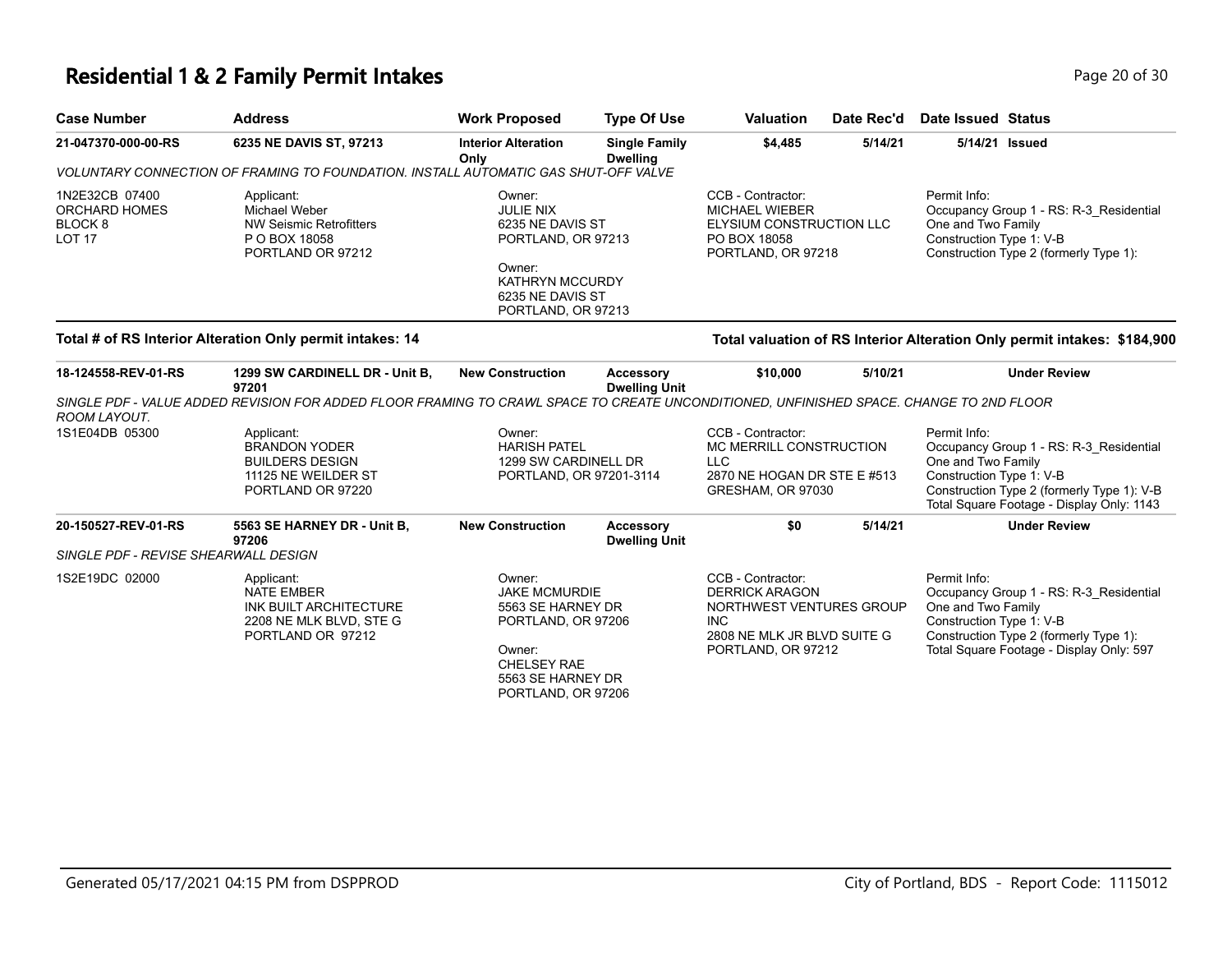### **Residential 1 & 2 Family Permit Intakes Page 20 of 30 Page 20 of 30**

| <b>Case Number</b>                                   | <b>Address</b>                                                                                                                          | <b>Work Proposed</b>                                                                                                                                 | <b>Type Of Use</b>                      | <b>Valuation</b>                                                                                                                          | Date Rec'd | Date Issued Status                                             |                                                                                                                                    |
|------------------------------------------------------|-----------------------------------------------------------------------------------------------------------------------------------------|------------------------------------------------------------------------------------------------------------------------------------------------------|-----------------------------------------|-------------------------------------------------------------------------------------------------------------------------------------------|------------|----------------------------------------------------------------|------------------------------------------------------------------------------------------------------------------------------------|
| 21-047370-000-00-RS                                  | 6235 NE DAVIS ST, 97213                                                                                                                 | <b>Interior Alteration</b><br>Only                                                                                                                   | <b>Single Family</b><br><b>Dwelling</b> | \$4,485                                                                                                                                   | 5/14/21    | 5/14/21 Issued                                                 |                                                                                                                                    |
|                                                      | VOLUNTARY CONNECTION OF FRAMING TO FOUNDATION. INSTALL AUTOMATIC GAS SHUT-OFF VALVE                                                     |                                                                                                                                                      |                                         |                                                                                                                                           |            |                                                                |                                                                                                                                    |
| 1N2E32CB 07400<br>ORCHARD HOMES<br>BLOCK 8<br>LOT 17 | Applicant:<br><b>Michael Weber</b><br><b>NW Seismic Retrofitters</b><br>P O BOX 18058<br>PORTLAND OR 97212                              | Owner:<br><b>JULIE NIX</b><br>6235 NE DAVIS ST<br>PORTLAND, OR 97213<br>Owner:<br><b>KATHRYN MCCURDY</b><br>6235 NE DAVIS ST<br>PORTLAND, OR 97213   |                                         | CCB - Contractor:<br><b>MICHAEL WIEBER</b><br>ELYSIUM CONSTRUCTION LLC<br>PO BOX 18058<br>PORTLAND, OR 97218                              |            | Permit Info:<br>One and Two Family<br>Construction Type 1: V-B | Occupancy Group 1 - RS: R-3 Residential<br>Construction Type 2 (formerly Type 1):                                                  |
|                                                      | Total # of RS Interior Alteration Only permit intakes: 14                                                                               |                                                                                                                                                      |                                         |                                                                                                                                           |            |                                                                | Total valuation of RS Interior Alteration Only permit intakes: \$184,900                                                           |
| 18-124558-REV-01-RS                                  | 1299 SW CARDINELL DR - Unit B,<br>97201                                                                                                 | <b>New Construction</b>                                                                                                                              | Accessory<br><b>Dwelling Unit</b>       | \$10,000                                                                                                                                  | 5/10/21    |                                                                | <b>Under Review</b>                                                                                                                |
| ROOM LAYOUT.                                         | SINGLE PDF - VALUE ADDED REVISION FOR ADDED FLOOR FRAMING TO CRAWL SPACE TO CREATE UNCONDITIONED, UNFINISHED SPACE. CHANGE TO 2ND FLOOR |                                                                                                                                                      |                                         |                                                                                                                                           |            |                                                                |                                                                                                                                    |
| 1S1E04DB 05300                                       | Applicant:<br><b>BRANDON YODER</b><br><b>BUILDERS DESIGN</b><br>11125 NE WEILDER ST<br>PORTLAND OR 97220                                | Owner:<br><b>HARISH PATEL</b><br>1299 SW CARDINELL DR<br>PORTLAND, OR 97201-3114                                                                     |                                         | CCB - Contractor:<br>MC MERRILL CONSTRUCTION<br><b>LLC</b><br>2870 NE HOGAN DR STE E #513<br>GRESHAM, OR 97030                            |            | Permit Info:<br>One and Two Family<br>Construction Type 1: V-B | Occupancy Group 1 - RS: R-3 Residential<br>Construction Type 2 (formerly Type 1): V-B<br>Total Square Footage - Display Only: 1143 |
| 20-150527-REV-01-RS                                  | 5563 SE HARNEY DR - Unit B,<br>97206                                                                                                    | <b>New Construction</b>                                                                                                                              | Accessory<br><b>Dwelling Unit</b>       | \$0                                                                                                                                       | 5/14/21    |                                                                | <b>Under Review</b>                                                                                                                |
| SINGLE PDF - REVISE SHEARWALL DESIGN                 |                                                                                                                                         |                                                                                                                                                      |                                         |                                                                                                                                           |            |                                                                |                                                                                                                                    |
| 1S2E19DC 02000                                       | Applicant:<br><b>NATE EMBER</b><br>INK BUILT ARCHITECTURE<br>2208 NE MLK BLVD, STE G<br>PORTLAND OR 97212                               | Owner:<br><b>JAKE MCMURDIE</b><br>5563 SE HARNEY DR<br>PORTLAND, OR 97206<br>Owner:<br><b>CHELSEY RAE</b><br>5563 SE HARNEY DR<br>PORTLAND, OR 97206 |                                         | CCB - Contractor:<br><b>DERRICK ARAGON</b><br>NORTHWEST VENTURES GROUP<br><b>INC</b><br>2808 NE MLK JR BLVD SUITE G<br>PORTLAND, OR 97212 |            | Permit Info:<br>One and Two Family<br>Construction Type 1: V-B | Occupancy Group 1 - RS: R-3_Residential<br>Construction Type 2 (formerly Type 1):<br>Total Square Footage - Display Only: 597      |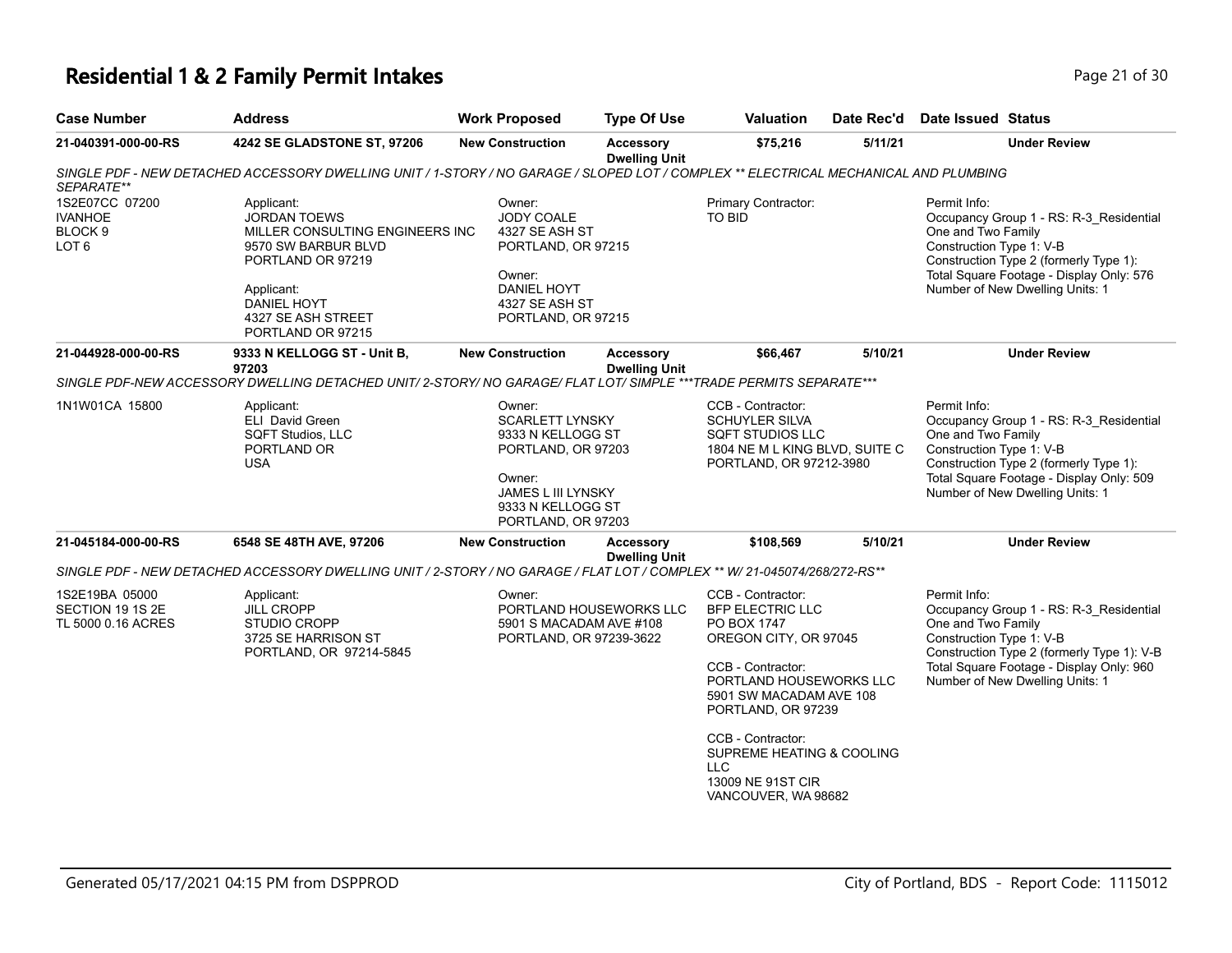## **Residential 1 & 2 Family Permit Intakes Page 21 of 30 Page 21 of 30**

| <b>Case Number</b>                                                         | <b>Address</b>                                                                                                                                                                                  | <b>Work Proposed</b>                                                                                                                                   | <b>Type Of Use</b>                       | <b>Valuation</b>                                                                                                                                                                                                                                                                                  | Date Rec'd | Date Issued Status                                                                                                                                                                                                                     |
|----------------------------------------------------------------------------|-------------------------------------------------------------------------------------------------------------------------------------------------------------------------------------------------|--------------------------------------------------------------------------------------------------------------------------------------------------------|------------------------------------------|---------------------------------------------------------------------------------------------------------------------------------------------------------------------------------------------------------------------------------------------------------------------------------------------------|------------|----------------------------------------------------------------------------------------------------------------------------------------------------------------------------------------------------------------------------------------|
| 21-040391-000-00-RS                                                        | 4242 SE GLADSTONE ST, 97206                                                                                                                                                                     | <b>New Construction</b>                                                                                                                                | <b>Accessory</b><br><b>Dwelling Unit</b> | \$75,216                                                                                                                                                                                                                                                                                          | 5/11/21    | <b>Under Review</b>                                                                                                                                                                                                                    |
| SEPARATE**                                                                 | SINGLE PDF - NEW DETACHED ACCESSORY DWELLING UNIT / 1-STORY / NO GARAGE / SLOPED LOT / COMPLEX ** ELECTRICAL MECHANICAL AND PLUMBING                                                            |                                                                                                                                                        |                                          |                                                                                                                                                                                                                                                                                                   |            |                                                                                                                                                                                                                                        |
| 1S2E07CC 07200<br><b>IVANHOE</b><br>BLOCK <sub>9</sub><br>LOT <sub>6</sub> | Applicant:<br><b>JORDAN TOEWS</b><br>MILLER CONSULTING ENGINEERS INC<br>9570 SW BARBUR BLVD<br>PORTLAND OR 97219<br>Applicant:<br><b>DANIEL HOYT</b><br>4327 SE ASH STREET<br>PORTLAND OR 97215 | Owner:<br><b>JODY COALE</b><br>4327 SE ASH ST<br>PORTLAND, OR 97215<br>Owner:<br><b>DANIEL HOYT</b><br>4327 SE ASH ST<br>PORTLAND, OR 97215            |                                          | Primary Contractor:<br>TO BID                                                                                                                                                                                                                                                                     |            | Permit Info:<br>Occupancy Group 1 - RS: R-3_Residential<br>One and Two Family<br>Construction Type 1: V-B<br>Construction Type 2 (formerly Type 1):<br>Total Square Footage - Display Only: 576<br>Number of New Dwelling Units: 1     |
| 21-044928-000-00-RS                                                        | 9333 N KELLOGG ST - Unit B,<br>97203                                                                                                                                                            | <b>New Construction</b>                                                                                                                                | <b>Accessory</b><br><b>Dwelling Unit</b> | \$66,467                                                                                                                                                                                                                                                                                          | 5/10/21    | <b>Under Review</b>                                                                                                                                                                                                                    |
|                                                                            | SINGLE PDF-NEW ACCESSORY DWELLING DETACHED UNIT/ 2-STORY/ NO GARAGE/ FLAT LOT/ SIMPLE ***TRADE PERMITS SEPARATE***                                                                              |                                                                                                                                                        |                                          |                                                                                                                                                                                                                                                                                                   |            |                                                                                                                                                                                                                                        |
| 1N1W01CA 15800                                                             | Applicant:<br><b>ELI David Green</b><br><b>SQFT Studios, LLC</b><br>PORTLAND OR<br><b>USA</b>                                                                                                   | Owner:<br><b>SCARLETT LYNSKY</b><br>9333 N KELLOGG ST<br>PORTLAND, OR 97203<br>Owner:<br>JAMES L III LYNSKY<br>9333 N KELLOGG ST<br>PORTLAND, OR 97203 |                                          | CCB - Contractor:<br><b>SCHUYLER SILVA</b><br><b>SQFT STUDIOS LLC</b><br>1804 NE M L KING BLVD, SUITE C<br>PORTLAND, OR 97212-3980                                                                                                                                                                |            | Permit Info:<br>Occupancy Group 1 - RS: R-3 Residential<br>One and Two Family<br>Construction Type 1: V-B<br>Construction Type 2 (formerly Type 1):<br>Total Square Footage - Display Only: 509<br>Number of New Dwelling Units: 1     |
| 21-045184-000-00-RS                                                        | 6548 SE 48TH AVE, 97206                                                                                                                                                                         | <b>New Construction</b>                                                                                                                                | <b>Accessory</b><br><b>Dwelling Unit</b> | \$108,569                                                                                                                                                                                                                                                                                         | 5/10/21    | <b>Under Review</b>                                                                                                                                                                                                                    |
|                                                                            | SINGLE PDF - NEW DETACHED ACCESSORY DWELLING UNIT / 2-STORY / NO GARAGE / FLAT LOT / COMPLEX ** W/ 21-045074/268/272-RS**                                                                       |                                                                                                                                                        |                                          |                                                                                                                                                                                                                                                                                                   |            |                                                                                                                                                                                                                                        |
| 1S2E19BA 05000<br>SECTION 19 1S 2E<br>TL 5000 0.16 ACRES                   | Applicant:<br><b>JILL CROPP</b><br><b>STUDIO CROPP</b><br>3725 SE HARRISON ST<br>PORTLAND, OR 97214-5845                                                                                        | Owner:<br>5901 S MACADAM AVE #108<br>PORTLAND, OR 97239-3622                                                                                           | PORTLAND HOUSEWORKS LLC                  | CCB - Contractor:<br><b>BFP ELECTRIC LLC</b><br>PO BOX 1747<br>OREGON CITY, OR 97045<br>CCB - Contractor:<br>PORTLAND HOUSEWORKS LLC<br>5901 SW MACADAM AVE 108<br>PORTLAND, OR 97239<br>CCB - Contractor:<br>SUPREME HEATING & COOLING<br><b>LLC</b><br>13009 NE 91ST CIR<br>VANCOUVER, WA 98682 |            | Permit Info:<br>Occupancy Group 1 - RS: R-3 Residential<br>One and Two Family<br>Construction Type 1: V-B<br>Construction Type 2 (formerly Type 1): V-B<br>Total Square Footage - Display Only: 960<br>Number of New Dwelling Units: 1 |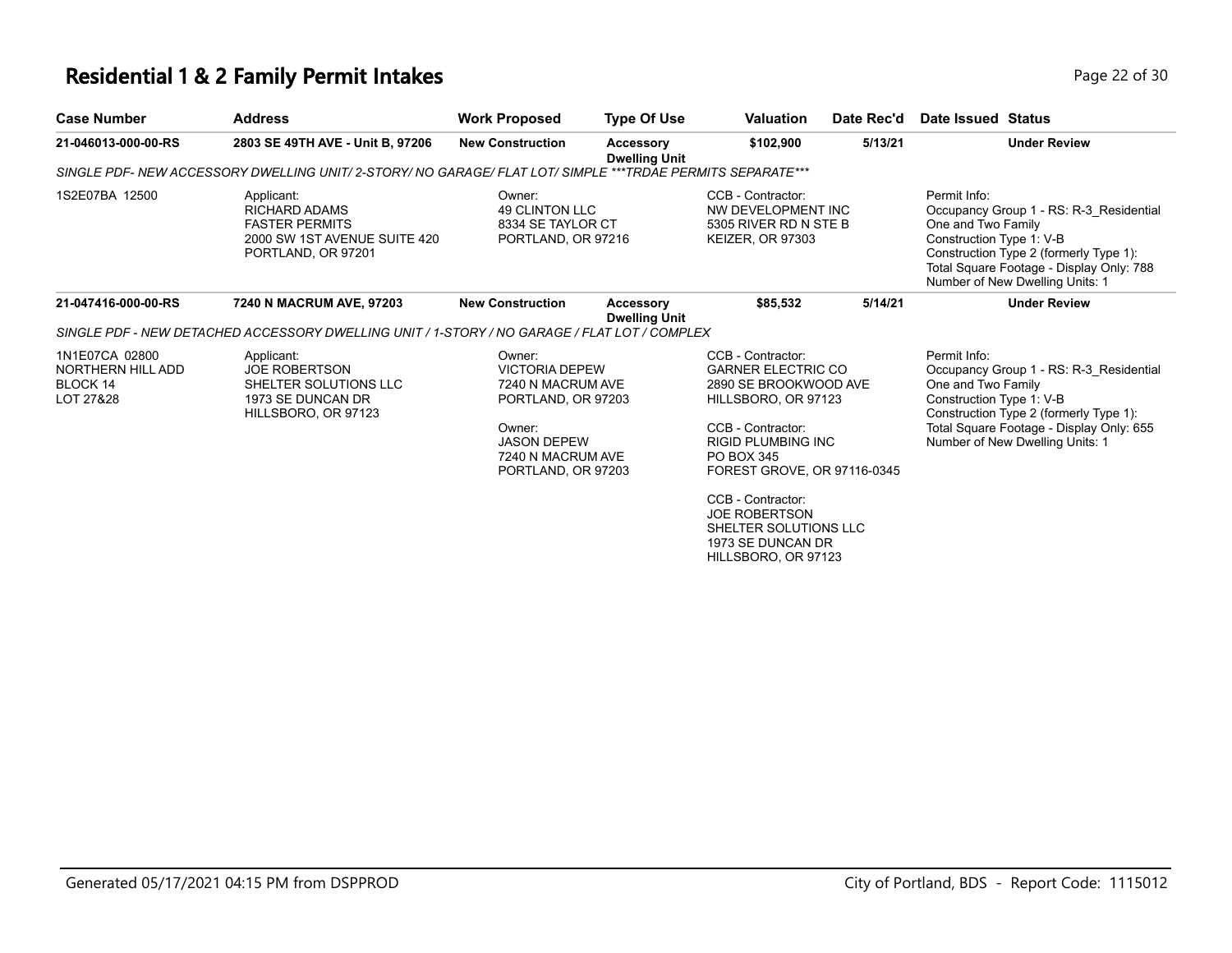### **Residential 1 & 2 Family Permit Intakes Page 12 of 30 Page 22 of 30**

| <b>Case Number</b>                                           | <b>Address</b>                                                                                                           | <b>Work Proposed</b>                                                                                                                                  | <b>Type Of Use</b>                | <b>Valuation</b>                                                                                                                                                                                                                                                                                                | Date Rec'd | Date Issued Status                                                                                                                                                                                                                 |
|--------------------------------------------------------------|--------------------------------------------------------------------------------------------------------------------------|-------------------------------------------------------------------------------------------------------------------------------------------------------|-----------------------------------|-----------------------------------------------------------------------------------------------------------------------------------------------------------------------------------------------------------------------------------------------------------------------------------------------------------------|------------|------------------------------------------------------------------------------------------------------------------------------------------------------------------------------------------------------------------------------------|
| 21-046013-000-00-RS                                          | 2803 SE 49TH AVE - Unit B, 97206                                                                                         | <b>New Construction</b>                                                                                                                               | Accessory<br><b>Dwelling Unit</b> | \$102,900                                                                                                                                                                                                                                                                                                       | 5/13/21    | <b>Under Review</b>                                                                                                                                                                                                                |
|                                                              | SINGLE PDF- NEW ACCESSORY DWELLING UNIT/ 2-STORY/ NO GARAGE/ FLAT LOT/ SIMPLE ***TRDAE PERMITS SEPARATE***               |                                                                                                                                                       |                                   |                                                                                                                                                                                                                                                                                                                 |            |                                                                                                                                                                                                                                    |
| 1S2E07BA 12500                                               | Applicant:<br><b>RICHARD ADAMS</b><br><b>FASTER PERMITS</b><br>2000 SW 1ST AVENUE SUITE 420<br>PORTLAND, OR 97201        | Owner:<br><b>49 CLINTON LLC</b><br>8334 SE TAYLOR CT<br>PORTLAND, OR 97216                                                                            |                                   | CCB - Contractor:<br>NW DEVELOPMENT INC<br>5305 RIVER RD N STE B<br><b>KEIZER, OR 97303</b>                                                                                                                                                                                                                     |            | Permit Info:<br>Occupancy Group 1 - RS: R-3 Residential<br>One and Two Family<br>Construction Type 1: V-B<br>Construction Type 2 (formerly Type 1):<br>Total Square Footage - Display Only: 788<br>Number of New Dwelling Units: 1 |
| 21-047416-000-00-RS                                          | 7240 N MACRUM AVE, 97203<br>SINGLE PDF - NEW DETACHED ACCESSORY DWELLING UNIT / 1-STORY / NO GARAGE / FLAT LOT / COMPLEX | <b>New Construction</b>                                                                                                                               | Accessory<br><b>Dwelling Unit</b> | \$85,532                                                                                                                                                                                                                                                                                                        | 5/14/21    | <b>Under Review</b>                                                                                                                                                                                                                |
| 1N1E07CA 02800<br>NORTHERN HILL ADD<br>BLOCK 14<br>LOT 27&28 | Applicant:<br><b>JOE ROBERTSON</b><br>SHELTER SOLUTIONS LLC<br>1973 SE DUNCAN DR<br>HILLSBORO, OR 97123                  | Owner:<br><b>VICTORIA DEPEW</b><br>7240 N MACRUM AVE<br>PORTLAND, OR 97203<br>Owner:<br><b>JASON DEPEW</b><br>7240 N MACRUM AVE<br>PORTLAND, OR 97203 |                                   | CCB - Contractor:<br><b>GARNER ELECTRIC CO</b><br>2890 SE BROOKWOOD AVE<br>HILLSBORO, OR 97123<br>CCB - Contractor:<br><b>RIGID PLUMBING INC</b><br>PO BOX 345<br>FOREST GROVE, OR 97116-0345<br>CCB - Contractor:<br><b>JOE ROBERTSON</b><br>SHELTER SOLUTIONS LLC<br>1973 SE DUNCAN DR<br>HILLSBORO, OR 97123 |            | Permit Info:<br>Occupancy Group 1 - RS: R-3 Residential<br>One and Two Family<br>Construction Type 1: V-B<br>Construction Type 2 (formerly Type 1):<br>Total Square Footage - Display Only: 655<br>Number of New Dwelling Units: 1 |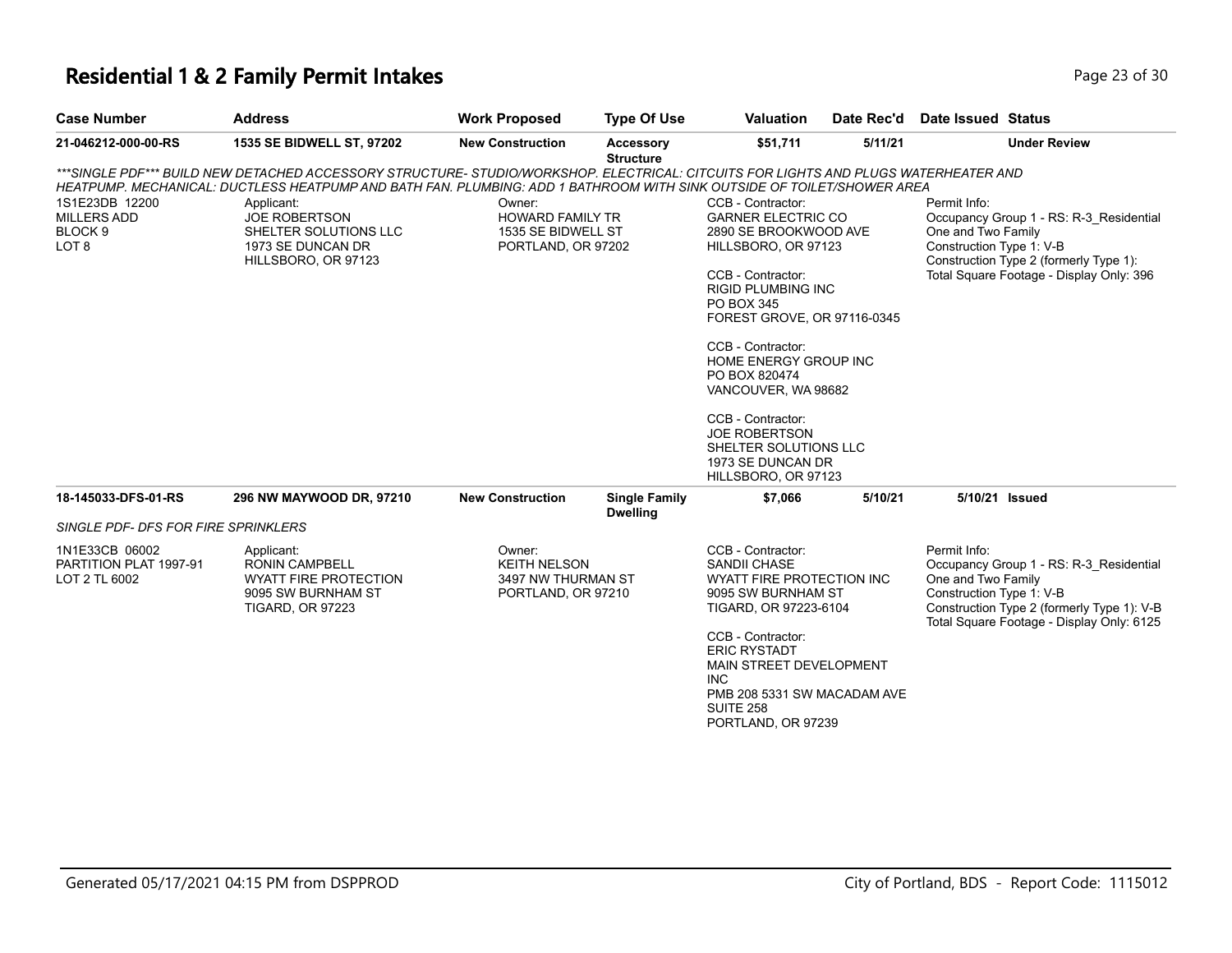#### **Residential 1 & 2 Family Permit Intakes Page 13 of 30 Page 23 of 30**

| <b>Case Number</b>                         | <b>Address</b>                                                                                                                                                                                                                                                | <b>Work Proposed</b>      | <b>Type Of Use</b>                      | <b>Valuation</b>                          | Date Rec'd | Date Issued Status                         |  |  |
|--------------------------------------------|---------------------------------------------------------------------------------------------------------------------------------------------------------------------------------------------------------------------------------------------------------------|---------------------------|-----------------------------------------|-------------------------------------------|------------|--------------------------------------------|--|--|
| 21-046212-000-00-RS                        | <b>1535 SE BIDWELL ST. 97202</b>                                                                                                                                                                                                                              | <b>New Construction</b>   | Accessory<br><b>Structure</b>           | \$51.711                                  | 5/11/21    | <b>Under Review</b>                        |  |  |
|                                            | ***SINGLE PDF*** BUILD NEW DETACHED ACCESSORY STRUCTURE- STUDIO/WORKSHOP. ELECTRICAL: CITCUITS FOR LIGHTS AND PLUGS WATERHEATER AND<br>HEATPUMP. MECHANICAL: DUCTLESS HEATPUMP AND BATH FAN. PLUMBING: ADD 1 BATHROOM WITH SINK OUTSIDE OF TOILET/SHOWER AREA |                           |                                         |                                           |            |                                            |  |  |
| 1S1E23DB 12200                             | Applicant:                                                                                                                                                                                                                                                    | Owner:                    |                                         | CCB - Contractor:                         |            | Permit Info:                               |  |  |
| <b>MILLERS ADD</b>                         | <b>JOE ROBERTSON</b>                                                                                                                                                                                                                                          | <b>GARNER ELECTRIC CO</b> | Occupancy Group 1 - RS: R-3 Residential |                                           |            |                                            |  |  |
| BLOCK <sub>9</sub>                         | SHELTER SOLUTIONS LLC<br>1535 SE BIDWELL ST<br>2890 SE BROOKWOOD AVE                                                                                                                                                                                          |                           |                                         | One and Two Family                        |            |                                            |  |  |
| LOT <sub>8</sub>                           | 1973 SE DUNCAN DR                                                                                                                                                                                                                                             | PORTLAND, OR 97202        |                                         | HILLSBORO, OR 97123                       |            | Construction Type 1: V-B                   |  |  |
|                                            | HILLSBORO, OR 97123                                                                                                                                                                                                                                           |                           |                                         |                                           |            | Construction Type 2 (formerly Type 1):     |  |  |
|                                            |                                                                                                                                                                                                                                                               |                           |                                         | CCB - Contractor:                         |            | Total Square Footage - Display Only: 396   |  |  |
|                                            |                                                                                                                                                                                                                                                               |                           |                                         | <b>RIGID PLUMBING INC</b>                 |            |                                            |  |  |
|                                            |                                                                                                                                                                                                                                                               |                           |                                         | PO BOX 345<br>FOREST GROVE, OR 97116-0345 |            |                                            |  |  |
|                                            |                                                                                                                                                                                                                                                               |                           |                                         |                                           |            |                                            |  |  |
|                                            |                                                                                                                                                                                                                                                               |                           |                                         | CCB - Contractor:                         |            |                                            |  |  |
|                                            |                                                                                                                                                                                                                                                               |                           |                                         | HOME ENERGY GROUP INC                     |            |                                            |  |  |
|                                            |                                                                                                                                                                                                                                                               |                           |                                         | PO BOX 820474<br>VANCOUVER, WA 98682      |            |                                            |  |  |
|                                            |                                                                                                                                                                                                                                                               |                           |                                         |                                           |            |                                            |  |  |
|                                            |                                                                                                                                                                                                                                                               |                           |                                         | CCB - Contractor:                         |            |                                            |  |  |
|                                            |                                                                                                                                                                                                                                                               |                           |                                         | <b>JOE ROBERTSON</b>                      |            |                                            |  |  |
|                                            |                                                                                                                                                                                                                                                               |                           |                                         | SHELTER SOLUTIONS LLC                     |            |                                            |  |  |
|                                            |                                                                                                                                                                                                                                                               |                           |                                         | 1973 SE DUNCAN DR                         |            |                                            |  |  |
|                                            |                                                                                                                                                                                                                                                               |                           |                                         | HILLSBORO, OR 97123                       |            |                                            |  |  |
| 18-145033-DFS-01-RS                        | 296 NW MAYWOOD DR. 97210                                                                                                                                                                                                                                      | <b>New Construction</b>   | <b>Single Family</b><br><b>Dwelling</b> | \$7.066                                   | 5/10/21    | 5/10/21 Issued                             |  |  |
| <b>SINGLE PDF- DFS FOR FIRE SPRINKLERS</b> |                                                                                                                                                                                                                                                               |                           |                                         |                                           |            |                                            |  |  |
| 1N1E33CB 06002                             | Applicant:                                                                                                                                                                                                                                                    | Owner:                    |                                         | CCB - Contractor:                         |            | Permit Info:                               |  |  |
| PARTITION PLAT 1997-91                     | <b>RONIN CAMPBELL</b>                                                                                                                                                                                                                                         | <b>KEITH NELSON</b>       |                                         | <b>SANDII CHASE</b>                       |            | Occupancy Group 1 - RS: R-3 Residential    |  |  |
| LOT 2 TL 6002                              | WYATT FIRE PROTECTION                                                                                                                                                                                                                                         | 3497 NW THURMAN ST        |                                         | WYATT FIRE PROTECTION INC                 |            | One and Two Family                         |  |  |
|                                            | 9095 SW BURNHAM ST                                                                                                                                                                                                                                            | PORTLAND, OR 97210        |                                         | 9095 SW BURNHAM ST                        |            | Construction Type 1: V-B                   |  |  |
|                                            | <b>TIGARD, OR 97223</b>                                                                                                                                                                                                                                       |                           |                                         | TIGARD, OR 97223-6104                     |            | Construction Type 2 (formerly Type 1): V-B |  |  |

CCB - Contractor: ERIC RYSTADT MAIN STREET DEVELOPMENT INC PMB 208 5331 SW MACADAM AVE SUITE 258 PORTLAND, OR 97239

Total Square Footage - Display Only: 6125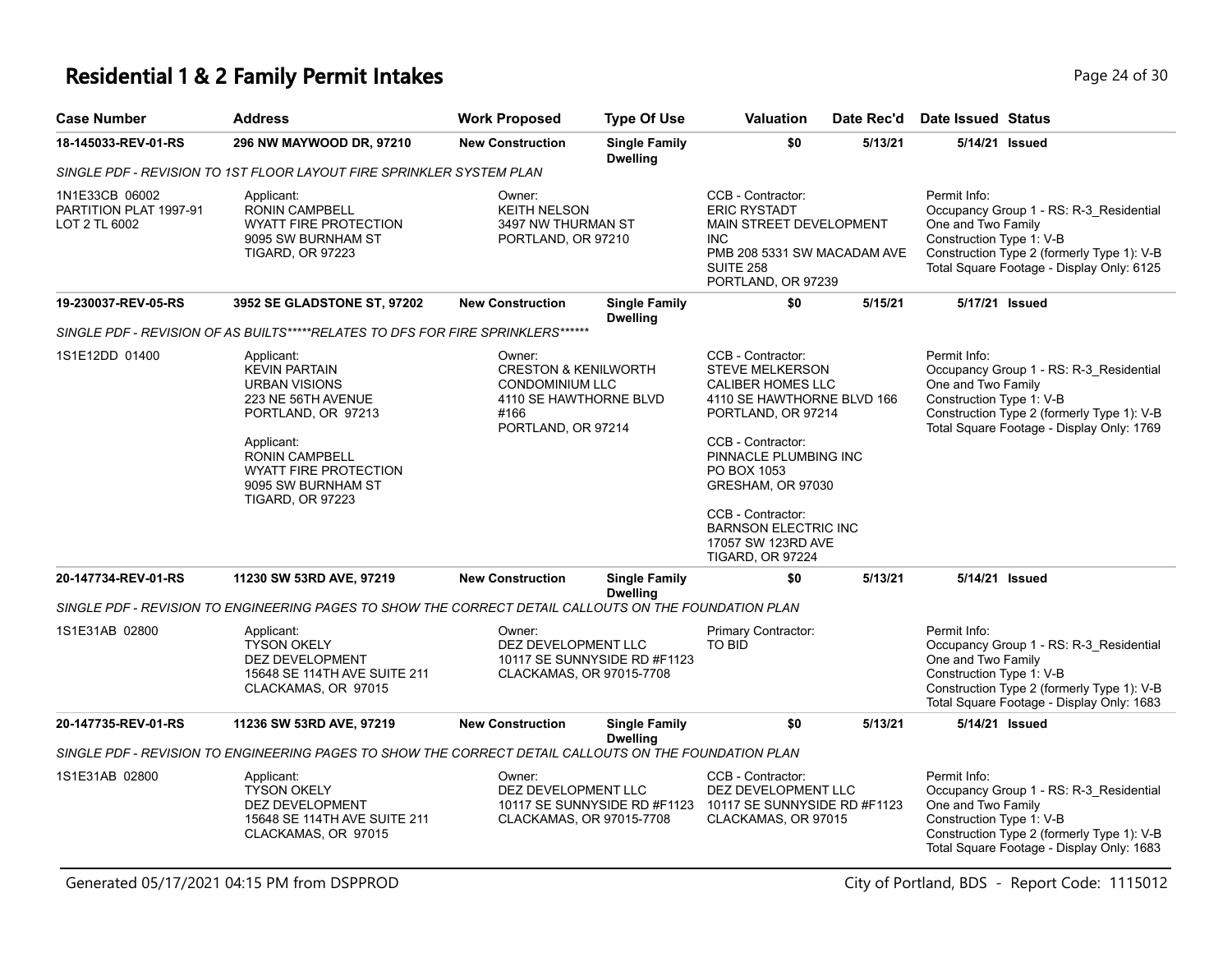## **Residential 1 & 2 Family Permit Intakes Page 24 of 30** Page 24 of 30

| Case Number                                               | <b>Address</b>                                                                                                                                                                                                                 | <b>Work Proposed</b>                                                                                                        | <b>Type Of Use</b>                      | <b>Valuation</b>                                                                                                                                                                                       | Date Rec'd | Date Issued Status                                             |                                                                                                                                    |
|-----------------------------------------------------------|--------------------------------------------------------------------------------------------------------------------------------------------------------------------------------------------------------------------------------|-----------------------------------------------------------------------------------------------------------------------------|-----------------------------------------|--------------------------------------------------------------------------------------------------------------------------------------------------------------------------------------------------------|------------|----------------------------------------------------------------|------------------------------------------------------------------------------------------------------------------------------------|
| 18-145033-REV-01-RS                                       | 296 NW MAYWOOD DR, 97210                                                                                                                                                                                                       | <b>New Construction</b>                                                                                                     | <b>Single Family</b><br><b>Dwelling</b> | \$0                                                                                                                                                                                                    | 5/13/21    | 5/14/21 Issued                                                 |                                                                                                                                    |
|                                                           | SINGLE PDF - REVISION TO 1ST FLOOR LAYOUT FIRE SPRINKLER SYSTEM PLAN                                                                                                                                                           |                                                                                                                             |                                         |                                                                                                                                                                                                        |            |                                                                |                                                                                                                                    |
| 1N1E33CB 06002<br>PARTITION PLAT 1997-91<br>LOT 2 TL 6002 | Applicant:<br><b>RONIN CAMPBELL</b><br><b>WYATT FIRE PROTECTION</b><br>9095 SW BURNHAM ST<br><b>TIGARD, OR 97223</b>                                                                                                           | Owner:<br><b>KEITH NELSON</b><br>3497 NW THURMAN ST<br>PORTLAND, OR 97210                                                   |                                         | CCB - Contractor:<br><b>ERIC RYSTADT</b><br>MAIN STREET DEVELOPMENT<br><b>INC</b><br>PMB 208 5331 SW MACADAM AVE<br><b>SUITE 258</b><br>PORTLAND, OR 97239                                             |            | Permit Info:<br>One and Two Family<br>Construction Type 1: V-B | Occupancy Group 1 - RS: R-3_Residential<br>Construction Type 2 (formerly Type 1): V-B<br>Total Square Footage - Display Only: 6125 |
| 19-230037-REV-05-RS                                       | 3952 SE GLADSTONE ST, 97202                                                                                                                                                                                                    | <b>New Construction</b>                                                                                                     | <b>Single Family</b><br><b>Dwelling</b> | \$0                                                                                                                                                                                                    | 5/15/21    | 5/17/21 Issued                                                 |                                                                                                                                    |
|                                                           | SINGLE PDF - REVISION OF AS BUILTS*****RELATES TO DFS FOR FIRE SPRINKLERS******                                                                                                                                                |                                                                                                                             |                                         |                                                                                                                                                                                                        |            |                                                                |                                                                                                                                    |
| 1S1E12DD 01400                                            | Applicant:<br><b>KEVIN PARTAIN</b><br><b>URBAN VISIONS</b><br>223 NE 56TH AVENUE<br>PORTLAND, OR 97213<br>Applicant:<br><b>RONIN CAMPBELL</b><br><b>WYATT FIRE PROTECTION</b><br>9095 SW BURNHAM ST<br><b>TIGARD, OR 97223</b> | Owner:<br><b>CRESTON &amp; KENILWORTH</b><br><b>CONDOMINIUM LLC</b><br>4110 SE HAWTHORNE BLVD<br>#166<br>PORTLAND, OR 97214 |                                         | CCB - Contractor:<br><b>STEVE MELKERSON</b><br>CALIBER HOMES LLC<br>4110 SE HAWTHORNE BLVD 166<br>PORTLAND, OR 97214<br>CCB - Contractor:<br>PINNACLE PLUMBING INC<br>PO BOX 1053<br>GRESHAM, OR 97030 |            | Permit Info:<br>One and Two Family<br>Construction Type 1: V-B | Occupancy Group 1 - RS: R-3_Residential<br>Construction Type 2 (formerly Type 1): V-B<br>Total Square Footage - Display Only: 1769 |
|                                                           |                                                                                                                                                                                                                                |                                                                                                                             |                                         | CCB - Contractor:<br><b>BARNSON ELECTRIC INC</b><br>17057 SW 123RD AVE<br><b>TIGARD, OR 97224</b>                                                                                                      |            |                                                                |                                                                                                                                    |
| 20-147734-REV-01-RS                                       | 11230 SW 53RD AVE, 97219                                                                                                                                                                                                       | <b>New Construction</b>                                                                                                     | <b>Single Family</b><br><b>Dwelling</b> | \$0                                                                                                                                                                                                    | 5/13/21    | 5/14/21 Issued                                                 |                                                                                                                                    |
|                                                           | SINGLE PDF - REVISION TO ENGINEERING PAGES TO SHOW THE CORRECT DETAIL CALLOUTS ON THE FOUNDATION PLAN                                                                                                                          |                                                                                                                             |                                         |                                                                                                                                                                                                        |            |                                                                |                                                                                                                                    |
| 1S1E31AB 02800                                            | Applicant:<br><b>TYSON OKELY</b><br><b>DEZ DEVELOPMENT</b><br>15648 SE 114TH AVE SUITE 211<br>CLACKAMAS, OR 97015                                                                                                              | Owner:<br>DEZ DEVELOPMENT LLC<br>CLACKAMAS, OR 97015-7708                                                                   | 10117 SE SUNNYSIDE RD #F1123            | Primary Contractor:<br><b>TO BID</b>                                                                                                                                                                   |            | Permit Info:<br>One and Two Family<br>Construction Type 1: V-B | Occupancy Group 1 - RS: R-3_Residential<br>Construction Type 2 (formerly Type 1): V-B<br>Total Square Footage - Display Only: 1683 |
| 20-147735-REV-01-RS                                       | 11236 SW 53RD AVE, 97219                                                                                                                                                                                                       | <b>New Construction</b>                                                                                                     | <b>Single Family</b><br><b>Dwelling</b> | \$0                                                                                                                                                                                                    | 5/13/21    | 5/14/21 Issued                                                 |                                                                                                                                    |
|                                                           | SINGLE PDF - REVISION TO ENGINEERING PAGES TO SHOW THE CORRECT DETAIL CALLOUTS ON THE FOUNDATION PLAN                                                                                                                          |                                                                                                                             |                                         |                                                                                                                                                                                                        |            |                                                                |                                                                                                                                    |
| 1S1E31AB 02800                                            | Applicant:<br><b>TYSON OKELY</b><br>DEZ DEVELOPMENT<br>15648 SE 114TH AVE SUITE 211<br>CLACKAMAS, OR 97015                                                                                                                     | Owner:<br>DEZ DEVELOPMENT LLC<br>CLACKAMAS, OR 97015-7708                                                                   |                                         | CCB - Contractor:<br>DEZ DEVELOPMENT LLC<br>10117 SE SUNNYSIDE RD #F1123 10117 SE SUNNYSIDE RD #F1123<br>CLACKAMAS, OR 97015                                                                           |            | Permit Info:<br>One and Two Family<br>Construction Type 1: V-B | Occupancy Group 1 - RS: R-3_Residential<br>Construction Type 2 (formerly Type 1): V-B<br>Total Square Footage - Display Only: 1683 |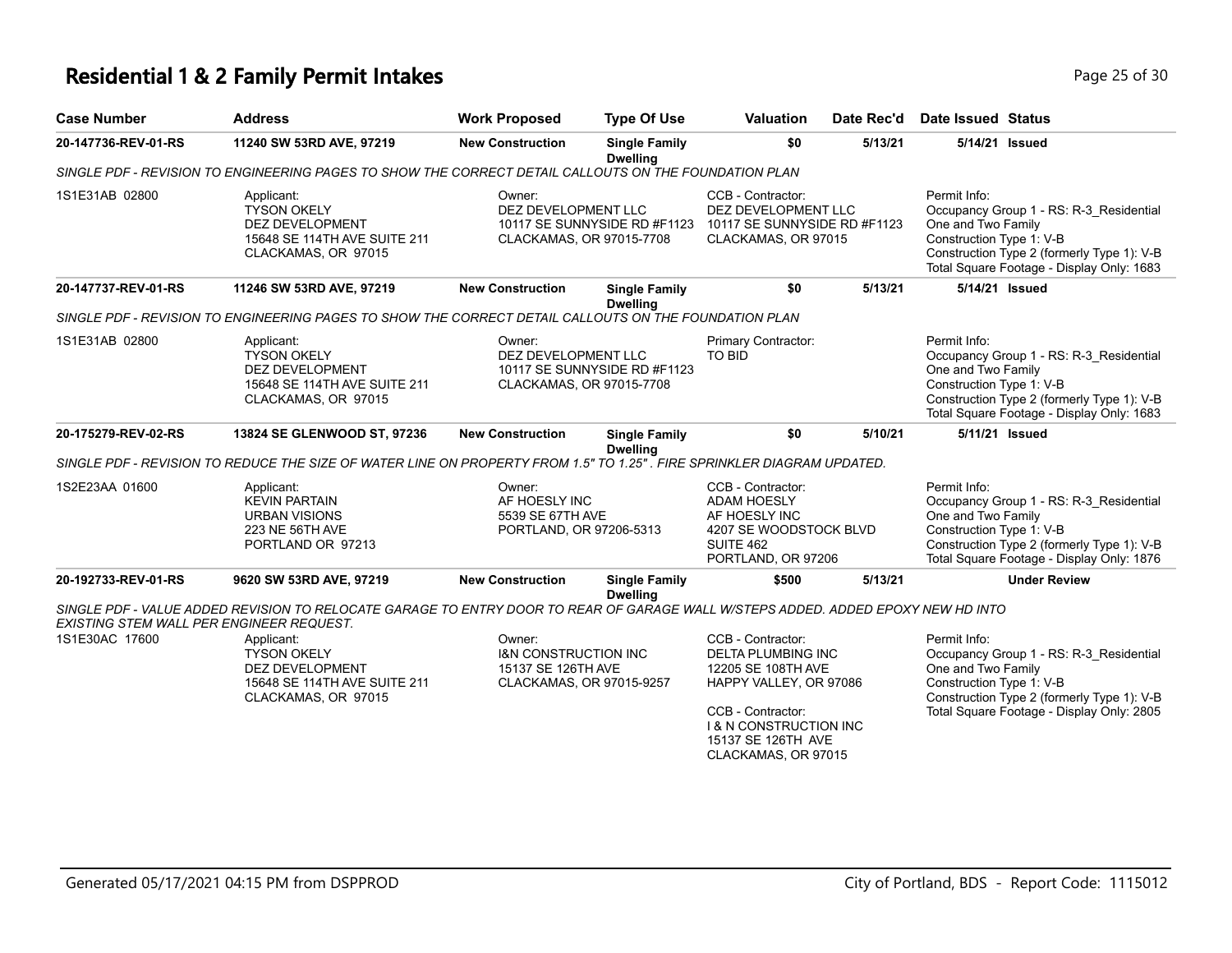## **Residential 1 & 2 Family Permit Intakes Page 25 of 30 Page 25 of 30**

| <b>Case Number</b>                                                                                    | <b>Address</b>                                                                                                                                                               | <b>Work Proposed</b>                                                                        | <b>Type Of Use</b>                      | <b>Valuation</b>                                                                                                                                                                                      | Date Rec'd | Date Issued Status                                                                                                                                                                                   |  |  |  |
|-------------------------------------------------------------------------------------------------------|------------------------------------------------------------------------------------------------------------------------------------------------------------------------------|---------------------------------------------------------------------------------------------|-----------------------------------------|-------------------------------------------------------------------------------------------------------------------------------------------------------------------------------------------------------|------------|------------------------------------------------------------------------------------------------------------------------------------------------------------------------------------------------------|--|--|--|
| 20-147736-REV-01-RS                                                                                   | 11240 SW 53RD AVE, 97219                                                                                                                                                     | <b>New Construction</b>                                                                     | <b>Single Family</b><br><b>Dwelling</b> | \$0                                                                                                                                                                                                   | 5/13/21    | 5/14/21 Issued                                                                                                                                                                                       |  |  |  |
| SINGLE PDF - REVISION TO ENGINEERING PAGES TO SHOW THE CORRECT DETAIL CALLOUTS ON THE FOUNDATION PLAN |                                                                                                                                                                              |                                                                                             |                                         |                                                                                                                                                                                                       |            |                                                                                                                                                                                                      |  |  |  |
| 1S1E31AB 02800                                                                                        | Applicant:<br><b>TYSON OKELY</b><br><b>DEZ DEVELOPMENT</b><br>15648 SE 114TH AVE SUITE 211<br>CLACKAMAS, OR 97015                                                            | Owner:<br>DEZ DEVELOPMENT LLC<br>10117 SE SUNNYSIDE RD #F1123<br>CLACKAMAS, OR 97015-7708   |                                         | CCB - Contractor:<br>DEZ DEVELOPMENT LLC<br>10117 SE SUNNYSIDE RD #F1123<br>CLACKAMAS, OR 97015                                                                                                       |            | Permit Info:<br>Occupancy Group 1 - RS: R-3_Residential<br>One and Two Family<br>Construction Type 1: V-B<br>Construction Type 2 (formerly Type 1): V-B<br>Total Square Footage - Display Only: 1683 |  |  |  |
| 20-147737-REV-01-RS                                                                                   | 11246 SW 53RD AVE, 97219                                                                                                                                                     | <b>New Construction</b>                                                                     | <b>Single Family</b><br><b>Dwelling</b> | \$0                                                                                                                                                                                                   | 5/13/21    | 5/14/21 Issued                                                                                                                                                                                       |  |  |  |
|                                                                                                       | SINGLE PDF - REVISION TO ENGINEERING PAGES TO SHOW THE CORRECT DETAIL CALLOUTS ON THE FOUNDATION PLAN                                                                        |                                                                                             |                                         |                                                                                                                                                                                                       |            |                                                                                                                                                                                                      |  |  |  |
| 1S1E31AB 02800                                                                                        | Applicant:<br><b>TYSON OKELY</b><br>DEZ DEVELOPMENT<br>15648 SE 114TH AVE SUITE 211<br>CLACKAMAS, OR 97015                                                                   | Owner:<br>DEZ DEVELOPMENT LLC<br>CLACKAMAS, OR 97015-7708                                   | 10117 SE SUNNYSIDE RD #F1123            | Primary Contractor:<br>TO BID                                                                                                                                                                         |            | Permit Info:<br>Occupancy Group 1 - RS: R-3_Residential<br>One and Two Family<br>Construction Type 1: V-B<br>Construction Type 2 (formerly Type 1): V-B<br>Total Square Footage - Display Only: 1683 |  |  |  |
| 20-175279-REV-02-RS                                                                                   | 13824 SE GLENWOOD ST, 97236                                                                                                                                                  | <b>New Construction</b>                                                                     | <b>Single Family</b><br><b>Dwelling</b> | \$0                                                                                                                                                                                                   | 5/10/21    | 5/11/21 Issued                                                                                                                                                                                       |  |  |  |
|                                                                                                       | SINGLE PDF - REVISION TO REDUCE THE SIZE OF WATER LINE ON PROPERTY FROM 1.5" TO 1.25". FIRE SPRINKLER DIAGRAM UPDATED.                                                       |                                                                                             |                                         |                                                                                                                                                                                                       |            |                                                                                                                                                                                                      |  |  |  |
| 1S2E23AA 01600                                                                                        | Applicant:<br><b>KEVIN PARTAIN</b><br><b>URBAN VISIONS</b><br>223 NE 56TH AVE<br>PORTLAND OR 97213                                                                           | Owner:<br>AF HOESLY INC<br>5539 SE 67TH AVE<br>PORTLAND, OR 97206-5313                      |                                         | CCB - Contractor:<br><b>ADAM HOESLY</b><br>AF HOESLY INC<br>4207 SE WOODSTOCK BLVD<br>SUITE 462<br>PORTLAND, OR 97206                                                                                 |            | Permit Info:<br>Occupancy Group 1 - RS: R-3 Residential<br>One and Two Family<br>Construction Type 1: V-B<br>Construction Type 2 (formerly Type 1): V-B<br>Total Square Footage - Display Only: 1876 |  |  |  |
| 20-192733-REV-01-RS                                                                                   | 9620 SW 53RD AVE, 97219                                                                                                                                                      | <b>New Construction</b>                                                                     | <b>Single Family</b><br><b>Dwelling</b> | \$500                                                                                                                                                                                                 | 5/13/21    | <b>Under Review</b>                                                                                                                                                                                  |  |  |  |
|                                                                                                       | SINGLE PDF - VALUE ADDED REVISION TO RELOCATE GARAGE TO ENTRY DOOR TO REAR OF GARAGE WALL W/STEPS ADDED. ADDED EPOXY NEW HD INTO<br>EXISTING STEM WALL PER ENGINEER REQUEST. |                                                                                             |                                         |                                                                                                                                                                                                       |            |                                                                                                                                                                                                      |  |  |  |
| 1S1E30AC 17600                                                                                        | Applicant:<br><b>TYSON OKELY</b><br>DEZ DEVELOPMENT<br>15648 SE 114TH AVE SUITE 211<br>CLACKAMAS, OR 97015                                                                   | Owner:<br><b>I&amp;N CONSTRUCTION INC</b><br>15137 SE 126TH AVE<br>CLACKAMAS, OR 97015-9257 |                                         | CCB - Contractor:<br><b>DELTA PLUMBING INC</b><br>12205 SE 108TH AVE<br>HAPPY VALLEY, OR 97086<br>CCB - Contractor:<br><b>1 &amp; N CONSTRUCTION INC</b><br>15137 SE 126TH AVE<br>CLACKAMAS, OR 97015 |            | Permit Info:<br>Occupancy Group 1 - RS: R-3 Residential<br>One and Two Family<br>Construction Type 1: V-B<br>Construction Type 2 (formerly Type 1): V-B<br>Total Square Footage - Display Only: 2805 |  |  |  |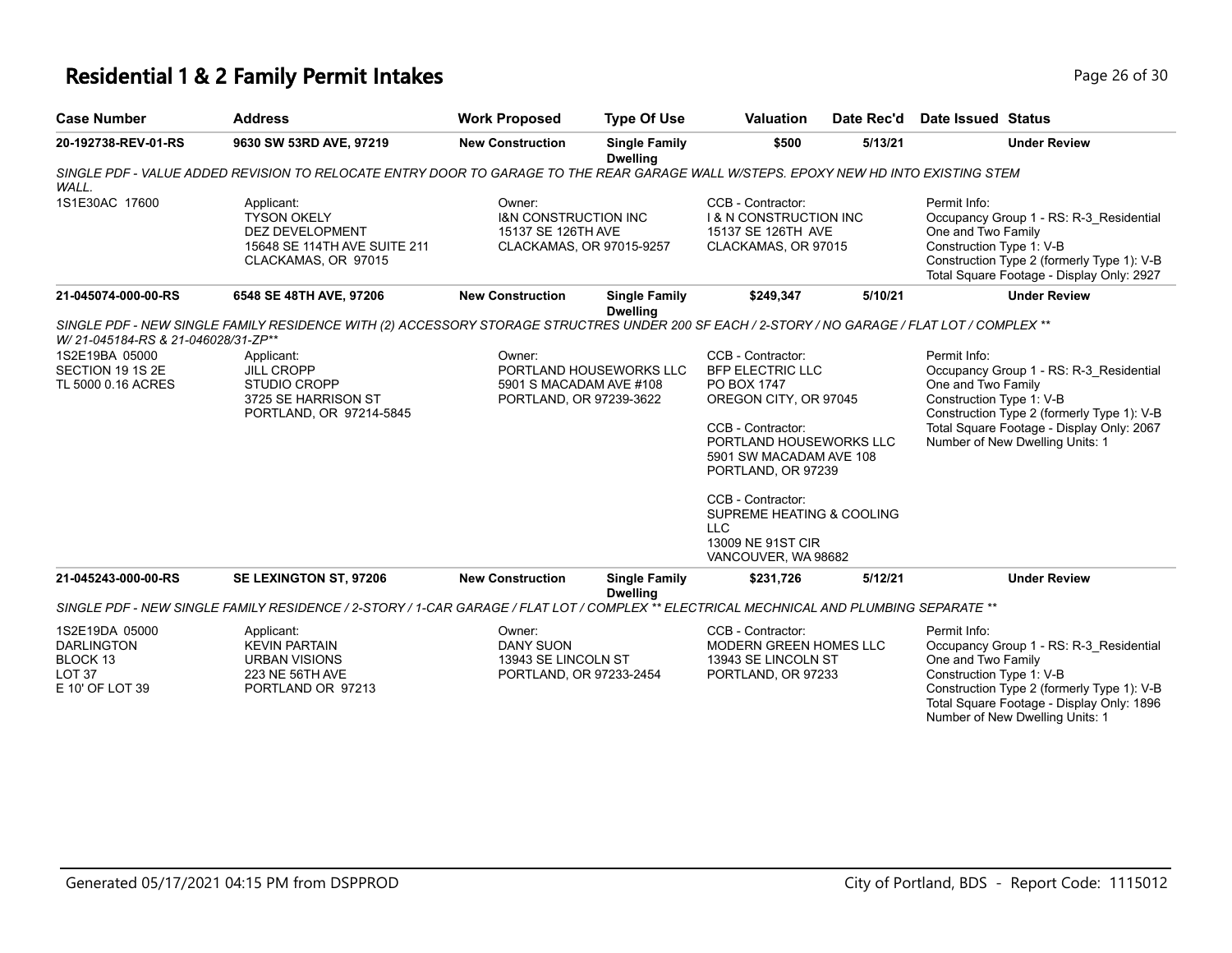## **Residential 1 & 2 Family Permit Intakes Page 16 of 30** Page 26 of 30

| <b>Case Number</b>                                                                      | <b>Address</b>                                                                                                                                | <b>Work Proposed</b>                                                                        | <b>Type Of Use</b>                      | <b>Valuation</b>                                                                                                                                                                                                                                                                                  | Date Rec'd | Date Issued Status                                                                                                                                                                                                                      |
|-----------------------------------------------------------------------------------------|-----------------------------------------------------------------------------------------------------------------------------------------------|---------------------------------------------------------------------------------------------|-----------------------------------------|---------------------------------------------------------------------------------------------------------------------------------------------------------------------------------------------------------------------------------------------------------------------------------------------------|------------|-----------------------------------------------------------------------------------------------------------------------------------------------------------------------------------------------------------------------------------------|
| 20-192738-REV-01-RS                                                                     | 9630 SW 53RD AVE, 97219                                                                                                                       | <b>New Construction</b>                                                                     | <b>Single Family</b><br><b>Dwelling</b> | \$500                                                                                                                                                                                                                                                                                             | 5/13/21    | <b>Under Review</b>                                                                                                                                                                                                                     |
| WALL.                                                                                   | SINGLE PDF - VALUE ADDED REVISION TO RELOCATE ENTRY DOOR TO GARAGE TO THE REAR GARAGE WALL W/STEPS. EPOXY NEW HD INTO EXISTING STEM           |                                                                                             |                                         |                                                                                                                                                                                                                                                                                                   |            |                                                                                                                                                                                                                                         |
| 1S1E30AC 17600                                                                          | Applicant:<br><b>TYSON OKELY</b><br>DEZ DEVELOPMENT<br>15648 SE 114TH AVE SUITE 211<br>CLACKAMAS, OR 97015                                    | Owner:<br><b>I&amp;N CONSTRUCTION INC</b><br>15137 SE 126TH AVE<br>CLACKAMAS, OR 97015-9257 |                                         | CCB - Contractor:<br><b>1&amp; N CONSTRUCTION INC</b><br>15137 SE 126TH AVE<br>CLACKAMAS, OR 97015                                                                                                                                                                                                |            | Permit Info:<br>Occupancy Group 1 - RS: R-3_Residential<br>One and Two Family<br>Construction Type 1: V-B<br>Construction Type 2 (formerly Type 1): V-B<br>Total Square Footage - Display Only: 2927                                    |
| 21-045074-000-00-RS                                                                     | 6548 SE 48TH AVE, 97206                                                                                                                       | <b>New Construction</b>                                                                     | <b>Single Family</b><br><b>Dwelling</b> | \$249,347                                                                                                                                                                                                                                                                                         | 5/10/21    | <b>Under Review</b>                                                                                                                                                                                                                     |
| W/ 21-045184-RS & 21-046028/31-ZP**                                                     | SINGLE PDF - NEW SINGLE FAMILY RESIDENCE WITH (2) ACCESSORY STORAGE STRUCTRES UNDER 200 SF EACH / 2-STORY / NO GARAGE / FLAT LOT / COMPLEX ** |                                                                                             |                                         |                                                                                                                                                                                                                                                                                                   |            |                                                                                                                                                                                                                                         |
| 1S2E19BA 05000<br>SECTION 19 1S 2E<br>TL 5000 0.16 ACRES                                | Applicant:<br><b>JILL CROPP</b><br><b>STUDIO CROPP</b><br>3725 SE HARRISON ST<br>PORTLAND, OR 97214-5845                                      | Owner:<br>5901 S MACADAM AVE #108<br>PORTLAND, OR 97239-3622                                | PORTLAND HOUSEWORKS LLC                 | CCB - Contractor:<br><b>BFP ELECTRIC LLC</b><br>PO BOX 1747<br>OREGON CITY, OR 97045<br>CCB - Contractor:<br>PORTLAND HOUSEWORKS LLC<br>5901 SW MACADAM AVE 108<br>PORTLAND, OR 97239<br>CCB - Contractor:<br>SUPREME HEATING & COOLING<br><b>LLC</b><br>13009 NE 91ST CIR<br>VANCOUVER, WA 98682 |            | Permit Info:<br>Occupancy Group 1 - RS: R-3_Residential<br>One and Two Family<br>Construction Type 1: V-B<br>Construction Type 2 (formerly Type 1): V-B<br>Total Square Footage - Display Only: 2067<br>Number of New Dwelling Units: 1 |
| 21-045243-000-00-RS                                                                     | SE LEXINGTON ST, 97206                                                                                                                        | <b>New Construction</b>                                                                     | <b>Single Family</b><br><b>Dwelling</b> | \$231,726                                                                                                                                                                                                                                                                                         | 5/12/21    | <b>Under Review</b>                                                                                                                                                                                                                     |
|                                                                                         | SINGLE PDF - NEW SINGLE FAMILY RESIDENCE / 2-STORY / 1-CAR GARAGE / FLAT LOT / COMPLEX ** ELECTRICAL MECHNICAL AND PLUMBING SEPARATE **       |                                                                                             |                                         |                                                                                                                                                                                                                                                                                                   |            |                                                                                                                                                                                                                                         |
| 1S2E19DA 05000<br><b>DARLINGTON</b><br>BLOCK 13<br>LOT <sub>37</sub><br>E 10' OF LOT 39 | Applicant:<br><b>KEVIN PARTAIN</b><br>URBAN VISIONS<br>223 NE 56TH AVE<br>PORTLAND OR 97213                                                   | Owner:<br><b>DANY SUON</b><br>13943 SE LINCOLN ST<br>PORTLAND, OR 97233-2454                |                                         | CCB - Contractor:<br>MODERN GREEN HOMES LLC<br>13943 SE LINCOLN ST<br>PORTLAND, OR 97233                                                                                                                                                                                                          |            | Permit Info:<br>Occupancy Group 1 - RS: R-3_Residential<br>One and Two Family<br>Construction Type 1: V-B<br>Construction Type 2 (formerly Type 1): V-B<br>Total Square Footage - Display Only: 1896<br>Number of New Dwelling Units: 1 |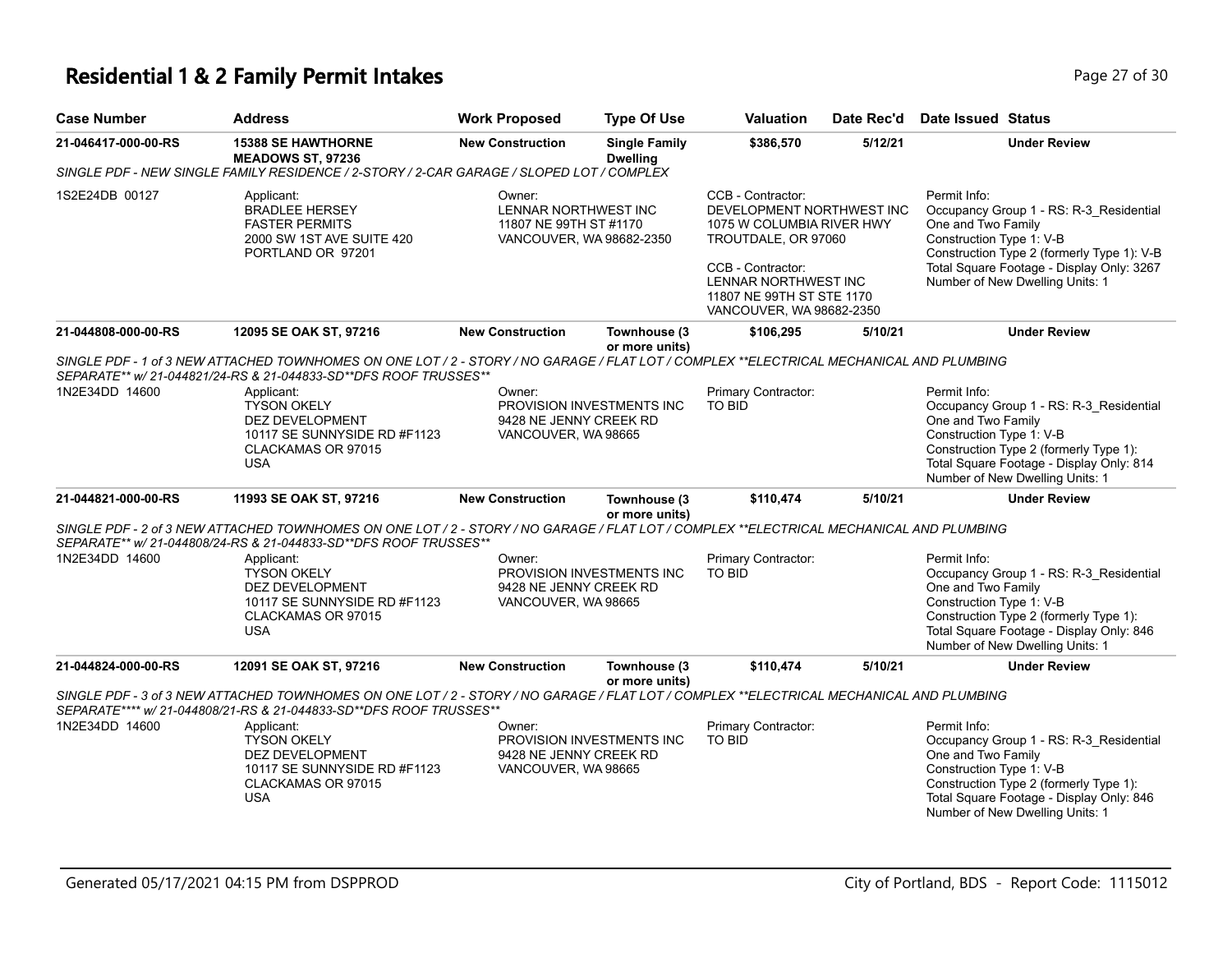## **Residential 1 & 2 Family Permit Intakes Page 27 of 30 Page 27 of 30**

| <b>Case Number</b>  | <b>Address</b>                                                                                                                                                                                                | <b>Work Proposed</b>                                                                 | <b>Type Of Use</b>                      | <b>Valuation</b>                                                                                                                                                                                         | Date Rec'd | <b>Date Issued Status</b>                                                                                                                                                                                                               |
|---------------------|---------------------------------------------------------------------------------------------------------------------------------------------------------------------------------------------------------------|--------------------------------------------------------------------------------------|-----------------------------------------|----------------------------------------------------------------------------------------------------------------------------------------------------------------------------------------------------------|------------|-----------------------------------------------------------------------------------------------------------------------------------------------------------------------------------------------------------------------------------------|
| 21-046417-000-00-RS | <b>15388 SE HAWTHORNE</b><br><b>MEADOWS ST, 97236</b>                                                                                                                                                         | <b>New Construction</b>                                                              | <b>Single Family</b><br><b>Dwelling</b> | \$386,570                                                                                                                                                                                                | 5/12/21    | <b>Under Review</b>                                                                                                                                                                                                                     |
|                     | SINGLE PDF - NEW SINGLE FAMILY RESIDENCE / 2-STORY / 2-CAR GARAGE / SLOPED LOT / COMPLEX                                                                                                                      |                                                                                      |                                         |                                                                                                                                                                                                          |            |                                                                                                                                                                                                                                         |
| 1S2E24DB 00127      | Applicant:<br><b>BRADLEE HERSEY</b><br><b>FASTER PERMITS</b><br>2000 SW 1ST AVE SUITE 420<br>PORTLAND OR 97201                                                                                                | Owner:<br>LENNAR NORTHWEST INC<br>11807 NE 99TH ST #1170<br>VANCOUVER, WA 98682-2350 |                                         | CCB - Contractor:<br>DEVELOPMENT NORTHWEST INC<br>1075 W COLUMBIA RIVER HWY<br>TROUTDALE, OR 97060<br>CCB - Contractor:<br>LENNAR NORTHWEST INC<br>11807 NE 99TH ST STE 1170<br>VANCOUVER, WA 98682-2350 |            | Permit Info:<br>Occupancy Group 1 - RS: R-3_Residential<br>One and Two Family<br>Construction Type 1: V-B<br>Construction Type 2 (formerly Type 1): V-B<br>Total Square Footage - Display Only: 3267<br>Number of New Dwelling Units: 1 |
| 21-044808-000-00-RS | 12095 SE OAK ST, 97216                                                                                                                                                                                        | <b>New Construction</b>                                                              | Townhouse (3<br>or more units)          | \$106,295                                                                                                                                                                                                | 5/10/21    | <b>Under Review</b>                                                                                                                                                                                                                     |
|                     | SINGLE PDF - 1 of 3 NEW ATTACHED TOWNHOMES ON ONE LOT / 2 - STORY / NO GARAGE / FLAT LOT / COMPLEX **ELECTRICAL MECHANICAL AND PLUMBING<br>SEPARATE** w/ 21-044821/24-RS & 21-044833-SD**DFS ROOF TRUSSES**   |                                                                                      |                                         |                                                                                                                                                                                                          |            |                                                                                                                                                                                                                                         |
| 1N2E34DD 14600      | Applicant:<br><b>TYSON OKELY</b><br><b>DEZ DEVELOPMENT</b><br>10117 SE SUNNYSIDE RD #F1123<br>CLACKAMAS OR 97015<br><b>USA</b>                                                                                | Owner:<br>9428 NE JENNY CREEK RD<br>VANCOUVER, WA 98665                              | PROVISION INVESTMENTS INC               | Primary Contractor:<br>TO BID                                                                                                                                                                            |            | Permit Info:<br>Occupancy Group 1 - RS: R-3_Residential<br>One and Two Family<br>Construction Type 1: V-B<br>Construction Type 2 (formerly Type 1):<br>Total Square Footage - Display Only: 814<br>Number of New Dwelling Units: 1      |
| 21-044821-000-00-RS | 11993 SE OAK ST, 97216                                                                                                                                                                                        | <b>New Construction</b>                                                              | Townhouse (3<br>or more units)          | \$110,474                                                                                                                                                                                                | 5/10/21    | <b>Under Review</b>                                                                                                                                                                                                                     |
|                     | SINGLE PDF - 2 of 3 NEW ATTACHED TOWNHOMES ON ONE LOT / 2 - STORY / NO GARAGE / FLAT LOT / COMPLEX **ELECTRICAL MECHANICAL AND PLUMBING<br>SEPARATE** w/ 21-044808/24-RS & 21-044833-SD**DFS ROOF TRUSSES**   |                                                                                      |                                         |                                                                                                                                                                                                          |            |                                                                                                                                                                                                                                         |
| 1N2E34DD 14600      | Applicant:<br><b>TYSON OKELY</b><br>DEZ DEVELOPMENT<br>10117 SE SUNNYSIDE RD #F1123<br>CLACKAMAS OR 97015<br><b>USA</b>                                                                                       | Owner:<br>9428 NE JENNY CREEK RD<br>VANCOUVER, WA 98665                              | PROVISION INVESTMENTS INC               | <b>Primary Contractor:</b><br>TO BID                                                                                                                                                                     |            | Permit Info:<br>Occupancy Group 1 - RS: R-3_Residential<br>One and Two Family<br>Construction Type 1: V-B<br>Construction Type 2 (formerly Type 1):<br>Total Square Footage - Display Only: 846<br>Number of New Dwelling Units: 1      |
| 21-044824-000-00-RS | 12091 SE OAK ST, 97216                                                                                                                                                                                        | <b>New Construction</b>                                                              | Townhouse (3<br>or more units)          | \$110,474                                                                                                                                                                                                | 5/10/21    | <b>Under Review</b>                                                                                                                                                                                                                     |
|                     | SINGLE PDF - 3 of 3 NEW ATTACHED TOWNHOMES ON ONE LOT / 2 - STORY / NO GARAGE / FLAT LOT / COMPLEX **ELECTRICAL MECHANICAL AND PLUMBING<br>SEPARATE**** w/ 21-044808/21-RS & 21-044833-SD**DFS ROOF TRUSSES** |                                                                                      |                                         |                                                                                                                                                                                                          |            |                                                                                                                                                                                                                                         |
| 1N2E34DD 14600      | Applicant:<br><b>TYSON OKELY</b><br>DEZ DEVELOPMENT<br>10117 SE SUNNYSIDE RD #F1123<br>CLACKAMAS OR 97015<br><b>USA</b>                                                                                       | Owner:<br>9428 NE JENNY CREEK RD<br>VANCOUVER, WA 98665                              | PROVISION INVESTMENTS INC               | Primary Contractor:<br>TO BID                                                                                                                                                                            |            | Permit Info:<br>Occupancy Group 1 - RS: R-3 Residential<br>One and Two Family<br>Construction Type 1: V-B<br>Construction Type 2 (formerly Type 1):<br>Total Square Footage - Display Only: 846<br>Number of New Dwelling Units: 1      |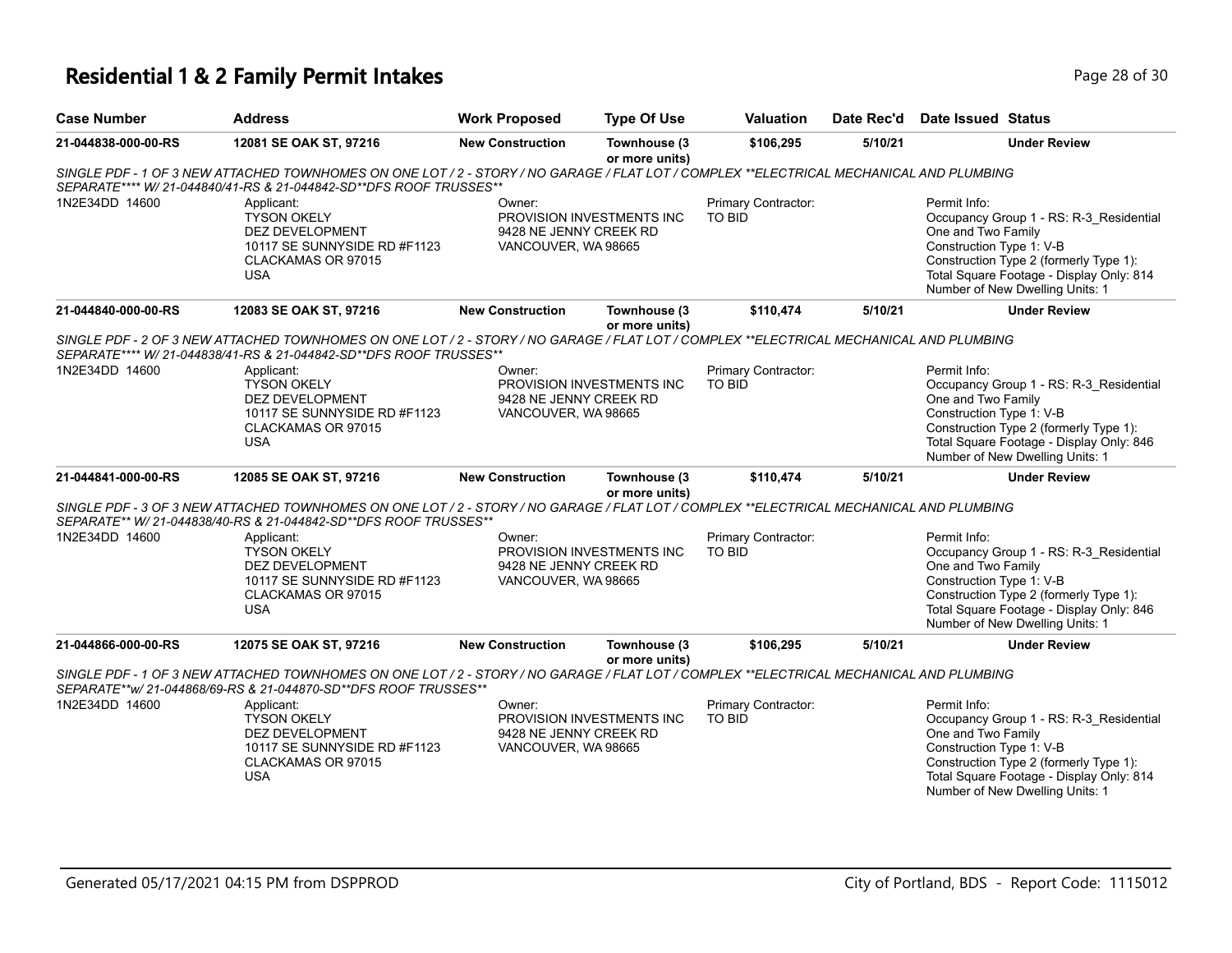## **Residential 1 & 2 Family Permit Intakes Page 18 of 30** Page 28 of 30

| <b>Case Number</b>  | <b>Address</b>                                                                                                                                                                                                | <b>Work Proposed</b>                                    | <b>Type Of Use</b>             | <b>Valuation</b>                     | Date Rec'd | <b>Date Issued Status</b>                                                                                                                                                                                                          |
|---------------------|---------------------------------------------------------------------------------------------------------------------------------------------------------------------------------------------------------------|---------------------------------------------------------|--------------------------------|--------------------------------------|------------|------------------------------------------------------------------------------------------------------------------------------------------------------------------------------------------------------------------------------------|
| 21-044838-000-00-RS | 12081 SE OAK ST, 97216                                                                                                                                                                                        | <b>New Construction</b>                                 | Townhouse (3<br>or more units) | \$106,295                            | 5/10/21    | <b>Under Review</b>                                                                                                                                                                                                                |
|                     | SINGLE PDF - 1 OF 3 NEW ATTACHED TOWNHOMES ON ONE LOT / 2 - STORY / NO GARAGE / FLAT LOT / COMPLEX **ELECTRICAL MECHANICAL AND PLUMBING<br>SEPARATE**** W/ 21-044840/41-RS & 21-044842-SD**DFS ROOF TRUSSES** |                                                         |                                |                                      |            |                                                                                                                                                                                                                                    |
| 1N2E34DD 14600      | Applicant:<br><b>TYSON OKELY</b><br>DEZ DEVELOPMENT<br>10117 SE SUNNYSIDE RD #F1123<br>CLACKAMAS OR 97015<br><b>USA</b>                                                                                       | Owner:<br>9428 NE JENNY CREEK RD<br>VANCOUVER, WA 98665 | PROVISION INVESTMENTS INC      | Primary Contractor:<br><b>TO BID</b> |            | Permit Info:<br>Occupancy Group 1 - RS: R-3_Residential<br>One and Two Family<br>Construction Type 1: V-B<br>Construction Type 2 (formerly Type 1):<br>Total Square Footage - Display Only: 814<br>Number of New Dwelling Units: 1 |
| 21-044840-000-00-RS | 12083 SE OAK ST, 97216                                                                                                                                                                                        | <b>New Construction</b>                                 | Townhouse (3<br>or more units) | \$110,474                            | 5/10/21    | <b>Under Review</b>                                                                                                                                                                                                                |
|                     | SINGLE PDF - 2 OF 3 NEW ATTACHED TOWNHOMES ON ONE LOT / 2 - STORY / NO GARAGE / FLAT LOT / COMPLEX **ELECTRICAL MECHANICAL AND PLUMBING                                                                       |                                                         |                                |                                      |            |                                                                                                                                                                                                                                    |
|                     | SEPARATE**** W/ 21-044838/41-RS & 21-044842-SD**DFS ROOF TRUSSES**                                                                                                                                            |                                                         |                                |                                      |            |                                                                                                                                                                                                                                    |
| 1N2E34DD 14600      | Applicant:<br><b>TYSON OKELY</b><br>DEZ DEVELOPMENT<br>10117 SE SUNNYSIDE RD #F1123<br>CLACKAMAS OR 97015<br><b>USA</b>                                                                                       | Owner:<br>9428 NE JENNY CREEK RD<br>VANCOUVER, WA 98665 | PROVISION INVESTMENTS INC      | Primary Contractor:<br><b>TO BID</b> |            | Permit Info:<br>Occupancy Group 1 - RS: R-3_Residential<br>One and Two Family<br>Construction Type 1: V-B<br>Construction Type 2 (formerly Type 1):<br>Total Square Footage - Display Only: 846<br>Number of New Dwelling Units: 1 |
| 21-044841-000-00-RS | 12085 SE OAK ST, 97216                                                                                                                                                                                        | <b>New Construction</b>                                 | Townhouse (3                   | \$110,474                            | 5/10/21    | <b>Under Review</b>                                                                                                                                                                                                                |
|                     | SINGLE PDF - 3 OF 3 NEW ATTACHED TOWNHOMES ON ONE LOT / 2 - STORY / NO GARAGE / FLAT LOT / COMPLEX **ELECTRICAL MECHANICAL AND PLUMBING<br>SEPARATE** W/ 21-044838/40-RS & 21-044842-SD**DFS ROOF TRUSSES**   |                                                         | or more units)                 |                                      |            |                                                                                                                                                                                                                                    |
| 1N2E34DD 14600      | Applicant:<br><b>TYSON OKELY</b><br>DEZ DEVELOPMENT<br>10117 SE SUNNYSIDE RD #F1123<br>CLACKAMAS OR 97015<br><b>USA</b>                                                                                       | Owner:<br>9428 NE JENNY CREEK RD<br>VANCOUVER, WA 98665 | PROVISION INVESTMENTS INC      | Primary Contractor:<br><b>TO BID</b> |            | Permit Info:<br>Occupancy Group 1 - RS: R-3 Residential<br>One and Two Family<br>Construction Type 1: V-B<br>Construction Type 2 (formerly Type 1):<br>Total Square Footage - Display Only: 846<br>Number of New Dwelling Units: 1 |
| 21-044866-000-00-RS | 12075 SE OAK ST, 97216                                                                                                                                                                                        | <b>New Construction</b>                                 | Townhouse (3<br>or more units) | \$106,295                            | 5/10/21    | <b>Under Review</b>                                                                                                                                                                                                                |
|                     | SINGLE PDF - 1 OF 3 NEW ATTACHED TOWNHOMES ON ONE LOT / 2 - STORY / NO GARAGE / FLAT LOT / COMPLEX **ELECTRICAL MECHANICAL AND PLUMBING<br>SEPARATE**w/ 21-044868/69-RS & 21-044870-SD**DFS ROOF TRUSSES**    |                                                         |                                |                                      |            |                                                                                                                                                                                                                                    |
| 1N2E34DD 14600      | Applicant:                                                                                                                                                                                                    | Owner:                                                  |                                | Primary Contractor:                  |            | Permit Info:                                                                                                                                                                                                                       |
|                     | <b>TYSON OKELY</b><br><b>DEZ DEVELOPMENT</b><br>10117 SE SUNNYSIDE RD #F1123<br>CLACKAMAS OR 97015<br><b>USA</b>                                                                                              | 9428 NE JENNY CREEK RD<br>VANCOUVER, WA 98665           | PROVISION INVESTMENTS INC      | <b>TO BID</b>                        |            | Occupancy Group 1 - RS: R-3 Residential<br>One and Two Family<br>Construction Type 1: V-B<br>Construction Type 2 (formerly Type 1):<br>Total Square Footage - Display Only: 814<br>Number of New Dwelling Units: 1                 |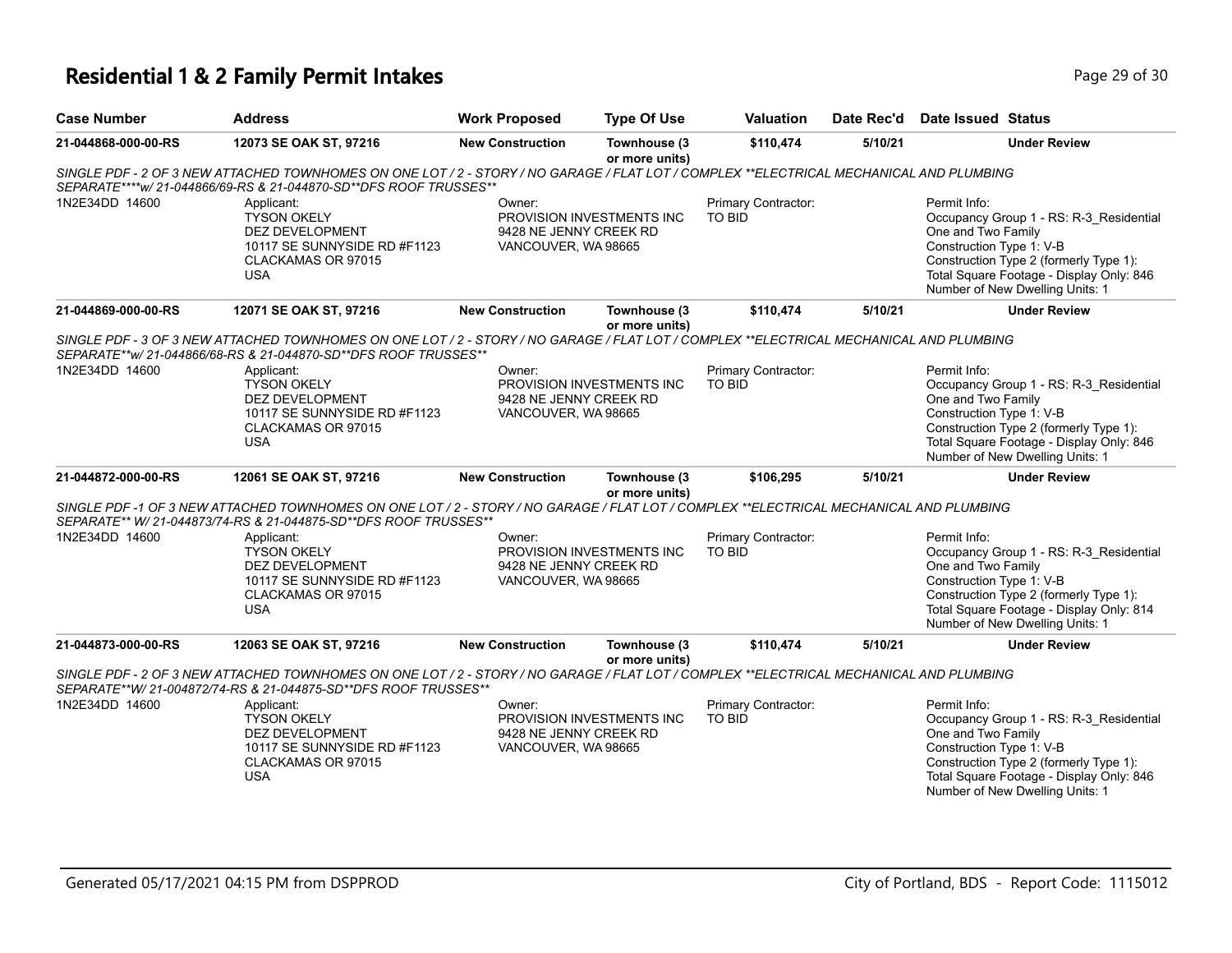# **Residential 1 & 2 Family Permit Intakes Page 29 of 30** Page 29 of 30

| <b>Case Number</b>  | <b>Address</b>                                                                                                                                                                                               | <b>Work Proposed</b>                                    | <b>Type Of Use</b>             | <b>Valuation</b>              | Date Rec'd | Date Issued Status                                                                                                                                                                                                                 |
|---------------------|--------------------------------------------------------------------------------------------------------------------------------------------------------------------------------------------------------------|---------------------------------------------------------|--------------------------------|-------------------------------|------------|------------------------------------------------------------------------------------------------------------------------------------------------------------------------------------------------------------------------------------|
| 21-044868-000-00-RS | 12073 SE OAK ST, 97216                                                                                                                                                                                       | <b>New Construction</b>                                 | Townhouse (3<br>or more units) | \$110,474                     | 5/10/21    | <b>Under Review</b>                                                                                                                                                                                                                |
|                     | SINGLE PDF - 2 OF 3 NEW ATTACHED TOWNHOMES ON ONE LOT / 2 - STORY / NO GARAGE / FLAT LOT / COMPLEX **ELECTRICAL MECHANICAL AND PLUMBING<br>SEPARATE****w/ 21-044866/69-RS & 21-044870-SD**DFS ROOF TRUSSES** |                                                         |                                |                               |            |                                                                                                                                                                                                                                    |
| 1N2E34DD 14600      | Applicant:<br><b>TYSON OKELY</b><br>DEZ DEVELOPMENT<br>10117 SE SUNNYSIDE RD #F1123<br>CLACKAMAS OR 97015<br><b>USA</b>                                                                                      | Owner:<br>9428 NE JENNY CREEK RD<br>VANCOUVER, WA 98665 | PROVISION INVESTMENTS INC      | Primary Contractor:<br>TO BID |            | Permit Info:<br>Occupancy Group 1 - RS: R-3_Residential<br>One and Two Family<br>Construction Type 1: V-B<br>Construction Type 2 (formerly Type 1):<br>Total Square Footage - Display Only: 846<br>Number of New Dwelling Units: 1 |
| 21-044869-000-00-RS | 12071 SE OAK ST, 97216                                                                                                                                                                                       | <b>New Construction</b>                                 | Townhouse (3<br>or more units) | \$110,474                     | 5/10/21    | <b>Under Review</b>                                                                                                                                                                                                                |
|                     | SINGLE PDF - 3 OF 3 NEW ATTACHED TOWNHOMES ON ONE LOT / 2 - STORY / NO GARAGE / FLAT LOT / COMPLEX **ELECTRICAL MECHANICAL AND PLUMBING<br>SEPARATE**w/ 21-044866/68-RS & 21-044870-SD**DFS ROOF TRUSSES**   |                                                         |                                |                               |            |                                                                                                                                                                                                                                    |
| 1N2E34DD 14600      | Applicant:<br><b>TYSON OKELY</b><br>DEZ DEVELOPMENT<br>10117 SE SUNNYSIDE RD #F1123<br>CLACKAMAS OR 97015<br><b>USA</b>                                                                                      | Owner:<br>9428 NE JENNY CREEK RD<br>VANCOUVER, WA 98665 | PROVISION INVESTMENTS INC      | Primary Contractor:<br>TO BID |            | Permit Info:<br>Occupancy Group 1 - RS: R-3_Residential<br>One and Two Family<br>Construction Type 1: V-B<br>Construction Type 2 (formerly Type 1):<br>Total Square Footage - Display Only: 846<br>Number of New Dwelling Units: 1 |
| 21-044872-000-00-RS | 12061 SE OAK ST, 97216                                                                                                                                                                                       | <b>New Construction</b>                                 | Townhouse (3<br>or more units) | \$106,295                     | 5/10/21    | <b>Under Review</b>                                                                                                                                                                                                                |
|                     | SINGLE PDF-1 OF 3 NEW ATTACHED TOWNHOMES ON ONE LOT/2 - STORY/NO GARAGE/FLAT LOT/COMPLEX **ELECTRICAL MECHANICAL AND PLUMBING<br>SEPARATE** W/ 21-044873/74-RS & 21-044875-SD**DFS ROOF TRUSSES**            |                                                         |                                |                               |            |                                                                                                                                                                                                                                    |
| 1N2E34DD 14600      | Applicant:<br><b>TYSON OKELY</b><br><b>DEZ DEVELOPMENT</b><br>10117 SE SUNNYSIDE RD #F1123<br>CLACKAMAS OR 97015<br><b>USA</b>                                                                               | Owner:<br>9428 NE JENNY CREEK RD<br>VANCOUVER, WA 98665 | PROVISION INVESTMENTS INC      | Primary Contractor:<br>TO BID |            | Permit Info:<br>Occupancy Group 1 - RS: R-3_Residential<br>One and Two Family<br>Construction Type 1: V-B<br>Construction Type 2 (formerly Type 1):<br>Total Square Footage - Display Only: 814<br>Number of New Dwelling Units: 1 |
| 21-044873-000-00-RS | 12063 SE OAK ST, 97216                                                                                                                                                                                       | <b>New Construction</b>                                 | Townhouse (3<br>or more units) | \$110,474                     | 5/10/21    | <b>Under Review</b>                                                                                                                                                                                                                |
|                     | SINGLE PDF - 2 OF 3 NEW ATTACHED TOWNHOMES ON ONE LOT / 2 - STORY / NO GARAGE / FLAT LOT / COMPLEX **ELECTRICAL MECHANICAL AND PLUMBING<br>SEPARATE**W/ 21-004872/74-RS & 21-044875-SD**DFS ROOF TRUSSES**   |                                                         |                                |                               |            |                                                                                                                                                                                                                                    |
| 1N2E34DD 14600      | Applicant:<br><b>TYSON OKELY</b><br><b>DEZ DEVELOPMENT</b><br>10117 SE SUNNYSIDE RD #F1123<br>CLACKAMAS OR 97015<br><b>USA</b>                                                                               | Owner:<br>9428 NE JENNY CREEK RD<br>VANCOUVER, WA 98665 | PROVISION INVESTMENTS INC      | Primary Contractor:<br>TO BID |            | Permit Info:<br>Occupancy Group 1 - RS: R-3 Residential<br>One and Two Family<br>Construction Type 1: V-B<br>Construction Type 2 (formerly Type 1):<br>Total Square Footage - Display Only: 846<br>Number of New Dwelling Units: 1 |